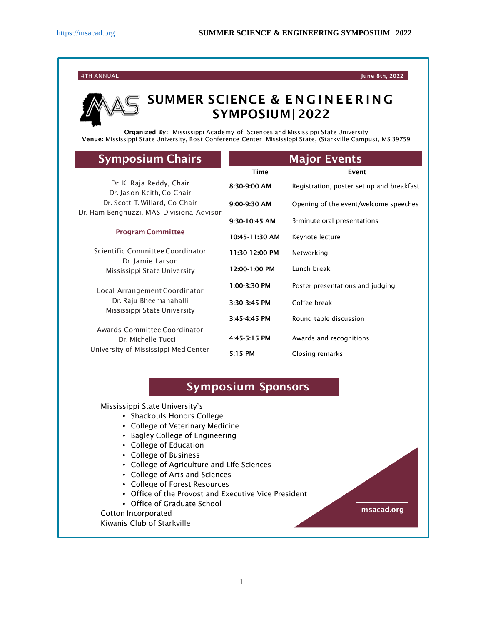4TH ANNUAL June 8th, 2022

## SUMMER SCIENCE & E NGINEERING SYMPOSIUM| 2022

Organized By: Mississippi Academy of Sciences and Mississippi State University Venue: Mississippi State University, Bost Conference Center Mississippi State, (Starkville Campus), MS 39759

| <b>Symposium Chairs</b>                                                                                                                                          | <b>Major Events</b> |                                           |
|------------------------------------------------------------------------------------------------------------------------------------------------------------------|---------------------|-------------------------------------------|
|                                                                                                                                                                  | Time                | Event                                     |
| Dr. K. Raja Reddy, Chair<br>Dr. Jason Keith, Co-Chair<br>Dr. Scott T. Willard, Co-Chair<br>Dr. Ham Benghuzzi, MAS Divisional Advisor<br><b>Program Committee</b> | 8:30-9:00 AM        | Registration, poster set up and breakfast |
|                                                                                                                                                                  | $9:00-9:30$ AM      | Opening of the event/welcome speeches     |
|                                                                                                                                                                  | $9:30-10:45$ AM     | 3-minute oral presentations               |
|                                                                                                                                                                  | $10:45-11:30$ AM    | Keynote lecture                           |
| Scientific Committee Coordinator                                                                                                                                 | $11:30-12:00$ PM    | Networking                                |
| Dr. Jamie Larson<br>Mississippi State University                                                                                                                 | $12:00-1:00$ PM     | Lunch break                               |
| Local Arrangement Coordinator<br>Dr. Raju Bheemanahalli<br>Mississippi State University                                                                          | $1:00-3:30$ PM      | Poster presentations and judging          |
|                                                                                                                                                                  | $3:30-3:45$ PM      | Coffee break                              |
|                                                                                                                                                                  | $3:45-4:45$ PM      | Round table discussion                    |
| Awards Committee Coordinator<br>Dr. Michelle Tucci<br>University of Mississippi Med Center                                                                       | 4:45-5:15 PM        | Awards and recognitions                   |
|                                                                                                                                                                  | 5:15 PM             | Closing remarks                           |

## Symposium Sponsors

Mississippi State University's

- Shackouls Honors College
- College of Veterinary Medicine
- Bagley College of Engineering
- College of Education
- College of Business
- College of Agriculture and Life Sciences
- College of Arts and Sciences
- College of Forest Resources
- Office of the Provost and Executive Vice President
- Office of Graduate School

Cotton Incorporated

Kiwanis Club of Starkville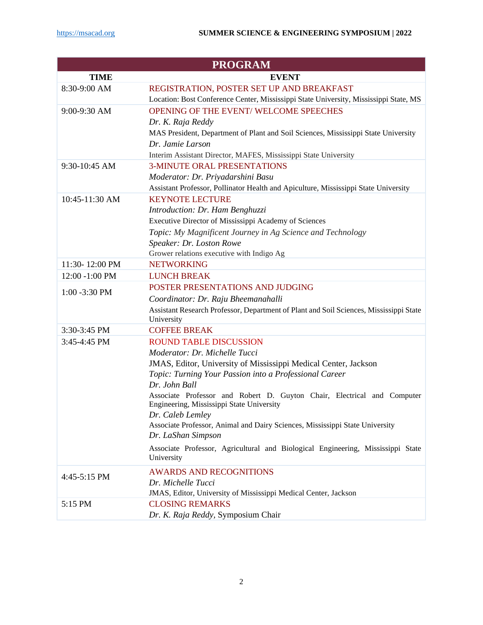|                  | <b>PROGRAM</b>                                                                                                       |
|------------------|----------------------------------------------------------------------------------------------------------------------|
| <b>TIME</b>      | <b>EVENT</b>                                                                                                         |
| 8:30-9:00 AM     | REGISTRATION, POSTER SET UP AND BREAKFAST                                                                            |
|                  | Location: Bost Conference Center, Mississippi State University, Mississippi State, MS                                |
| 9:00-9:30 AM     | OPENING OF THE EVENT/ WELCOME SPEECHES                                                                               |
|                  | Dr. K. Raja Reddy                                                                                                    |
|                  | MAS President, Department of Plant and Soil Sciences, Mississippi State University                                   |
|                  | Dr. Jamie Larson                                                                                                     |
|                  | Interim Assistant Director, MAFES, Mississippi State University                                                      |
| 9:30-10:45 AM    | <b>3-MINUTE ORAL PRESENTATIONS</b>                                                                                   |
|                  | Moderator: Dr. Priyadarshini Basu                                                                                    |
|                  | Assistant Professor, Pollinator Health and Apiculture, Mississippi State University                                  |
| 10:45-11:30 AM   | <b>KEYNOTE LECTURE</b>                                                                                               |
|                  | Introduction: Dr. Ham Benghuzzi                                                                                      |
|                  | Executive Director of Mississippi Academy of Sciences                                                                |
|                  | Topic: My Magnificent Journey in Ag Science and Technology                                                           |
|                  | Speaker: Dr. Loston Rowe                                                                                             |
|                  | Grower relations executive with Indigo Ag                                                                            |
| 11:30-12:00 PM   | <b>NETWORKING</b>                                                                                                    |
| 12:00 -1:00 PM   | <b>LUNCH BREAK</b>                                                                                                   |
| $1:00 - 3:30$ PM | POSTER PRESENTATIONS AND JUDGING                                                                                     |
|                  | Coordinator: Dr. Raju Bheemanahalli                                                                                  |
|                  | Assistant Research Professor, Department of Plant and Soil Sciences, Mississippi State                               |
|                  | University                                                                                                           |
| 3:30-3:45 PM     | <b>COFFEE BREAK</b>                                                                                                  |
| 3:45-4:45 PM     | <b>ROUND TABLE DISCUSSION</b>                                                                                        |
|                  | Moderator: Dr. Michelle Tucci                                                                                        |
|                  | JMAS, Editor, University of Mississippi Medical Center, Jackson                                                      |
|                  | Topic: Turning Your Passion into a Professional Career                                                               |
|                  | Dr. John Ball                                                                                                        |
|                  | Associate Professor and Robert D. Guyton Chair, Electrical and Computer<br>Engineering, Mississippi State University |
|                  | Dr. Caleb Lemley                                                                                                     |
|                  | Associate Professor, Animal and Dairy Sciences, Mississippi State University                                         |
|                  | Dr. LaShan Simpson                                                                                                   |
|                  | Associate Professor, Agricultural and Biological Engineering, Mississippi State                                      |
|                  | University                                                                                                           |
| 4:45-5:15 PM     | <b>AWARDS AND RECOGNITIONS</b>                                                                                       |
|                  | Dr. Michelle Tucci                                                                                                   |
|                  | JMAS, Editor, University of Mississippi Medical Center, Jackson                                                      |
| 5:15 PM          | <b>CLOSING REMARKS</b>                                                                                               |
|                  | Dr. K. Raja Reddy, Symposium Chair                                                                                   |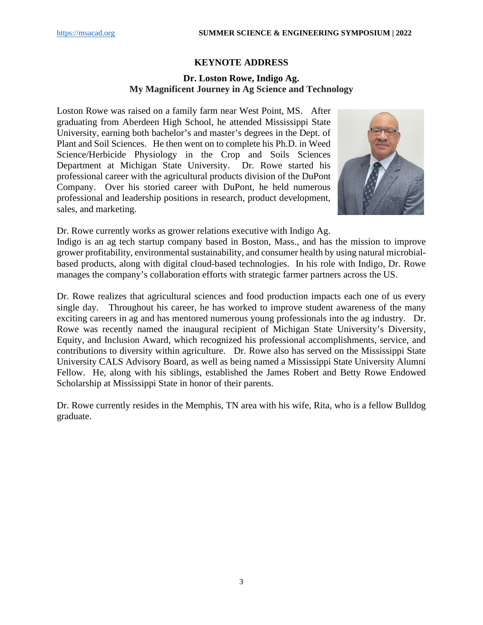## **KEYNOTE ADDRESS**

## **Dr. Loston Rowe, Indigo Ag. My Magnificent Journey in Ag Science and Technology**

Loston Rowe was raised on a family farm near West Point, MS. After graduating from Aberdeen High School, he attended Mississippi State University, earning both bachelor's and master's degrees in the Dept. of Plant and Soil Sciences. He then went on to complete his Ph.D. in Weed Science/Herbicide Physiology in the Crop and Soils Sciences Department at Michigan State University. Dr. Rowe started his professional career with the agricultural products division of the DuPont Company. Over his storied career with DuPont, he held numerous professional and leadership positions in research, product development, sales, and marketing.



Dr. Rowe currently works as grower relations executive with Indigo Ag.

Indigo is an ag tech startup company based in Boston, Mass., and has the mission to improve grower profitability, environmental sustainability, and consumer health by using natural microbialbased products, along with digital cloud-based technologies. In his role with Indigo, Dr. Rowe manages the company's collaboration efforts with strategic farmer partners across the US.

Dr. Rowe realizes that agricultural sciences and food production impacts each one of us every single day. Throughout his career, he has worked to improve student awareness of the many exciting careers in ag and has mentored numerous young professionals into the ag industry. Dr. Rowe was recently named the inaugural recipient of Michigan State University's Diversity, Equity, and Inclusion Award, which recognized his professional accomplishments, service, and contributions to diversity within agriculture. Dr. Rowe also has served on the Mississippi State University CALS Advisory Board, as well as being named a Mississippi State University Alumni Fellow. He, along with his siblings, established the James Robert and Betty Rowe Endowed Scholarship at Mississippi State in honor of their parents.

Dr. Rowe currently resides in the Memphis, TN area with his wife, Rita, who is a fellow Bulldog graduate.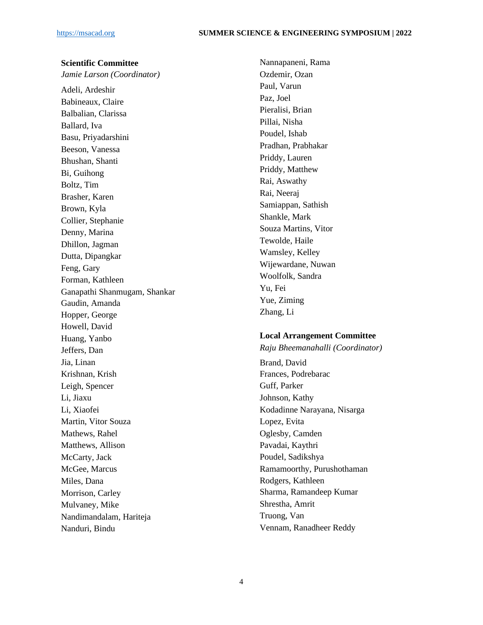## **Scientific Committee**

*Jamie Larson (Coordinator)*

Adeli, Ardeshir Babineaux, Claire Balbalian, Clarissa Ballard, Iva Basu, Priyadarshini Beeson, Vanessa Bhushan, Shanti Bi, Guihong Boltz, Tim Brasher, Karen Brown, Kyla Collier, Stephanie Denny, Marina Dhillon, Jagman Dutta, Dipangkar Feng, Gary Forman, Kathleen Ganapathi Shanmugam, Shankar Gaudin, Amanda Hopper, George Howell, David Huang, Yanbo Jeffers, Dan Jia, Linan Krishnan, Krish Leigh, Spencer Li, Jiaxu Li, Xiaofei Martin, Vitor Souza Mathews, Rahel Matthews, Allison McCarty, Jack McGee, Marcus Miles, Dana Morrison, Carley Mulvaney, Mike Nandimandalam, Hariteja Nanduri, Bindu

Nannapaneni, Rama Ozdemir, Ozan Paul, Varun Paz, Joel Pieralisi, Brian Pillai, Nisha Poudel, Ishab Pradhan, Prabhakar Priddy, Lauren Priddy, Matthew Rai, Aswathy Rai, Neeraj Samiappan, Sathish Shankle, Mark Souza Martins, Vitor Tewolde, Haile Wamsley, Kelley Wijewardane, Nuwan Woolfolk, Sandra Yu, Fei Yue, Ziming Zhang, Li

## **Local Arrangement Committee**

*Raju Bheemanahalli (Coordinator)*

Brand, David Frances, Podrebarac Guff, Parker Johnson, Kathy Kodadinne Narayana, Nisarga Lopez, Evita Oglesby, Camden Pavadai, Kaythri Poudel, Sadikshya Ramamoorthy, Purushothaman Rodgers, Kathleen Sharma, Ramandeep Kumar Shrestha, Amrit Truong, Van Vennam, Ranadheer Reddy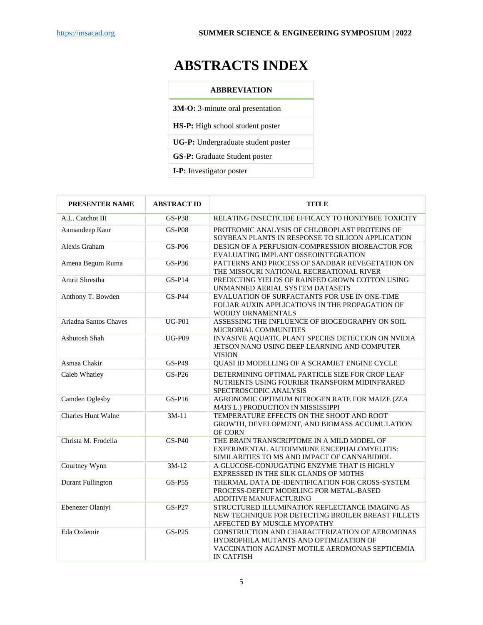# **ABSTRACTS INDEX**

**3M-O:** 3-minute oral presentation

**HS-P:** High school student poster

**UG-P:** Undergraduate student poster

**GS-P:** Graduate Student poster

**I-P:** Investigator poster

| <b>PRESENTER NAME</b>     | <b>ABSTRACT ID</b> | <b>TITLE</b>                                                                                                                                                     |  |
|---------------------------|--------------------|------------------------------------------------------------------------------------------------------------------------------------------------------------------|--|
| A.L. Catchot III          | <b>GS-P38</b>      | RELATING INSECTICIDE EFFICACY TO HONEYBEE TOXICITY                                                                                                               |  |
| Aamandeep Kaur            | <b>GS-P08</b>      | PROTEOMIC ANALYSIS OF CHLOROPLAST PROTEINS OF<br>SOYBEAN PLANTS IN RESPONSE TO SILICON APPLICATION                                                               |  |
| Alexis Graham             | <b>GS-P06</b>      | DESIGN OF A PERFUSION-COMPRESSION BIOREACTOR FOR<br>EVALUATING IMPLANT OSSEOINTEGRATION                                                                          |  |
| Amena Begum Ruma          | $GS-P36$           | PATTERNS AND PROCESS OF SANDBAR REVEGETATION ON<br>THE MISSOURI NATIONAL RECREATIONAL RIVER                                                                      |  |
| Amrit Shrestha            | $GS-P14$           | PREDICTING YIELDS OF RAINFED GROWN COTTON USING<br>UNMANNED AERIAL SYSTEM DATASETS                                                                               |  |
| Anthony T. Bowden         | <b>GS-P44</b>      | EVALUATION OF SURFACTANTS FOR USE IN ONE-TIME<br>FOLIAR AUXIN APPLICATIONS IN THE PROPAGATION OF<br>WOODY ORNAMENTALS                                            |  |
| Ariadna Santos Chaves     | $UG-P01$           | ASSESSING THE INFLUENCE OF BIOGEOGRAPHY ON SOIL<br>MICROBIAL COMMUNITIES                                                                                         |  |
| <b>Ashutosh Shah</b>      | <b>UG-P09</b>      | INVASIVE AQUATIC PLANT SPECIES DETECTION ON NVIDIA<br>JETSON NANO USING DEEP LEARNING AND COMPUTER<br><b>VISION</b>                                              |  |
| Asmaa Chakir              | GS-P49             | QUASI ID MODELLING OF A SCRAMJET ENGINE CYCLE                                                                                                                    |  |
| Caleb Whatley             | GS-P26             | DETERMINING OPTIMAL PARTICLE SIZE FOR CROP LEAF<br>NUTRIENTS USING FOURIER TRANSFORM MIDINFRARED<br>SPECTROSCOPIC ANALYSIS                                       |  |
| Camden Oglesby            | $GS-P16$           | AGRONOMIC OPTIMUM NITROGEN RATE FOR MAIZE (ZEA<br>MAYS L.) PRODUCTION IN MISSISSIPPI                                                                             |  |
| <b>Charles Hunt Walne</b> | $3M-11$            | TEMPERATURE EFFECTS ON THE SHOOT AND ROOT<br>GROWTH, DEVELOPMENT, AND BIOMASS ACCUMULATION<br>OF CORN                                                            |  |
| Christa M. Frodella       | $GS-P40$           | THE BRAIN TRANSCRIPTOME IN A MILD MODEL OF<br>EXPERIMENTAL AUTOIMMUNE ENCEPHALOMYELITIS:<br>SIMILARITIES TO MS AND IMPACT OF CANNABIDIOL                         |  |
| Courtney Wynn             | $3M-12$            | A GLUCOSE-CONJUGATING ENZYME THAT IS HIGHLY<br>EXPRESSED IN THE SILK GLANDS OF MOTHS                                                                             |  |
| <b>Durant Fullington</b>  | <b>GS-P55</b>      | THERMAL DATA DE-IDENTIFICATION FOR CROSS-SYSTEM<br>PROCESS-DEFECT MODELING FOR METAL-BASED<br>ADDITIVE MANUFACTURING                                             |  |
| Ebenezer Olaniyi          | <b>GS-P27</b>      | STRUCTURED ILLUMINATION REFLECTANCE IMAGING AS<br>NEW TECHNIQUE FOR DETECTING BROILER BREAST FILLETS<br>AFFECTED BY MUSCLE MYOPATHY                              |  |
| Eda Ozdemir               | GS-P25             | CONSTRUCTION AND CHARACTERIZATION OF AEROMONAS<br>HYDROPHILA MUTANTS AND OPTIMIZATION OF<br>VACCINATION AGAINST MOTILE AEROMONAS SEPTICEMIA<br><b>IN CATFISH</b> |  |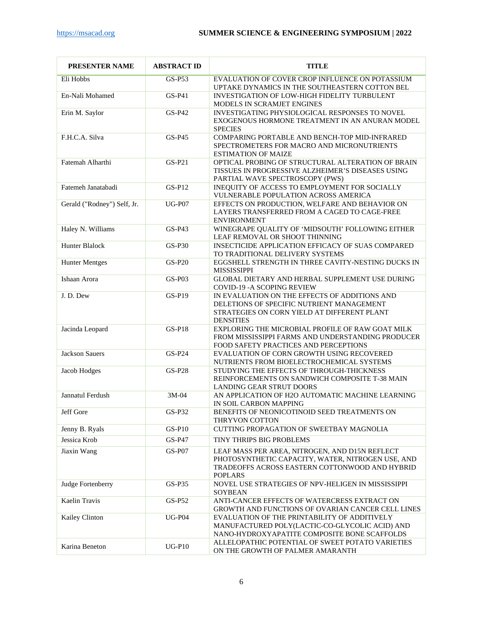| <b>PRESENTER NAME</b>       | <b>ABSTRACT ID</b> | <b>TITLE</b>                                                                                                                                                            |  |
|-----------------------------|--------------------|-------------------------------------------------------------------------------------------------------------------------------------------------------------------------|--|
| Eli Hobbs                   | $GS-P53$           | EVALUATION OF COVER CROP INFLUENCE ON POTASSIUM<br>UPTAKE DYNAMICS IN THE SOUTHEASTERN COTTON BEL                                                                       |  |
| En-Nali Mohamed             | $GS-P41$           | INVESTIGATION OF LOW-HIGH FIDELITY TURBULENT<br>MODELS IN SCRAMJET ENGINES                                                                                              |  |
| Erin M. Saylor              | $GS-P42$           | INVESTIGATING PHYSIOLOGICAL RESPONSES TO NOVEL<br>EXOGENOUS HORMONE TREATMENT IN AN ANURAN MODEL<br><b>SPECIES</b>                                                      |  |
| F.H.C.A. Silva              | $GS-P45$           | COMPARING PORTABLE AND BENCH-TOP MID-INFRARED<br>SPECTROMETERS FOR MACRO AND MICRONUTRIENTS<br><b>ESTIMATION OF MAIZE</b>                                               |  |
| Fatemah Alharthi            | $GS-P21$           | OPTICAL PROBING OF STRUCTURAL ALTERATION OF BRAIN<br>TISSUES IN PROGRESSIVE ALZHEIMER'S DISEASES USING<br>PARTIAL WAVE SPECTROSCOPY (PWS)                               |  |
| Fatemeh Janatabadi          | $GS-P12$           | INEQUITY OF ACCESS TO EMPLOYMENT FOR SOCIALLY<br>VULNERABLE POPULATION ACROSS AMERICA                                                                                   |  |
| Gerald ("Rodney") Self, Jr. | <b>UG-P07</b>      | EFFECTS ON PRODUCTION, WELFARE AND BEHAVIOR ON<br>LAYERS TRANSFERRED FROM A CAGED TO CAGE-FREE<br><b>ENVIRONMENT</b>                                                    |  |
| Haley N. Williams           | $GS-P43$           | WINEGRAPE QUALITY OF 'MIDSOUTH' FOLLOWING EITHER<br>LEAF REMOVAL OR SHOOT THINNING                                                                                      |  |
| Hunter Blalock              | $GS-P30$           | INSECTICIDE APPLICATION EFFICACY OF SUAS COMPARED<br>TO TRADITIONAL DELIVERY SYSTEMS                                                                                    |  |
| <b>Hunter Mentges</b>       | <b>GS-P20</b>      | EGGSHELL STRENGTH IN THREE CAVITY-NESTING DUCKS IN<br><b>MISSISSIPPI</b>                                                                                                |  |
| Ishaan Arora                | GS-P03             | GLOBAL DIETARY AND HERBAL SUPPLEMENT USE DURING<br>COVID-19 - A SCOPING REVIEW                                                                                          |  |
| J.D.Dew                     | GS-P19             | IN EVALUATION ON THE EFFECTS OF ADDITIONS AND<br>DELETIONS OF SPECIFIC NUTRIENT MANAGEMENT<br>STRATEGIES ON CORN YIELD AT DIFFERENT PLANT<br><b>DENSITIES</b>           |  |
| Jacinda Leopard             | $GS-P18$           | EXPLORING THE MICROBIAL PROFILE OF RAW GOAT MILK<br>FROM MISSISSIPPI FARMS AND UNDERSTANDING PRODUCER<br>FOOD SAFETY PRACTICES AND PERCEPTIONS                          |  |
| <b>Jackson Sauers</b>       | $GS-P24$           | EVALUATION OF CORN GROWTH USING RECOVERED<br>NUTRIENTS FROM BIOELECTROCHEMICAL SYSTEMS                                                                                  |  |
| Jacob Hodges                | <b>GS-P28</b>      | STUDYING THE EFFECTS OF THROUGH-THICKNESS<br>REINFORCEMENTS ON SANDWICH COMPOSITE T-38 MAIN<br><b>LANDING GEAR STRUT DOORS</b>                                          |  |
| Jannatul Ferdush            | $3M-04$            | AN APPLICATION OF H2O AUTOMATIC MACHINE LEARNING<br>IN SOIL CARBON MAPPING                                                                                              |  |
| Jeff Gore                   | $GS-P32$           | BENEFITS OF NEONICOTINOID SEED TREATMENTS ON<br>THRYVON COTTON                                                                                                          |  |
| Jenny B. Ryals              | <b>GS-P10</b>      | <b>CUTTING PROPAGATION OF SWEETBAY MAGNOLIA</b>                                                                                                                         |  |
| Jessica Krob                | GS-P47             | TINY THRIPS BIG PROBLEMS                                                                                                                                                |  |
| Jiaxin Wang                 | <b>GS-P07</b>      | LEAF MASS PER AREA, NITROGEN, AND D15N REFLECT<br>PHOTOSYNTHETIC CAPACITY, WATER, NITROGEN USE, AND<br>TRADEOFFS ACROSS EASTERN COTTONWOOD AND HYBRID<br><b>POPLARS</b> |  |
| Judge Fortenberry           | $GS-P35$           | NOVEL USE STRATEGIES OF NPV-HELIGEN IN MISSISSIPPI<br>SOYBEAN                                                                                                           |  |
| Kaelin Travis               | GS-P52             | ANTI-CANCER EFFECTS OF WATERCRESS EXTRACT ON<br>GROWTH AND FUNCTIONS OF OVARIAN CANCER CELL LINES                                                                       |  |
| Kailey Clinton              | <b>UG-P04</b>      | EVALUATION OF THE PRINTABILITY OF ADDITIVELY<br>MANUFACTURED POLY(LACTIC-CO-GLYCOLIC ACID) AND<br>NANO-HYDROXYAPATITE COMPOSITE BONE SCAFFOLDS                          |  |
| Karina Beneton              | $UG-P10$           | ALLELOPATHIC POTENTIAL OF SWEET POTATO VARIETIES<br>ON THE GROWTH OF PALMER AMARANTH                                                                                    |  |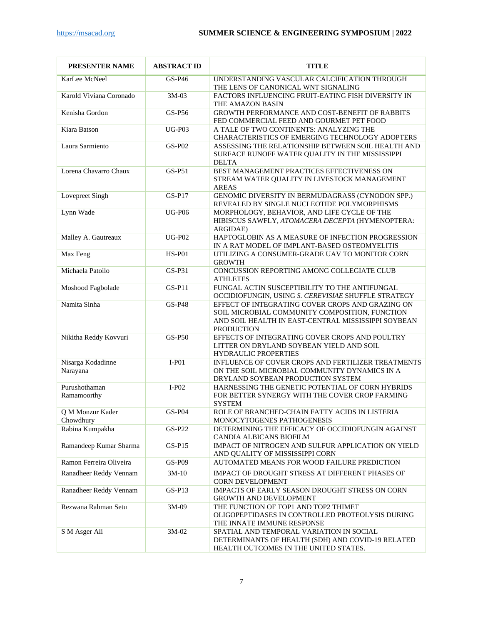| PRESENTER NAME                | <b>ABSTRACT ID</b> | <b>TITLE</b>                                                                                                                                                                   |  |
|-------------------------------|--------------------|--------------------------------------------------------------------------------------------------------------------------------------------------------------------------------|--|
| KarLee McNeel                 | $GS-P46$           | UNDERSTANDING VASCULAR CALCIFICATION THROUGH<br>THE LENS OF CANONICAL WNT SIGNALING                                                                                            |  |
| Karold Viviana Coronado       | 3M-03              | FACTORS INFLUENCING FRUIT-EATING FISH DIVERSITY IN<br>THE AMAZON BASIN                                                                                                         |  |
| Kenisha Gordon                | $GS-P56$           | GROWTH PERFORMANCE AND COST-BENEFIT OF RABBITS<br>FED COMMERCIAL FEED AND GOURMET PET FOOD                                                                                     |  |
| Kiara Batson                  | $UG-P03$           | A TALE OF TWO CONTINENTS: ANALYZING THE<br>CHARACTERISTICS OF EMERGING TECHNOLOGY ADOPTERS                                                                                     |  |
| Laura Sarmiento               | $GS-P02$           | ASSESSING THE RELATIONSHIP BETWEEN SOIL HEALTH AND<br>SURFACE RUNOFF WATER QUALITY IN THE MISSISSIPPI<br><b>DELTA</b>                                                          |  |
| Lorena Chavarro Chaux         | $GS-P51$           | BEST MANAGEMENT PRACTICES EFFECTIVENESS ON<br>STREAM WATER QUALITY IN LIVESTOCK MANAGEMENT<br><b>AREAS</b>                                                                     |  |
| Lovepreet Singh               | $GS-P17$           | GENOMIC DIVERSITY IN BERMUDAGRASS (CYNODON SPP.)<br>REVEALED BY SINGLE NUCLEOTIDE POLYMORPHISMS                                                                                |  |
| Lynn Wade                     | <b>UG-P06</b>      | MORPHOLOGY, BEHAVIOR, AND LIFE CYCLE OF THE<br>HIBISCUS SAWFLY, ATOMACERA DECEPTA (HYMENOPTERA:<br>ARGIDAE)                                                                    |  |
| Malley A. Gautreaux           | <b>UG-P02</b>      | HAPTOGLOBIN AS A MEASURE OF INFECTION PROGRESSION<br>IN A RAT MODEL OF IMPLANT-BASED OSTEOMYELITIS                                                                             |  |
| Max Feng                      | <b>HS-P01</b>      | UTILIZING A CONSUMER-GRADE UAV TO MONITOR CORN<br><b>GROWTH</b>                                                                                                                |  |
| Michaela Patoilo              | GS-P31             | CONCUSSION REPORTING AMONG COLLEGIATE CLUB<br><b>ATHLETES</b>                                                                                                                  |  |
| Moshood Fagbolade             | $GS-P11$           | FUNGAL ACTIN SUSCEPTIBILITY TO THE ANTIFUNGAL<br>OCCIDIOFUNGIN, USING S. CEREVISIAE SHUFFLE STRATEGY                                                                           |  |
| Namita Sinha                  | <b>GS-P48</b>      | EFFECT OF INTEGRATING COVER CROPS AND GRAZING ON<br>SOIL MICROBIAL COMMUNITY COMPOSITION, FUNCTION<br>AND SOIL HEALTH IN EAST-CENTRAL MISSISSIPPI SOYBEAN<br><b>PRODUCTION</b> |  |
| Nikitha Reddy Kovvuri         | <b>GS-P50</b>      | EFFECTS OF INTEGRATING COVER CROPS AND POULTRY<br>LITTER ON DRYLAND SOYBEAN YIELD AND SOIL<br><b>HYDRAULIC PROPERTIES</b>                                                      |  |
| Nisarga Kodadinne<br>Narayana | $I-P01$            | INFLUENCE OF COVER CROPS AND FERTILIZER TREATMENTS<br>ON THE SOIL MICROBIAL COMMUNITY DYNAMICS IN A<br>DRYLAND SOYBEAN PRODUCTION SYSTEM                                       |  |
| Purushothaman<br>Ramamoorthy  | $I-P02$            | HARNESSING THE GENETIC POTENTIAL OF CORN HYBRIDS<br>FOR BETTER SYNERGY WITH THE COVER CROP FARMING<br><b>SYSTEM</b>                                                            |  |
| Q M Monzur Kader<br>Chowdhury | $GS-P04$           | ROLE OF BRANCHED-CHAIN FATTY ACIDS IN LISTERIA<br>MONOCYTOGENES PATHOGENESIS                                                                                                   |  |
| Rabina Kumpakha               | <b>GS-P22</b>      | DETERMINING THE EFFICACY OF OCCIDIOFUNGIN AGAINST<br>CANDIA ALBICANS BIOFILM                                                                                                   |  |
| Ramandeep Kumar Sharma        | $GS-P15$           | IMPACT OF NITROGEN AND SULFUR APPLICATION ON YIELD<br>AND QUALITY OF MISSISSIPPI CORN                                                                                          |  |
| Ramon Ferreira Oliveira       | GS-P09             | AUTOMATED MEANS FOR WOOD FAILURE PREDICTION                                                                                                                                    |  |
| Ranadheer Reddy Vennam        | $3M-10$            | IMPACT OF DROUGHT STRESS AT DIFFERENT PHASES OF<br>CORN DEVELOPMENT                                                                                                            |  |
| Ranadheer Reddy Vennam        | $GS-P13$           | IMPACTS OF EARLY SEASON DROUGHT STRESS ON CORN<br>GROWTH AND DEVELOPMENT                                                                                                       |  |
| Rezwana Rahman Setu           | 3M-09              | THE FUNCTION OF TOP1 AND TOP2 THIMET<br>OLIGOPEPTIDASES IN CONTROLLED PROTEOLYSIS DURING<br>THE INNATE IMMUNE RESPONSE                                                         |  |
| S M Asger Ali                 | $3M-02$            | SPATIAL AND TEMPORAL VARIATION IN SOCIAL<br>DETERMINANTS OF HEALTH (SDH) AND COVID-19 RELATED<br>HEALTH OUTCOMES IN THE UNITED STATES.                                         |  |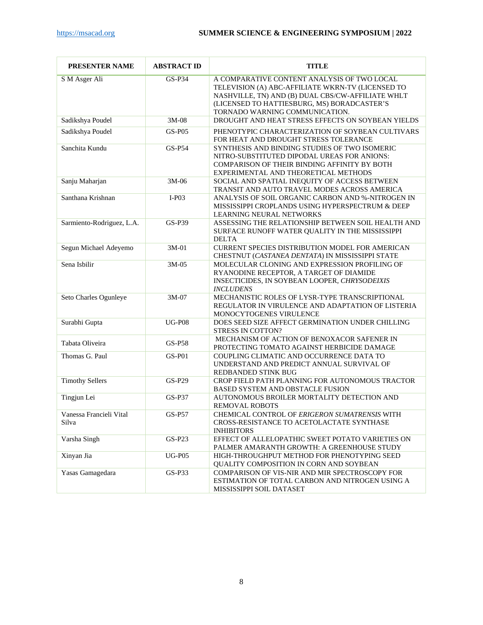| PRESENTER NAME                   | <b>ABSTRACT ID</b> | <b>TITLE</b>                                                                                                                                                                                                                           |
|----------------------------------|--------------------|----------------------------------------------------------------------------------------------------------------------------------------------------------------------------------------------------------------------------------------|
| S M Asger Ali                    | GS-P34             | A COMPARATIVE CONTENT ANALYSIS OF TWO LOCAL<br>TELEVISION (A) ABC-AFFILIATE WKRN-TV (LICENSED TO<br>NASHVILLE, TN) AND (B) DUAL CBS/CW-AFFILIATE WHLT<br>(LICENSED TO HATTIESBURG, MS) BORADCASTER'S<br>TORNADO WARNING COMMUNICATION. |
| Sadikshya Poudel                 | 3M-08              | DROUGHT AND HEAT STRESS EFFECTS ON SOYBEAN YIELDS                                                                                                                                                                                      |
| Sadikshya Poudel                 | <b>GS-P05</b>      | PHENOTYPIC CHARACTERIZATION OF SOYBEAN CULTIVARS<br>FOR HEAT AND DROUGHT STRESS TOLERANCE                                                                                                                                              |
| Sanchita Kundu                   | GS-P54             | SYNTHESIS AND BINDING STUDIES OF TWO ISOMERIC<br>NITRO-SUBSTITUTED DIPODAL UREAS FOR ANIONS:<br>COMPARISON OF THEIR BINDING AFFINITY BY BOTH<br>EXPERIMENTAL AND THEORETICAL METHODS                                                   |
| Sanju Maharjan                   | 3M-06              | SOCIAL AND SPATIAL INEQUITY OF ACCESS BETWEEN<br>TRANSIT AND AUTO TRAVEL MODES ACROSS AMERICA                                                                                                                                          |
| Santhana Krishnan                | $I-P03$            | ANALYSIS OF SOIL ORGANIC CARBON AND %-NITROGEN IN<br>MISSISSIPPI CROPLANDS USING HYPERSPECTRUM & DEEP<br>LEARNING NEURAL NETWORKS                                                                                                      |
| Sarmiento-Rodriguez, L.A.        | $GS-P39$           | ASSESSING THE RELATIONSHIP BETWEEN SOIL HEALTH AND<br>SURFACE RUNOFF WATER QUALITY IN THE MISSISSIPPI<br><b>DELTA</b>                                                                                                                  |
| Segun Michael Adeyemo            | $3M-01$            | <b>CURRENT SPECIES DISTRIBUTION MODEL FOR AMERICAN</b><br>CHESTNUT (CASTANEA DENTATA) IN MISSISSIPPI STATE                                                                                                                             |
| Sena Isbilir                     | $3M-05$            | MOLECULAR CLONING AND EXPRESSION PROFILING OF<br>RYANODINE RECEPTOR, A TARGET OF DIAMIDE<br>INSECTICIDES, IN SOYBEAN LOOPER, CHRYSODEIXIS<br><b>INCLUDENS</b>                                                                          |
| Seto Charles Ogunleye            | 3M-07              | MECHANISTIC ROLES OF LYSR-TYPE TRANSCRIPTIONAL<br>REGULATOR IN VIRULENCE AND ADAPTATION OF LISTERIA<br>MONOCYTOGENES VIRULENCE                                                                                                         |
| Surabhi Gupta                    | <b>UG-P08</b>      | DOES SEED SIZE AFFECT GERMINATION UNDER CHILLING<br><b>STRESS IN COTTON?</b>                                                                                                                                                           |
| Tabata Oliveira                  | <b>GS-P58</b>      | MECHANISM OF ACTION OF BENOXACOR SAFENER IN<br>PROTECTING TOMATO AGAINST HERBICIDE DAMAGE                                                                                                                                              |
| Thomas G. Paul                   | <b>GS-P01</b>      | COUPLING CLIMATIC AND OCCURRENCE DATA TO<br>UNDERSTAND AND PREDICT ANNUAL SURVIVAL OF<br>REDBANDED STINK BUG                                                                                                                           |
| <b>Timothy Sellers</b>           | GS-P29             | CROP FIELD PATH PLANNING FOR AUTONOMOUS TRACTOR<br>BASED SYSTEM AND OBSTACLE FUSION                                                                                                                                                    |
| Tingjun Lei                      | <b>GS-P37</b>      | AUTONOMOUS BROILER MORTALITY DETECTION AND<br><b>REMOVAL ROBOTS</b>                                                                                                                                                                    |
| Vanessa Francieli Vital<br>Silva | GS-P57             | CHEMICAL CONTROL OF ERIGERON SUMATRENSIS WITH<br>CROSS-RESISTANCE TO ACETOLACTATE SYNTHASE<br><b>INHIBITORS</b>                                                                                                                        |
| Varsha Singh                     | $GS-P23$           | EFFECT OF ALLELOPATHIC SWEET POTATO VARIETIES ON<br>PALMER AMARANTH GROWTH: A GREENHOUSE STUDY                                                                                                                                         |
| Xinyan Jia                       | <b>UG-P05</b>      | HIGH-THROUGHPUT METHOD FOR PHENOTYPING SEED<br>QUALITY COMPOSITION IN CORN AND SOYBEAN                                                                                                                                                 |
| Yasas Gamagedara                 | $GS-P33$           | COMPARISON OF VIS-NIR AND MIR SPECTROSCOPY FOR<br>ESTIMATION OF TOTAL CARBON AND NITROGEN USING A<br>MISSISSIPPI SOIL DATASET                                                                                                          |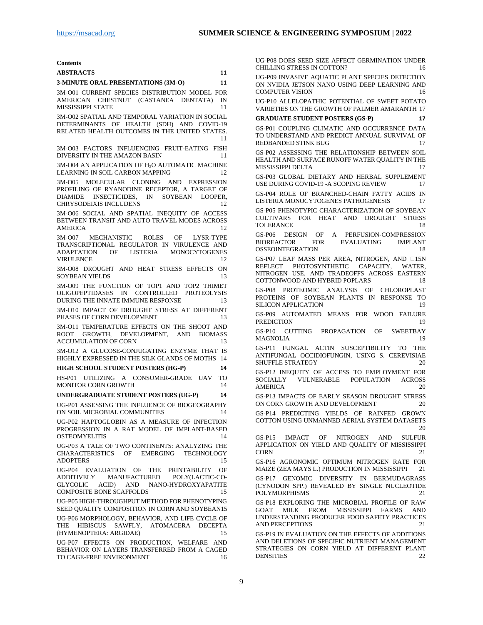| Contents |
|----------|
|----------|

| <b>ABSTRACTS</b> |  |
|------------------|--|
|                  |  |

## **[3-MINUTE ORAL PRESENTATIONS \(3M-O\)](#page-10-1) [11](#page-10-1)**

3M-O01 CURRENT [SPECIES DISTRIBUTION MODEL FOR](#page-10-2)  [AMERICAN CHESTNUT \(CASTANEA DENTATA\) IN](#page-10-2)  [MISSISSIPPI STATE](#page-10-2) 11

[3M-O02 SPATIAL AND TEMPORAL VARIATION IN SOCIAL](#page-10-3)  [DETERMINANTS OF HEALTH \(SDH\) AND COVID-19](#page-10-3)  [RELATED HEALTH OUTCOMES IN THE UNITED STATES.](#page-10-3) [11](#page-10-3)

[3M-O03 FACTORS INFLUENCING FRUIT-EATING FISH](#page-10-4)  [DIVERSITY IN THE AMAZON BASIN](#page-10-4) 11

3M-O04 AN APPLICATION OF H<sub>2</sub>O AUTOMATIC MACHINE [LEARNING IN SOIL CARBON MAPPING](#page-11-0) 12

[3M-O05 MOLECULAR CLONING AND EXPRESSION](#page-11-1)  [PROFILING OF RYANODINE RECEPTOR, A TARGET OF](#page-11-1)  [DIAMIDE INSECTICIDES, IN SOYBEAN LOOPER,](#page-11-1)  [CHRYSODEIXIS INCLUDENS](#page-11-1) 12

[3M-O06 SOCIAL AND SPATIAL INEQUITY OF ACCESS](#page-11-2)  [BETWEEN TRANSIT AND AUTO TRAVEL MODES ACROSS](#page-11-2)  [AMERICA](#page-11-2) 12

[3M-O07 MECHANISTIC ROLES OF LYSR-TYPE](#page-11-3)  [TRANSCRIPTIONAL REGULATOR IN VIRULENCE AND](#page-11-3)  [ADAPTATION OF LISTERIA MONOCYTOGENES](#page-11-3)  [VIRULENCE](#page-11-3) 12

[3M-O08 DROUGHT AND HEAT STRESS EFFECTS ON](#page-12-0)  [SOYBEAN YIELDS](#page-12-0) 13

[3M-O09 THE FUNCTION OF TOP1 AND TOP2 THIMET](#page-12-1)  [OLIGOPEPTIDASES IN CONTROLLED PROTEOLYSIS](#page-12-1)  [DURING THE INNATE IMMUNE RESPONSE](#page-12-1) 13

[3M-O10 IMPACT OF DROUGHT STRESS AT DIFFERENT](#page-12-2)  [PHASES OF CORN DEVELOPMENT](#page-12-2) 13

[3M-O11 TEMPERATURE EFFECTS ON THE SHOOT AND](#page-12-3)  [ROOT GROWTH, DEVELOPMENT, AND BIOMASS](#page-12-3)  [ACCUMULATION OF CORN](#page-12-3) 13

[3M-O12 A GLUCOSE-CONJUGATING ENZYME THAT IS](#page-13-0)  [HIGHLY EXPRESSED IN THE SILK GLANDS OF MOTHS](#page-13-0) 14

**[HIGH SCHOOL STUDENT POSTERS \(HG-P\)](#page-13-1) [14](#page-13-1)**

[HS-P01 UTILIZING A CONSUMER-GRADE UAV TO](#page-13-2)  [MONITOR CORN GROWTH](#page-13-2) 14

**UNDERGRADUATE [STUDENT POSTERS \(UG-P\)](#page-13-3) [14](#page-13-3)**

[UG-P01 ASSESSING THE INFLUENCE OF BIOGEOGRAPHY](#page-13-4)  [ON SOIL MICROBIAL COMMUNITIES](#page-13-4) 14

[UG-P02 HAPTOGLOBIN AS A MEASURE OF INFECTION](#page-13-5)  [PROGRESSION IN A RAT MODEL OF IMPLANT-BASED](#page-13-5)  [OSTEOMYELITIS](#page-13-5) 14

[UG-P03 A TALE OF TWO CONTINENTS: ANALYZING THE](#page-14-0)  [CHARACTERISTICS OF EMERGING TECHNOLOGY](#page-14-0)  [ADOPTERS](#page-14-0) 15

[UG-P04 EVALUATION OF THE PRINTABILITY OF](#page-14-1) ADDITIVELY MANUFACTURED POLY(LACTIC-CO-POLY(LACTIC-CO-[GLYCOLIC ACID\) AND NANO-HYDROXYAPATITE](#page-14-1)  [COMPOSITE BONE SCAFFOLDS](#page-14-1) 15

[UG-P05 HIGH-THROUGHPUT METHOD FOR PHENOTYPING](#page-14-2)  [SEED QUALITY COMPOSITION IN CORN AND SOYBEAN15](#page-14-2)

[UG-P06 MORPHOLOGY, BEHAVIOR, AND LIFE CYCLE OF](#page-14-3)  [THE HIBISCUS SAWFLY, ATOMACERA DECEPTA](#page-14-3)  [\(HYMENOPTERA: ARGIDAE\)](#page-14-3) 15

[UG-P07 EFFECTS ON PRODUCTION, WELFARE AND](#page-15-0)  [BEHAVIOR ON LAYERS TRANSFERRED FROM A CAGED](#page-15-0)  [TO CAGE-FREE ENVIRONMENT](#page-15-0) 16 [UG-P08 DOES SEED SIZE AFFECT GERMINATION UNDER](#page-15-1)  [CHILLING STRESS IN COTTON?](#page-15-1) 16

[UG-P09 INVASIVE AQUATIC PLANT SPECIES DETECTION](#page-15-2)  [ON NVIDIA JETSON NANO USING DEEP LEARNING AND](#page-15-2)  [COMPUTER VISION](#page-15-2) 16

[UG-P10 ALLELOPATHIC POTENTIAL OF SWEET POTATO](#page-16-0)  [VARIETIES ON THE GROWTH OF PALMER AMARANTH](#page-16-0) 17

#### **[GRADUATE STUDENT POSTERS \(GS-P\)](#page-16-1) [17](#page-16-1)**

[GS-P01 COUPLING CLIMATIC AND OCCURRENCE DATA](#page-16-2)  [TO UNDERSTAND AND PREDICT ANNUAL SURVIVAL OF](#page-16-2)  [REDBANDED STINK BUG](#page-16-2) 17

[GS-P02 ASSESSING THE RELATIONSHIP BETWEEN SOIL](#page-16-3)  [HEALTH AND SURFACE RUNOFF WATER QUALITY IN THE](#page-16-3)  [MISSISSIPPI DELTA](#page-16-3) 17

[GS-P03 GLOBAL DIETARY AND HERBAL SUPPLEMENT](#page-16-4)  USE DURING COVID-19 - A SCOPING REVIEW 17

[GS-P04 ROLE OF BRANCHED-CHAIN FATTY ACIDS IN](#page-16-5)  [LISTERIA MONOCYTOGENES PATHOGENESIS](#page-16-5) 17

[GS-P05 PHENOTYPIC CHARACTERIZATION OF SOYBEAN](#page-17-0)  CULTIVARS FOR HEAT AND DROUGHT STRESS<br>TOLERANCE 18 **[TOLERANCE](#page-17-0)** 

GS-P06 DESIGN OF A PERFUSION-COMPRESSION<br>BIOREACTOR FOR EVALUATING IMPLANT **EVALUATING** [OSSEOINTEGRATION](#page-17-1) 18

[GS-P07 LEAF MASS PER AREA, NITROGEN, AND](#page-17-2) 15N [REFLECT PHOTOSYNTHETIC CAPACITY, WATER,](#page-17-2)  [NITROGEN USE, AND TRADEOFFS ACROSS EASTERN](#page-17-2)  [COTTONWOOD AND HYBRID POPLARS](#page-17-2) 18

[GS-P08 PROTEOMIC ANALYSIS OF CHLOROPLAST](#page-18-0)  [PROTEINS OF SOYBEAN PLANTS IN RESPONSE TO](#page-18-0)  [SILICON APPLICATION](#page-18-0) 19

[GS-P09 AUTOMATED MEANS FOR WOOD FAILURE](#page-18-1)  [PREDICTION](#page-18-1) 19

[GS-P10 CUTTING PROPAGATION OF SWEETBAY](#page-18-2)  [MAGNOLIA](#page-18-2) 19

[GS-P11 FUNGAL ACTIN SUSCEPTIBILITY TO THE](#page-19-0)  [ANTIFUNGAL OCCIDIOFUNGIN, USING S. CEREVISIAE](#page-19-0)  [SHUFFLE STRATEGY](#page-19-0) 20

[GS-P12 INEQUITY OF ACCESS TO EMPLOYMENT FOR](#page-19-1) SOCIALLY VULNERABLE POPULATION ACROSS VULNERABLE POPULATION ACROSS [AMERICA](#page-19-1) 20

[GS-P13 IMPACTS OF EARLY SEASON DROUGHT STRESS](#page-19-2)  [ON CORN GROWTH AND DEVELOPMENT](#page-19-2) 20

[GS-P14 PREDICTING YIELDS OF RAINFED GROWN](#page-19-3)  [COTTON USING UNMANNED AERIAL SYSTEM DATASETS](#page-19-3) [20](#page-19-3)

[GS-P15 IMPACT OF NITROGEN AND SULFUR](#page-20-0)  [APPLICATION ON YIELD AND QUALITY OF MISSISSIPPI](#page-20-0)  [CORN](#page-20-0) 21

[GS-P16 AGRONOMIC OPTIMUM NITROGEN RATE FOR](#page-20-1) MAIZE (ZEA MAYS L.) PRODUCTION IN MISSISSIPPI 21 [MAIZE \(ZEA MAYS L.\) PRODUCTION IN MISSISSIPPI](#page-20-1) [GS-P17 GENOMIC DIVERSITY IN BERMUDAGRASS](#page-20-2)  [\(CYNODON SPP.\) REVEALED BY SINGLE NUCLEOTIDE](#page-20-2)  [POLYMORPHISMS](#page-20-2) 21

[GS-P18 EXPLORING THE MICROBIAL PROFILE OF RAW](#page-20-3)  [GOAT MILK FROM MISSISSIPPI FARMS AND](#page-20-3)  [UNDERSTANDING PRODUCER FOOD SAFETY PRACTICES](#page-20-3)  [AND PERCEPTIONS](#page-20-3) 21

[GS-P19 IN EVALUATION ON THE EFFECTS OF ADDITIONS](#page-21-0)  [AND DELETIONS OF SPECIFIC NUTRIENT MANAGEMENT](#page-21-0)  [STRATEGIES ON CORN YIELD AT DIFFERENT PLANT](#page-21-0)  [DENSITIES](#page-21-0) 22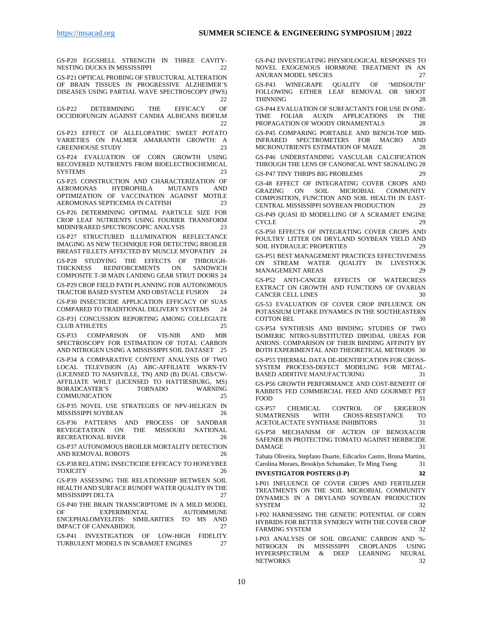[GS-P20 EGGSHELL STRENGTH IN THREE CAVITY-](#page-21-1)[NESTING DUCKS IN MISSISSIPPI](#page-21-1) 22

[GS-P21 OPTICAL PROBING OF STRUCTURAL ALTERATION](#page-21-2)  [OF BRAIN TISSUES IN PROGRESSIVE ALZHEIMER'S](#page-21-2)  [DISEASES USING PARTIAL WAVE SPECTROSCOPY \(PWS\)](#page-21-2)  $22$ 

[GS-P22 DETERMINING THE EFFICACY OF](#page-21-3)  [OCCIDIOFUNGIN AGAINST CANDIA ALBICANS BIOFILM](#page-21-3) [22](#page-21-3)

[GS-P23 EFFECT OF ALLELOPATHIC SWEET POTATO](#page-22-0)  [VARIETIES ON PALMER AMARANTH GROWTH: A](#page-22-0) GREENHOUSE STUDY **[GREENHOUSE STUDY](#page-22-0)** 

[GS-P24 EVALUATION OF CORN GROWTH USING](#page-22-1)  [RECOVERED NUTRIENTS FROM BIOELECTROCHEMICAL](#page-22-1)  [SYSTEMS](#page-22-1) 23

[GS-P25 CONSTRUCTION AND CHARACTERIZATION OF](#page-22-2) AEROMONAS HYDROPHILA MUTANTS AND AEROMONAS HYDROPHILA [OPTIMIZATION OF VACCINATION AGAINST MOTILE](#page-22-2)  [AEROMONAS SEPTICEMIA IN CATFISH](#page-22-2) 23

[GS-P26 DETERMINING OPTIMAL PARTICLE SIZE FOR](#page-22-3)  [CROP LEAF NUTRIENTS USING FOURIER TRANSFORM](#page-22-3)  [MIDINFRARED SPECTROSCOPIC ANALYSIS](#page-22-3) 23

[GS-P27 STRUCTURED ILLUMINATION REFLECTANCE](#page-23-0)  [IMAGING AS NEW TECHNIQUE FOR DETECTING BROILER](#page-23-0)  [BREAST FILLETS AFFECTED BY MUSCLE MYOPATHY](#page-23-0) 24

[GS-P28 STUDYING THE EFFECTS OF THROUGH-](#page-23-1)[THICKNESS REINFORCEMENTS ON SANDWICH](#page-23-1)  COMPOSITE T-38 [MAIN LANDING GEAR STRUT DOORS](#page-23-1) 24

[GS-P29 CROP FIELD PATH PLANNING FOR AUTONOMOUS](#page-23-2)  [TRACTOR BASED SYSTEM AND OBSTACLE FUSION](#page-23-2) 24

[GS-P30 INSECTICIDE APPLICATION EFFICACY OF SUAS](#page-23-3)  [COMPARED TO TRADITIONAL DELIVERY SYSTEMS](#page-23-3) 24

[GS-P31 CONCUSSION REPORTING AMONG COLLEGIATE](#page-24-0)  [CLUB ATHLETES](#page-24-0) 25

[GS-P33 COMPARISON OF VIS-NIR AND MIR](#page-24-1)  [SPECTROSCOPY FOR ESTIMATION OF TOTAL CARBON](#page-24-1)  [AND NITROGEN USING A MISSISSIPPI SOIL DATASET](#page-24-1) 25

[GS-P34 A COMPARATIVE CONTENT ANALYSIS OF TWO](#page-24-2)  [LOCAL TELEVISION \(A\) ABC-AFFILIATE WKRN-TV](#page-24-2)  [\(LICENSED TO NASHVILLE, TN\) AND \(B\) DUAL CBS/CW-](#page-24-2)[AFFILIATE WHLT \(LICENSED TO HATTIESBURG, MS\)](#page-24-2)  [BORADCASTER'S TORNADO WARNING](#page-24-2)  **[COMMUNICATION](#page-24-2)** 

[GS-P35 NOVEL USE STRATEGIES OF](#page-25-0) NPV-HELIGEN IN [MISSISSIPPI SOYBEAN](#page-25-0) 26

[GS-P36 PATTERNS AND PROCESS OF SANDBAR](#page-25-1)  [REVEGETATION ON THE MISSOURI NATIONAL](#page-25-1)  [RECREATIONAL RIVER](#page-25-1) 26

[GS-P37 AUTONOMOUS BROILER MORTALITY DETECTION](#page-25-2)  [AND REMOVAL ROBOTS](#page-25-2) 26

[GS-P38 RELATING INSECTICIDE EFFICACY TO HONEYBEE](#page-25-3)  [TOXICITY](#page-25-3) 26

[GS-P39 ASSESSING THE RELATIONSHIP BETWEEN SOIL](#page-26-0)  [HEALTH AND SURFACE RUNOFF WATER QUALITY IN THE](#page-26-0)  [MISSISSIPPI DELTA](#page-26-0) 27

[GS-P40 THE BRAIN TRANSCRIPTOME IN A MILD MODEL](#page-26-1)  [OF EXPERIMENTAL AUTOIMMUNE](#page-26-1)  [ENCEPHALOMYELITIS: SIMILARITIES TO MS AND](#page-26-1)  [IMPACT OF CANNABIDIOL](#page-26-1) 27

[GS-P41 INVESTIGATION OF LOW-HIGH FIDELITY](#page-26-2)  [TURBULENT MODELS IN SCRAMJET ENGINES](#page-26-2) 27

[GS-P42 INVESTIGATING PHYSIOLOGICAL RESPONSES](#page-26-3) TO [NOVEL EXOGENOUS HORMONE TREATMENT IN AN](#page-26-3)  [ANURAN MODEL SPECIES](#page-26-3) 27

[GS-P43 WINEGRAPE QUALITY OF 'MIDSOUTH'](#page-27-0)  [FOLLOWING EITHER LEAF REMOVAL OR SHOOT](#page-27-0)  [THINNING](#page-27-0) 28

[GS-P44 EVALUATION OF SURFACTANTS FOR USE IN ONE-](#page-27-1)[TIME FOLIAR AUXIN APPLICATIONS IN THE](#page-27-1) PROPAGATION OF WOODY ORNAMENTALS 28 [PROPAGATION OF WOODY ORNAMENTALS](#page-27-1)

GS-P45 COMPARING PORTABLE AND BENCH-TOP MID-<br>INFRARED SPECTROMETERS FOR MACRO AND INFRARED SPECTROMETERS FOR MACRO [MICRONUTRIENTS ESTIMATION OF MAIZE](#page-27-2) 28

[GS-P46 UNDERSTANDING VASCULAR CALCIFICATION](#page-27-3)  [THROUGH THE LENS OF CANONICAL WNT SIGNALING](#page-27-3) 28

[GS-P47 TINY THRIPS BIG PROBLEMS](#page-28-0) 29

[GS-48 EFFECT OF INTEGRATING COVER CROPS AND](#page-28-1)  [GRAZING ON SOIL MICROBIAL COMMUNITY](#page-28-1)  [COMPOSITION, FUNCTION AND SOIL HEALTH IN EAST-](#page-28-1)[CENTRAL MISSISSIPPI SOYBEAN PRODUCTION](#page-28-1) 29

[GS-P49 QUASI ID MODELLING OF A SCRAMJET ENGINE](#page-28-2)  [CYCLE](#page-28-2) 29

[GS-P50 EFFECTS OF INTEGRATING COVER CROPS AND](#page-28-3)  [POULTRY LITTER ON DRYLAND SOYBEAN YIELD AND](#page-28-3) SOIL HYDRAULIC PROPERTIES 29 [SOIL HYDRAULIC PROPERTIES](#page-28-3)

[GS-P51 BEST MANAGEMENT PRACTICES EFFECTIVENESS](#page-28-4)  [ON STREAM WATER QUALITY IN LIVESTOCK](#page-28-4)  [MANAGEMENT AREAS](#page-28-4) 29

[GS-P52 ANTI-CANCER EFFECTS OF WATERCRESS](#page-29-0)  [EXTRACT ON GROWTH AND FUNCTIONS OF OVARIAN](#page-29-0)  [CANCER CELL LINES](#page-29-0) 30

[GS-53 EVALUATION OF COVER CROP INFLUENCE ON](#page-29-1)  [POTASSIUM UPTAKE DYNAMICS IN THE SOUTHEASTERN](#page-29-1)  [COTTON BEL](#page-29-1) 30

[GS-P54 SYNTHESIS AND BINDING STUDIES OF TWO](#page-29-2)  [ISOMERIC NITRO-SUBSTITUTED DIPODAL UREAS FOR](#page-29-2)  [ANIONS: COMPARISON OF THEIR BINDING AFFINITY BY](#page-29-2)  [BOTH EXPERIMENTAL AND THEORETICAL METHODS](#page-29-2) 30

[GS-P55 THERMAL DATA DE-IDENTIFICATION FOR CROSS-](#page-30-0)[SYSTEM PROCESS-DEFECT MODELING FOR METAL-](#page-30-0)[BASED ADDITIVE MANUFACTURING](#page-30-0) 31

[GS-P56 GROWTH PERFORMANCE AND COST-BENEFIT OF](#page-30-1)  [RABBITS FED COMMERCIAL FEED AND GOURMET PET](#page-30-1) FOOD 31 [FOOD](#page-30-1) 31

GS-P57 CHEMICAL CONTROL OF ERIGERON<br>SUMATRENSIS WITH CROSS-RESISTANCE TO CROSS-RESISTANCE TO [ACETOLACTATE SYNTHASE INHIBITORS](#page-30-2) 31

[GS-P58 MECHANISM OF ACTION OF BENOXACOR](#page-30-3)  [SAFENER IN PROTECTING TOMATO AGAINST HERBICIDE](#page-30-3)  [DAMAGE](#page-30-3) 31

[Tabata Oliveira, Stepfano Duarte, Edicarlos Castro, Bruna Martins,](#page-30-4)  [Carolina Moraes, Brooklyn Schumaker, Te Ming Tseng](#page-30-4) 31

#### **[INVESTIGATOR POSTERS \(I-P\)](#page-31-0) [32](#page-31-0)**

[I-P01 INFLUENCE OF COVER CROPS AND FERTILIZER](#page-31-1)  [TREATMENTS ON THE SOIL MICROBIAL COMMUNITY](#page-31-1)  [DYNAMICS IN A DRYLAND SOYBEAN PRODUCTION](#page-31-1)  [SYSTEM](#page-31-1) 32

[I-P02 HARNESSING THE GENETIC POTENTIAL OF CORN](#page-31-2)  [HYBRIDS FOR BETTER SYNERGY WITH THE COVER CROP](#page-31-2) FARMING SYSTEM [FARMING SYSTEM](#page-31-2)

[I-P03 ANALYSIS OF SOIL ORGANIC CARBON AND %-](#page-31-3)<br>NITROGEN IN MISSISSIPPI CROPLANDS USING NITROGEN IN MISSISSIPPI HYPERSPECTRUM & DEEP LEARNING NEURAL<br>NETWORKS 32 **[NETWORKS](#page-31-3)**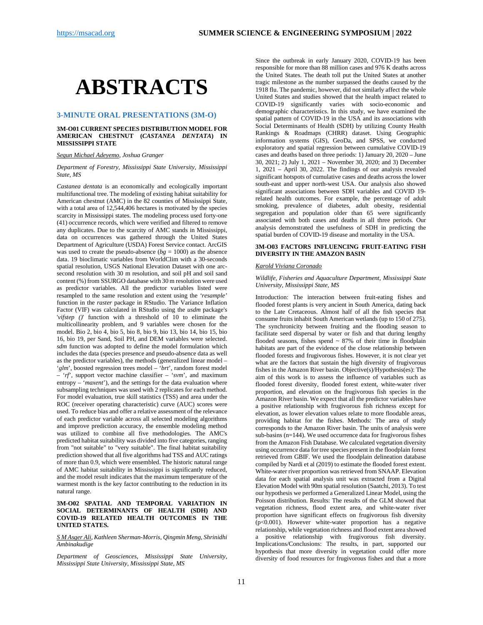# <span id="page-10-0"></span>**ABSTRACTS**

## <span id="page-10-1"></span>**3-MINUTE ORAL PRESENTATIONS (3M-O)**

#### <span id="page-10-2"></span>**3M-O01 CURRENT SPECIES DISTRIBUTION MODEL FOR AMERICAN CHESTNUT (***CASTANEA DENTATA***) IN MISSISSIPPI STATE**

*Segun Michael Adeyemo, Joshua Granger* 

#### *Department of Forestry, Mississippi State University, Mississippi State, MS*

*Castanea dentata* is an economically and ecologically important multifunctional tree. The modeling of existing habitat suitability for American chestnut (AMC) in the 82 counties of Mississippi State, with a total area of 12,544,406 hectares is motivated by the species scarcity in Mississippi states. The modeling process used forty-one (41) occurrence records, which were verified and filtered to remove any duplicates. Due to the scarcity of AMC stands in Mississippi, data on occurrences was gathered through the United States Department of Agriculture (USDA) Forest Service contact. ArcGIS was used to create the pseudo-absence  $(bg = 1000)$  as the absence data. 19 bioclimatic variables from WorldClim with a 30-seconds spatial resolution, USGS National Elevation Dataset with one arcsecond resolution with 30 m resolution, and soil pH and soil sand content (%) from SSURGO database with 30 m resolution were used as predictor variables. All the predictor variables listed were resampled to the same resolution and extent using the *'resample'* function in the *raster* package in RStudio. The Variance Inflation Factor (VIF) was calculated in RStudio using the *usdm* package's '*vifstep ()*' function with a threshold of 10 to eliminate the multicollinearity problem, and 9 variables were chosen for the model. Bio 2, bio 4, bio 5, bio 8, bio 9, bio 13, bio 14, bio 15, bio 16, bio 19, per Sand, Soil PH, and DEM variables were selected. *sdm* function was adopted to define the model formulation which includes the data (species presence and pseudo-absence data as well as the predictor variables), the methods (generalized linear model – '*glm*', boosted regression trees model – '*brt*', random forest model – '*rf*', support vector machine classifier – '*svm*', and maximum entropy – '*maxent*'), and the settings for the data evaluation where subsampling techniques was used with 2 replicates for each method. For model evaluation, true skill statistics (TSS) and area under the ROC (receiver operating characteristic) curve (AUC) scores were used. To reduce bias and offer a relative assessment of the relevance of each predictor variable across all selected modeling algorithms and improve prediction accuracy, the ensemble modeling method was utilized to combine all five methodologies. The AMC's predicted habitat suitability was divided into five categories, ranging from "not suitable" to "very suitable". The final habitat suitability prediction showed that all five algorithms had TSS and AUC ratings of more than 0.9, which were ensembled. The historic natural range of AMC habitat suitability in Mississippi is significantly reduced, and the model result indicates that the maximum temperature of the warmest month is the key factor contributing to the reduction in its natural range.

#### <span id="page-10-3"></span>**3M-O02 SPATIAL AND TEMPORAL VARIATION IN SOCIAL DETERMINANTS OF HEALTH (SDH) AND COVID-19 RELATED HEALTH OUTCOMES IN THE UNITED STATES.**

#### *S M Asger Ali, Kathleen Sherman-Morris, Qingmin Meng, Shrinidhi Ambinakudige*

*Department of Geosciences, Mississippi State University, Mississippi State University, Mississippi State, MS*

Since the outbreak in early January 2020, COVID-19 has been responsible for more than 88 million cases and 976 K deaths across the United States. The death toll put the United States at another tragic milestone as the number surpassed the deaths caused by the 1918 flu. The pandemic, however, did not similarly affect the whole United States and studies showed that the health impact related to COVID-19 significantly varies with socio-economic and demographic characteristics. In this study, we have examined the spatial pattern of COVID-19 in the USA and its associations with Social Determinants of Health (SDH) by utilizing County Health Rankings & Roadmaps (CHRR) dataset. Using Geographic information systems (GIS), GeoDa, and SPSS, we conducted exploratory and spatial regression between cumulative COVID-19 cases and deaths based on three periods: 1) January 20, 2020 – June 30, 2021; 2) July 1, 2021 – November 30, 2020; and 3) December 1, 2021 – April 30, 2022. The findings of our analysis revealed significant hotspots of cumulative cases and deaths across the lower south-east and upper north-west USA. Our analysis also showed significant associations between SDH variables and COVID 19 related health outcomes. For example, the percentage of adult smoking, prevalence of diabetes, adult obesity, residential segregation and population older than 65 were significantly associated with both cases and deaths in all three periods. Our analysis demonstrated the usefulness of SDH in predicting the spatial burden of COVID-19 disease and mortality in the USA.

#### <span id="page-10-4"></span>**3M-O03 FACTORS INFLUENCING FRUIT-EATING FISH DIVERSITY IN THE AMAZON BASIN**

#### *Karold Viviana Coronado*

#### *Wildlife, Fisheries and Aquaculture Department, Mississippi State University, Mississippi State, MS*

Introduction: The interaction between fruit-eating fishes and flooded forest plants is very ancient in South America, dating back to the Late Cretaceous. Almost half of all the fish species that consume fruits inhabit South American wetlands (up to 150 of 275). The synchronicity between fruiting and the flooding season to facilitate seed dispersal by water or fish and that during lengthy flooded seasons, fishes spend  $\sim$  87% of their time in floodplain habitats are part of the evidence of the close relationship between flooded forests and frugivorous fishes. However, it is not clear yet what are the factors that sustain the high diversity of frugivorous fishes in the Amazon River basin. Objective(s)/Hypothesis(es): The aim of this work is to assess the influence of variables such as flooded forest diversity, flooded forest extent, white-water river proportion, and elevation on the frugivorous fish species in the Amazon River basin. We expect that all the predictor variables have a positive relationship with frugivorous fish richness except for elevation, as lower elevation values relate to more floodable areas, providing habitat for the fishes. Methods: The area of study corresponds to the Amazon River basin. The units of analysis were sub-basins (n=144). We used occurrence data for frugivorous fishes from the Amazon Fish Database. We calculated vegetation diversity using occurrence data for tree species present in the floodplain forest retrieved from GBIF. We used the floodplain delineation database compiled by Nardi et al (2019) to estimate the flooded forest extent. White-water river proportion was retrieved from SNAAP. Elevation data for each spatial analysis unit was extracted from a Digital Elevation Model with 90m spatial resolution (Saatchi, 2013). To test our hypothesis we performed a Generalized Linear Model, using the Poisson distribution. Results: The results of the GLM showed that vegetation richness, flood extent area, and white-water river proportion have significant effects on frugivorous fish diversity (p<0.001). However white-water proportion has a negative relationship, while vegetation richness and flood extent area showed a positive relationship with frugivorous fish diversity. Implications/Conclusions: The results, in part, supported our hypothesis that more diversity in vegetation could offer more diversity of food resources for frugivorous fishes and that a more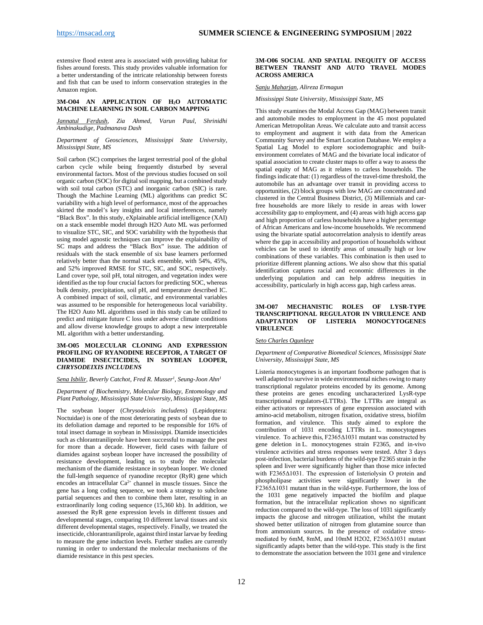extensive flood extent area is associated with providing habitat for fishes around forests. This study provides valuable information for a better understanding of the intricate relationship between forests and fish that can be used to inform conservation strategies in the Amazon region.

#### <span id="page-11-0"></span>**3M-O04 AN APPLICATION OF H2O AUTOMATIC MACHINE LEARNING IN SOIL CARBON MAPPING**

*Jannatul Ferdush, Zia Ahmed, Varun Paul, Shrinidhi Ambinakudige, Padmanava Dash*

#### *Department of Geosciences, Mississippi State University, Mississippi State, MS*

Soil carbon (SC) comprises the largest terrestrial pool of the global carbon cycle while being frequently disturbed by several environmental factors. Most of the previous studies focused on soil organic carbon (SOC) for digital soil mapping, but a combined study with soil total carbon (STC) and inorganic carbon (SIC) is rare. Though the Machine Learning (ML) algorithms can predict SC variability with a high level of performance, most of the approaches skirted the model's key insights and local interferences, namely "Black Box". In this study, eXplainable artificial intelligence (XAI) on a stack ensemble model through H2O Auto ML was performed to visualize STC, SIC, and SOC variability with the hypothesis that using model agnostic techniques can improve the explainability of SC maps and address the "Black Box" issue. The addition of residuals with the stack ensemble of six base learners performed relatively better than the normal stack ensemble, with 54%, 45%, and 52% improved RMSE for STC, SIC, and SOC, respectively. Land cover type, soil pH, total nitrogen, and vegetation index were identified as the top four crucial factors for predicting SOC, whereas bulk density, precipitation, soil pH, and temperature described IC. A combined impact of soil, climatic, and environmental variables was assumed to be responsible for heterogeneous local variability. The H2O Auto ML algorithms used in this study can be utilized to predict and mitigate future C loss under adverse climate conditions and allow diverse knowledge groups to adopt a new interpretable ML algorithm with a better understanding.

#### <span id="page-11-1"></span>**3M-O05 MOLECULAR CLONING AND EXPRESSION PROFILING OF RYANODINE RECEPTOR, A TARGET OF DIAMIDE INSECTICIDES, IN SOYBEAN LOOPER,**  *CHRYSODEIXIS INCLUDENS*

#### *Sena Isbilir, Beverly Catchot, Fred R. Musser1 , Seung-Joon Ahn1*

*Department of Biochemistry, Molecular Biology, Entomology and Plant Pathology, Mississippi State University, Mississippi State, MS*

The soybean looper (*Chrysodeixis includens*) (Lepidoptera: Noctuidae) is one of the most deteriorating pests of soybean due to its defoliation damage and reported to be responsible for 16% of total insect damage in soybean in Mississippi. Diamide insecticides such as chlorantraniliprole have been successful to manage the pest for more than a decade. However, field cases with failure of diamides against soybean looper have increased the possibility of resistance development, leading us to study the molecular mechanism of the diamide resistance in soybean looper. We cloned the full-length sequence of ryanodine receptor (RyR) gene which encodes an intracellular Ca<sup>2+</sup> channel in muscle tissues. Since the gene has a long coding sequence, we took a strategy to subclone partial sequences and then to combine them later, resulting in an extraordinarily long coding sequence (15,360 kb). In addition, we assessed the RyR gene expression levels in different tissues and developmental stages, comparing 10 different larval tissues and six different developmental stages, respectively. Finally, we treated the insecticide, chlorantraniliprole, against third instar larvae by feeding to measure the gene induction levels. Further studies are currently running in order to understand the molecular mechanisms of the diamide resistance in this pest species.

#### <span id="page-11-2"></span>**3M-O06 SOCIAL AND SPATIAL INEQUITY OF ACCESS BETWEEN TRANSIT AND AUTO TRAVEL MODES ACROSS AMERICA**

#### *Sanju Maharjan, Alireza Ermagun*

*Mississippi State University, Mississippi State, MS*

This study examines the Modal Access Gap (MAG) between transit and automobile modes to employment in the 45 most populated American Metropolitan Areas. We calculate auto and transit access to employment and augment it with data from the American Community Survey and the Smart Location Database. We employ a Spatial Lag Model to explore sociodemographic and builtenvironment correlates of MAG and the bivariate local indicator of spatial association to create cluster maps to offer a way to assess the spatial equity of MAG as it relates to carless households. The findings indicate that: (1) regardless of the travel-time threshold, the automobile has an advantage over transit in providing access to opportunities, (2) block groups with low MAG are concentrated and clustered in the Central Business District, (3) Millennials and carfree households are more likely to reside in areas with lower accessibility gap to employment, and (4) areas with high access gap and high proportion of carless households have a higher percentage of African Americans and low-income households. We recommend using the bivariate spatial autocorrelation analysis to identify areas where the gap in accessibility and proportion of households without vehicles can be used to identify areas of unusually high or low combinations of these variables. This combination is then used to prioritize different planning actions. We also show that this spatial identification captures racial and economic differences in the underlying population and can help address inequities in accessibility, particularly in high access gap, high carless areas.

#### <span id="page-11-3"></span>**3M-O07 MECHANISTIC ROLES OF LYSR-TYPE TRANSCRIPTIONAL REGULATOR IN VIRULENCE AND ADAPTATION OF LISTERIA MONOCYTOGENES VIRULENCE**

#### *Seto Charles Ogunleye*

#### *Department of Comparative Biomedical Sciences, Mississippi State University, Mississippi State, MS*

Listeria monocytogenes is an important foodborne pathogen that is well adapted to survive in wide environmental niches owing to many transcriptional regulator proteins encoded by its genome. Among these proteins are genes encoding uncharacterized LysR-type transcriptional regulators-(LTTRs). The LTTRs are integral as either activators or repressors of gene expression associated with amino-acid metabolism, nitrogen fixation, oxidative stress, biofilm formation, and virulence. This study aimed to explore the contribution of 1031 encoding LTTRs in L. monocytogenes virulence. To achieve this, F2365Δ1031 mutant was constructed by gene deletion in L. monocytogenes strain F2365, and in-vivo virulence activities and stress responses were tested. After 3 days post-infection, bacterial burdens of the wild-type F2365 strain in the spleen and liver were significantly higher than those mice infected with F2365Δ1031. The expression of listeriolysin O protein and phospholipase activities were significantly lower in the F2365Δ1031 mutant than in the wild-type. Furthermore, the loss of the 1031 gene negatively impacted the biofilm and plaque formation, but the intracellular replication shows no significant reduction compared to the wild-type. The loss of 1031 significantly impacts the glucose and nitrogen utilization, whilst the mutant showed better utilization of nitrogen from glutamine source than from ammonium sources. In the presence of oxidative stressmediated by 6mM, 8mM, and 10mM H2O2, F2365Δ1031 mutant significantly adapts better than the wild-type. This study is the first to demonstrate the association between the 1031 gene and virulence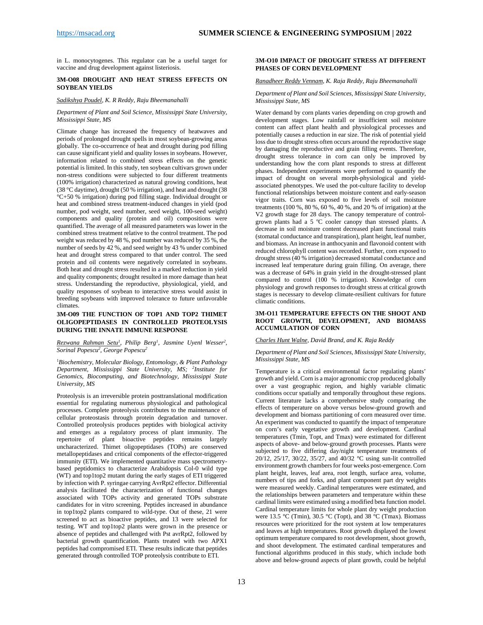in L. monocytogenes. This regulator can be a useful target for vaccine and drug development against listeriosis.

#### <span id="page-12-0"></span>**3M-O08 DROUGHT AND HEAT STRESS EFFECTS ON SOYBEAN YIELDS**

## *Sadikshya Poudel, K. R Reddy, Raju Bheemanahalli*

#### *Department of Plant and Soil Science, Mississippi State University, Mississippi State, MS*

Climate change has increased the frequency of heatwaves and periods of prolonged drought spells in most soybean-growing areas globally. The co-occurrence of heat and drought during pod filling can cause significant yield and quality losses in soybeans. However, information related to combined stress effects on the genetic potential is limited. In this study, ten soybean cultivars grown under non-stress conditions were subjected to four different treatments (100% irrigation) characterized as natural growing conditions, heat (38 °C daytime), drought (50 % irrigation), and heat and drought (38 °C+50 % irrigation) during pod filling stage. Individual drought or heat and combined stress treatment-induced changes in yield (pod number, pod weight, seed number, seed weight, 100-seed weight) components and quality (protein and oil) compositions were quantified. The average of all measured parameters was lower in the combined stress treatment relative to the control treatment. The pod weight was reduced by 48 %, pod number was reduced by 35 %, the number of seeds by 42 %, and seed weight by 43 % under combined heat and drought stress compared to that under control. The seed protein and oil contents were negatively correlated in soybeans. Both heat and drought stress resulted in a marked reduction in yield and quality components; drought resulted in more damage than heat stress. Understanding the reproductive, physiological, yield, and quality responses of soybean to interactive stress would assist in breeding soybeans with improved tolerance to future unfavorable climates.

#### <span id="page-12-1"></span>**3M-O09 THE FUNCTION OF TOP1 AND TOP2 THIMET OLIGOPEPTIDASES IN CONTROLLED PROTEOLYSIS DURING THE INNATE IMMUNE RESPONSE**

#### *Rezwana Rahman Setu1 , Philip Berg1 , Jasmine Uyenl Wesser2 , Sorinal Popescu2 , George Popescu2*

1 *Biochemistry, Molecular Biology, Entomology, & Plant Pathology Department, Mississippi State University, MS; 2 Institute for Genomics, Biocomputing, and Biotechnology, Mississippi State University, MS*

Proteolysis is an irreversible protein posttranslational modification essential for regulating numerous physiological and pathological processes. Complete proteolysis contributes to the maintenance of cellular proteostasis through protein degradation and turnover. Controlled proteolysis produces peptides with biological activity and emerges as a regulatory process of plant immunity. The repertoire of plant bioactive peptides remains largely uncharacterized. Thimet oligopeptidases (TOPs) are conserved metallopeptidases and critical components of the effector-triggered immunity (ETI). We implemented quantitative mass spectrometrybased peptidomics to characterize Arabidopsis Col-0 wild type (WT) and top1top2 mutant during the early stages of ETI triggered by infection with P. syringae carrying AvrRpt2 effector. Differential analysis facilitated the characterization of functional changes associated with TOPs activity and generated TOPs substrate candidates for in vitro screening. Peptides increased in abundance in top1top2 plants compared to wild-type. Out of these, 21 were screened to act as bioactive peptides, and 13 were selected for testing. WT and top1top2 plants were grown in the presence or absence of peptides and challenged with Pst avrRpt2, followed by bacterial growth quantification. Plants treated with two APX1 peptides had compromised ETI. These results indicate that peptides generated through controlled TOP proteolysis contribute to ETI.

#### <span id="page-12-2"></span>**3M-O10 IMPACT OF DROUGHT STRESS AT DIFFERENT PHASES OF CORN DEVELOPMENT**

#### *Ranadheer Reddy Vennam, K. Raja Reddy, Raju Bheemanahalli*

#### *Department of Plant and Soil Sciences, Mississippi State University, Mississippi State, MS*

Water demand by corn plants varies depending on crop growth and development stages. Low rainfall or insufficient soil moisture content can affect plant health and physiological processes and potentially causes a reduction in ear size. The risk of potential yield loss due to drought stress often occurs around the reproductive stage by damaging the reproductive and grain filling events. Therefore, drought stress tolerance in corn can only be improved by understanding how the corn plant responds to stress at different phases. Independent experiments were performed to quantify the impact of drought on several morph-physiological and yieldassociated phenotypes. We used the pot-culture facility to develop functional relationships between moisture content and early-season vigor traits. Corn was exposed to five levels of soil moisture treatments (100 %, 80 %, 60 %, 40 %, and 20 % of irrigation) at the V2 growth stage for 28 days. The canopy temperature of controlgrown plants had a 5 °C cooler canopy than stressed plants. A decrease in soil moisture content decreased plant functional traits (stomatal conductance and transpiration), plant height, leaf number, and biomass. An increase in anthocyanin and flavonoid content with reduced chlorophyll content was recorded. Further, corn exposed to drought stress (40 % irrigation) decreased stomatal conductance and increased leaf temperature during grain filling. On average, there was a decrease of 64% in grain yield in the drought-stressed plant compared to control (100 % irrigation). Knowledge of corn physiology and growth responses to drought stress at critical growth stages is necessary to develop climate-resilient cultivars for future climatic conditions.

#### <span id="page-12-3"></span>**3M-O11 TEMPERATURE EFFECTS ON THE SHOOT AND ROOT GROWTH, DEVELOPMENT, AND BIOMASS ACCUMULATION OF CORN**

#### *Charles Hunt Walne, David Brand, and K. Raja Reddy*

#### *Department of Plant and Soil Sciences, Mississippi State University, Mississippi State, MS*

Temperature is a critical environmental factor regulating plants' growth and yield. Corn is a major agronomic crop produced globally over a vast geographic region, and highly variable climatic conditions occur spatially and temporally throughout these regions. Current literature lacks a comprehensive study comparing the effects of temperature on above versus below-ground growth and development and biomass partitioning of corn measured over time. An experiment was conducted to quantify the impact of temperature on corn's early vegetative growth and development. Cardinal temperatures (Tmin, Topt, and Tmax) were estimated for different aspects of above- and below-ground growth processes. Plants were subjected to five differing day/night temperature treatments of 20/12, 25/17, 30/22, 35/27, and 40/32 °C using sun-lit controlled environment growth chambers for four weeks post-emergence. Corn plant height, leaves, leaf area, root length, surface area, volume, numbers of tips and forks, and plant component part dry weights were measured weekly. Cardinal temperatures were estimated, and the relationships between parameters and temperature within these cardinal limits were estimated using a modified beta function model. Cardinal temperature limits for whole plant dry weight production were 13.5 °C (Tmin), 30.5 °C (Topt), and 38 °C (Tmax). Biomass resources were prioritized for the root system at low temperatures and leaves at high temperatures. Root growth displayed the lowest optimum temperature compared to root development, shoot growth, and shoot development. The estimated cardinal temperatures and functional algorithms produced in this study, which include both above and below-ground aspects of plant growth, could be helpful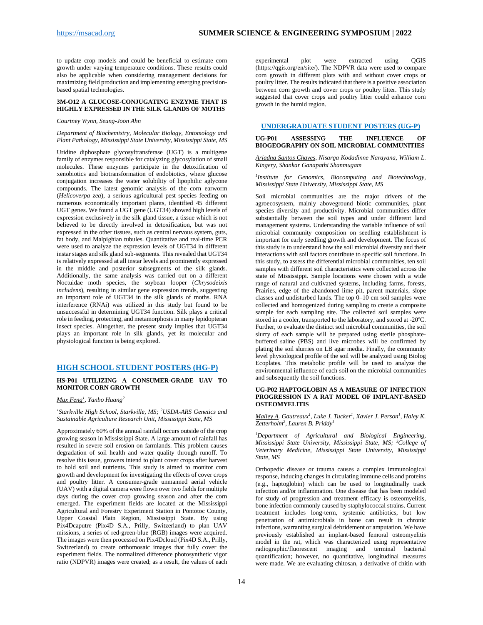to update crop models and could be beneficial to estimate corn growth under varying temperature conditions. These results could also be applicable when considering management decisions for maximizing field production and implementing emerging precisionbased spatial technologies.

#### <span id="page-13-0"></span>**3M-O12 A GLUCOSE-CONJUGATING ENZYME THAT IS HIGHLY EXPRESSED IN THE SILK GLANDS OF MOTHS**

*Courtney Wynn, Seung-Joon Ahn*

#### *Department of Biochemistry, Molecular Biology, Entomology and Plant Pathology, Mississippi State University, Mississippi State, MS*

Uridine diphosphate glycosyltransferase (UGT) is a multigene family of enzymes responsible for catalyzing glycosylation of small molecules. These enzymes participate in the detoxification of xenobiotics and biotransformation of endobiotics, where glucose conjugation increases the water solubility of lipophilic aglycone compounds. The latest genomic analysis of the corn earworm (*Helicoverpa zea*), a serious agricultural pest species feeding on numerous economically important plants, identified 45 different UGT genes. We found a UGT gene (UGT34) showed high levels of expression exclusively in the silk gland tissue, a tissue which is not believed to be directly involved in detoxification, but was not expressed in the other tissues, such as central nervous system, guts, fat body, and Malpighian tubules. Quantitative and real-time PCR were used to analyze the expression levels of UGT34 in different instar stages and silk gland sub-segments. This revealed that UGT34 is relatively expressed at all instar levels and prominently expressed in the middle and posterior subsegments of the silk glands. Additionally, the same analysis was carried out on a different Noctuidae moth species, the soybean looper (*Chrysodeixis includens*), resulting in similar gene expression trends, suggesting an important role of UGT34 in the silk glands of moths. RNA interference (RNAi) was utilized in this study but found to be unsuccessful in determining UGT34 function. Silk plays a critical role in feeding, protecting, and metamorphosis in many lepidopteran insect species. Altogether, the present study implies that UGT34 plays an important role in silk glands, yet its molecular and physiological function is being explored.

#### <span id="page-13-1"></span>**HIGH SCHOOL STUDENT POSTERS (HG-P)**

#### <span id="page-13-2"></span>**HS-P01 UTILIZING A CONSUMER-GRADE UAV TO MONITOR CORN GROWTH**

*Max Feng1 , Yanbo Huang2*

*1 Starkville High School, Starkville, MS; <sup>2</sup> USDA-ARS Genetics and Sustainable Agriculture Research Unit, Mississippi State, MS*

Approximately 60% of the annual rainfall occurs outside of the crop growing season in Mississippi State. A large amount of rainfall has resulted in severe soil erosion on farmlands. This problem causes degradation of soil health and water quality through runoff. To resolve this issue, growers intend to plant cover crops after harvest to hold soil and nutrients. This study is aimed to monitor corn growth and development for investigating the effects of cover crops and poultry litter. A consumer-grade unmanned aerial vehicle (UAV) with a digital camera were flown over two fields for multiple days during the cover crop growing season and after the corn emerged. The experiment fields are located at the Mississippi Agricultural and Forestry Experiment Station in Pontotoc County, Upper Coastal Plain Region, Mississippi State. By using Pix4Dcaputre (Pix4D S.A., Prilly, Switzerland) to plan UAV missions, a series of red-green-blue (RGB) images were acquired. The images were then processed on Pix4Dcloud (Pix4D S.A., Prilly, Switzerland) to create orthomosaic images that fully cover the experiment fields. The normalized difference photosynthetic vigor ratio (NDPVR) images were created; as a result, the values of each

experimental plot were extracted using QGIS (https://qgis.org/en/site/). The NDPVR data were used to compare corn growth in different plots with and without cover crops or poultry litter. The results indicated that there is a positive association between corn growth and cover crops or poultry litter. This study suggested that cover crops and poultry litter could enhance corn growth in the humid region.

#### <span id="page-13-3"></span>**UNDERGRADUATE STUDENT POSTERS (UG-P)**

#### <span id="page-13-4"></span>**UG-P01 ASSESSING THE INFLUENCE OF BIOGEOGRAPHY ON SOIL MICROBIAL COMMUNITIES**

*Ariadna Santos Chaves, Nisarga Kodadinne Narayana, William L. Kingery, Shankar Ganapathi Shanmugam* 

*1 Institute for Genomics, Biocomputing and Biotechnology, Mississippi State University, Mississippi State, MS*

Soil microbial communities are the major drivers of the agroecosystem, mainly aboveground biotic communities, plant species diversity and productivity. Microbial communities differ substantially between the soil types and under different land management systems. Understanding the variable influence of soil microbial community composition on seedling establishment is important for early seedling growth and development. The focus of this study is to understand how the soil microbial diversity and their interactions with soil factors contribute to specific soil functions. In this study, to assess the differential microbial communities, ten soil samples with different soil characteristics were collected across the state of Mississippi. Sample locations were chosen with a wide range of natural and cultivated systems, including farms, forests, Prairies, edge of the abandoned lime pit, parent materials, slope classes and undisturbed lands. The top 0–10 cm soil samples were collected and homogenized during sampling to create a composite sample for each sampling site. The collected soil samples were stored in a cooler, transported to the laboratory, and stored at -20°C. Further, to evaluate the distinct soil microbial communities, the soil slurry of each sample will be prepared using sterile phosphatebuffered saline (PBS) and live microbes will be confirmed by plating the soil slurries on LB agar media. Finally, the community level physiological profile of the soil will be analyzed using Biolog Ecoplates. This metabolic profile will be used to analyze the environmental influence of each soil on the microbial communities and subsequently the soil functions.

#### <span id="page-13-5"></span>**UG-P02 HAPTOGLOBIN AS A MEASURE OF INFECTION PROGRESSION IN A RAT MODEL OF IMPLANT-BASED OSTEOMYELITIS**

*Malley A. Gautreaux1 , Luke J. Tucker1 , Xavier J. Person1 , Haley K. Zetterholm2 , Lauren B. Priddy1*

*1 Department of Agricultural and Biological Engineering, Mississippi State University, Mississippi State, MS; 2 College of Veterinary Medicine, Mississippi State University, Mississippi State, MS*

Orthopedic disease or trauma causes a complex immunological response, inducing changes in circulating immune cells and proteins (e.g., haptoglobin) which can be used to longitudinally track infection and/or inflammation. One disease that has been modeled for study of progression and treatment efficacy is osteomyelitis, bone infection commonly caused by staphylococcal strains. Current treatment includes long-term, systemic antibiotics, but low penetration of antimicrobials in bone can result in chronic infections, warranting surgical debridement or amputation. We have previously established an implant-based femoral osteomyelitis model in the rat, which was characterized using representative radiographic/fluorescent imaging and terminal bacterial quantification; however, no quantitative, longitudinal measures were made. We are evaluating chitosan, a derivative of chitin with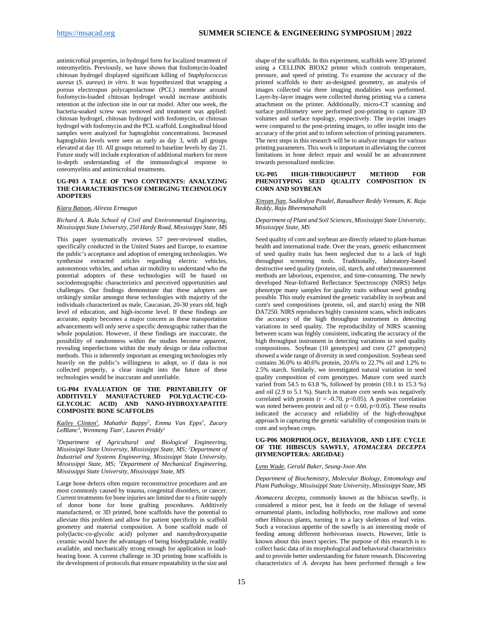antimicrobial properties, in hydrogel form for localized treatment of osteomyelitis. Previously, we have shown that fosfomycin-loaded chitosan hydrogel displayed significant killing of *Staphylococcus aureus* (*S*. *aureus*) *in vitro*. It was hypothesized that wrapping a porous electrospun polycaprolactone (PCL) membrane around fosfomycin-loaded chitosan hydrogel would increase antibiotic retention at the infection site in our rat model. After one week, the bacteria-soaked screw was removed and treatment was applied: chitosan hydrogel, chitosan hydrogel with fosfomycin, or chitosan hydrogel with fosfomycin and the PCL scaffold. Longitudinal blood samples were analyzed for haptoglobin concentrations. Increased haptoglobin levels were seen as early as day 3, with all groups elevated at day 10. All groups returned to baseline levels by day 21. Future study will include exploration of additional markers for more in-depth understanding of the immunological response to osteomyelitis and antimicrobial treatments.

#### <span id="page-14-0"></span>**UG-P03 A TALE OF TWO CONTINENTS: ANALYZING THE CHARACTERISTICS OF EMERGING TECHNOLOGY ADOPTERS**

#### *Kiara Batson, Alireza Ermagun*

#### *Richard A. Rula School of Civil and Environmental Engineering, Mississippi State University, 250 Hardy Road, Mississippi State, MS*

This paper systematically reviews 57 peer-reviewed studies, specifically conducted in the United States and Europe, to examine the public's acceptance and adoption of emerging technologies. We synthesize extracted articles regarding electric vehicles, autonomous vehicles, and urban air mobility to understand who the potential adopters of these technologies will be based on sociodemographic characteristics and perceived opportunities and challenges. Our findings demonstrate that these adopters are strikingly similar amongst these technologies with majority of the individuals characterized as male, Caucasian, 20-30 years old, high level of education, and high-income level. If these findings are accurate, equity becomes a major concern as these transportation advancements will only serve a specific demographic rather than the whole population. However, if these findings are inaccurate, the possibility of randomness within the studies become apparent, revealing imperfections within the study design or data collection methods. This is inherently important as emerging technologies rely heavily on the public's willingness to adopt, so if data is not collected properly, a clear insight into the future of these technologies would be inaccurate and unreliable.

#### <span id="page-14-1"></span>**UG-P04 EVALUATION OF THE PRINTABILITY OF ADDITIVELY MANUFACTURED POLY(LACTIC-CO-GLYCOLIC ACID) AND NANO-HYDROXYAPATITE COMPOSITE BONE SCAFFOLDS**

*Kailey Clinton1 , Mahathir Bappy2 , Emma Van Epps1 , Zacary LeBlanc3 , Wenmeng Tian2 , Lauren Priddy1*

*1 Department of Agricultural and Biological Engineering, Mississippi State University, Mississippi State, MS; 2 Department of Industrial and Systems Engineering, Mississippi State University, Mississippi State, MS; 3 Department of Mechanical Engineering, Mississippi State University, Mississippi State, MS*

Large bone defects often require reconstructive procedures and are most commonly caused by trauma, congenital disorders, or cancer. Current treatments for bone injuries are limited due to a finite supply of donor bone for bone grafting procedures. Additively manufactured, or 3D printed, bone scaffolds have the potential to alleviate this problem and allow for patient specificity in scaffold geometry and material composition. A bone scaffold made of poly(lactic-co-glycolic acid) polymer and nanohydroxyapatite ceramic would have the advantages of being biodegradable, readily available, and mechanically strong enough for application in loadbearing bone. A current challenge in 3D printing bone scaffolds is the development of protocols that ensure repeatability in the size and

shape of the scaffolds. In this experiment, scaffolds were 3D printed using a CELLINK BIOX2 printer which controls temperature, pressure, and speed of printing. To examine the accuracy of the printed scaffolds to their as-designed geometry, an analysis of images collected via three imaging modalities was performed. Layer-by-layer images were collected during printing via a camera attachment on the printer. Additionally, micro-CT scanning and surface profilometry were performed post-printing to capture 3D volumes and surface topology, respectively. The in-print images were compared to the post-printing images, to offer insight into the accuracy of the print and to inform selection of printing parameters. The next steps in this research will be to analyze images for various printing parameters. This work is important in alleviating the current limitations in bone defect repair and would be an advancement towards personalized medicine.

#### <span id="page-14-2"></span>**UG-P05 HIGH-THROUGHPUT METHOD FOR PHENOTYPING SEED QUALITY COMPOSITION IN CORN AND SOYBEAN**

*Xinyan Jian, Sadikshya Poudel, Ranadheer Reddy Vennam, K. Raja Reddy, Raju Bheemanahalli* 

#### *Department of Plant and Soil Sciences, Mississippi State University, Mississippi State, MS*

Seed quality of corn and soybean are directly related to plant-human health and international trade. Over the years, genetic enhancement of seed quality traits has been neglected due to a lack of high throughput screening tools. Traditionally, laboratory-based destructive seed quality (protein, oil, starch, and other) measurement methods are laborious, expensive, and time-consuming. The newly developed Near-Infrared Reflectance Spectroscopy (NIRS) helps phenotype many samples for quality traits without seed grinding possible. This study examined the genetic variability in soybean and corn's seed compositions (protein, oil, and starch) using the NIR DA7250. NIRS reproduces highly consistent scans, which indicates the accuracy of the high throughput instrument in detecting variations in seed quality. The reproducibility of NIRS scanning between scans was highly consistent, indicating the accuracy of the high throughput instrument in detecting variations in seed quality compositions. Soybean (10 genotypes) and corn (27 genotypes) showed a wide range of diversity in seed composition. Soybean seed contains 36.0% to 40.6% protein, 20.6% to 22.7% oil and 1.2% to 2.5% starch. Similarly, we investigated natural variation in seed quality composition of corn genotypes. Mature corn seed starch varied from 54.5 to 63.8 %, followed by protein (10.1 to 15.3 %) and oil (2.9 to 5.1 %). Starch in mature corn seeds was negatively correlated with protein ( $r = -0.70$ ,  $p < 0.05$ ). A positive correlation was noted between protein and oil ( $r = 0.60$ ,  $p < 0.05$ ). These results indicated the accuracy and reliability of the high-throughput approach in capturing the genetic variability of composition traits in corn and soybean crops.

#### <span id="page-14-3"></span>**UG-P06 MORPHOLOGY, BEHAVIOR, AND LIFE CYCLE OF THE HIBISCUS SAWFLY,** *ATOMACERA DECEPTA* **(HYMENOPTERA: ARGIDAE)**

#### *Lynn Wade, Gerald Baker, Seung-Joon Ahn*

*Department of Biochemistry, Molecular Biology, Entomology and Plant Pathology, Mississippi State University, Mississippi State, MS*

*Atomacera decepta*, commonly known as the hibiscus sawfly, is considered a minor pest, but it feeds on the foliage of several ornamental plants, including hollyhocks, rose mallows and some other Hibiscus plants, turning it to a lacy skeletons of leaf veins. Such a voracious appetite of the sawfly is an interesting mode of feeding among different herbivorous insects. However, little is known about this insect species. The purpose of this research is to collect basic data of its morphological and behavioral characteristics and to provide better understanding for future research. Discovering characteristics of *A. decepta* has been performed through a few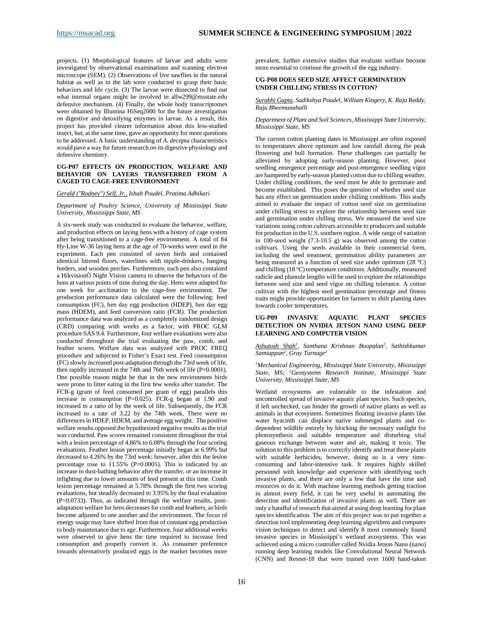projects. (1) Morphological features of larvae and adults were investigated by observational examinations and scanning electron microscope (SEM). (2) Observations of live sawflies in the natural habitat as well as in the lab were conducted to grasp their basic behaviors and life cycle. (3) The larvae were dissected to find out what internal organs might be involved in allw299@msstate.edu defensive mechanism. (4) Finally, the whole body transcriptomes were obtained by Illumina HiSeq2000 for the future investigation on digestive and detoxifying enzymes in larvae. As a result, this project has provided clearer information about this less-studied insect, but, at the same time, gave an opportunity for more questions to be addressed. A basic understanding of *A. decepta* characteristics would pave a way for future research on its digestive physiology and defensive chemistry.

#### <span id="page-15-0"></span>**UG-P07 EFFECTS ON PRODUCTION, WELFARE AND BEHAVIOR ON LAYERS TRANSFERRED FROM A CAGED TO CAGE-FREE ENVIRONMENT**

#### *Gerald ("Rodney") Self, Jr., Ishab Poudel, Pratima Adhikari*

*Department of Poultry Science, University of Mississippi State University, Mississippi State, MS*

A six-week study was conducted to evaluate the behavior, welfare, and production effects on laying hens with a history of cage system after being transitioned to a cage-free environment. A total of 84 Hy-Line W-36 laying hens at the age of 70-weeks were used in the experiment. Each pen consisted of seven birds and contained identical littered floors, waterlines with nipple-drinkers, hanging feeders, and wooden perches. Furthermore, each pen also contained a HikvisionÒ Night Vision camera to observe the behaviors of the hens at various points of time during the day. Hens were adapted for one week for acclimation to the cage-free environment. The production performance data calculated were the following: feed consumption (FC), hen day egg production (HDEP), hen day egg mass (HDEM), and feed conversion ratio (FCR). The production performance data was analyzed as a completely randomized design (CRD) comparing with weeks as a factor, with PROC GLM procedure SAS 9.4. Furthermore, four welfare evaluations were also conducted throughout the trial evaluating the paw, comb, and feather scores. Welfare data was analyzed with PROC FREQ procedure and subjected to Fisher's Exact test. Feed consumption (FC) slowly increased post-adaptation through the 73rd week of life, then rapidly increased in the 74th and 76th week of life (P=0.0001). One possible reason might be that in the new environment birds were prone to litter eating in the first few weeks after transfer. The FCR-g (gram of feed consumed per gram of egg) parallels this increase in consumption  $(P=0.025)$ . FCR-g began at 1.90 and increased to a ratio of by the week of life. Subsequently, the FCR increased to a rate of 3.22 by the 74th week. There were no differences in HDEP, HDEM, and average egg weight. The positive welfare results opposed the hypothesized negative results as the trial was conducted. Paw scores remained consistent throughout the trial with a lesion percentage of 4.86% to 6.08% through the four scoring evaluations. Feather lesion percentage initially began at 6.99% but decreased to 4.26% by the 73rd week; however, after this the lesion percentage rose to 11.55% (P=0.0005). This is indicated by an increase in dust-bathing behavior after the transfer, or an increase in infighting due to lower amounts of feed present at this time. Comb lesion percentage remained at 5.78% through the first two scoring evaluations, but steadily decreased to 3.95% by the final evaluation  $(P=0.0733)$ . Thus, as indicated through the welfare results, postadaptation welfare for hens decreases for comb and feathers, as birds become adjusted to one another and the environment. The focus of energy usage may have shifted from that of constant egg production to body maintenance due to age. Furthermore, four additional weeks were observed to give hens the time required to increase feed consumption and properly convert it. As consumer preference towards alternatively produced eggs in the market becomes more

prevalent, further extensive studies that evaluate welfare become more essential to continue the growth of the egg industry.

#### <span id="page-15-1"></span>**UG-P08 DOES SEED SIZE AFFECT GERMINATION UNDER CHILLING STRESS IN COTTON?**

#### *Surabhi Gupta, Sadikshya Poudel, William Kingery, K. Raja Reddy, Raju Bheemanahalli*

#### *Department of Plant and Soil Sciences, Mississippi State University, Mississippi State, MS*

The current cotton planting dates in Mississippi are often exposed to temperatures above optimum and low rainfall during the peak flowering and boll formation. These challenges can partially be alleviated by adopting early-season planting. However, poor seedling emergence percentage and post-emergence seedling vigor are hampered by early-season planted cotton due to chilling weather. Under chilling conditions, the seed must be able to germinate and become established. This poses the question of whether seed size has any effect on germination under chilling conditions. This study aimed to evaluate the impact of cotton seed size on germination under chilling stress to explore the relationship between seed size and germination under chilling stress. We measured the seed size variations using cotton cultivars accessible to producers and suitable for production in the U.S. southern region. A wide range of variation in 100-seed weight (7.3-10.5 g) was observed among the cotton cultivars. Using the seeds available in their commercial form, including the seed treatment, germination ability parameters are being measured as a function of seed size under optimum (28 °C) and chilling (18 °C) temperature conditions. Additionally, measured radicle and plumule lengths will be used to explore the relationships between seed size and seed vigor on chilling tolerance. A cotton cultivar with the highest seed germination percentage and fitness traits might provide opportunities for farmers to shift planting dates towards cooler temperatures.

#### <span id="page-15-2"></span>**UG-P09 INVASIVE AQUATIC PLANT SPECIES DETECTION ON NVIDIA JETSON NANO USING DEEP LEARNING AND COMPUTER VISION**

#### *Ashutosh Shah1 , Santhana Krishnan Boopalan2 , Sathishkumar Samiappan2 , Gray Turnage2*

#### *1 Mechanical Engineering, Mississippi State University, Mississippi State, MS; 2 Geosystems Research Institute, Mississippi State University, Mississippi State, MS*

Wetland ecosystems are vulnerable to the infestation and uncontrolled spread of invasive aquatic plant species. Such species, if left unchecked, can hinder the growth of native plants as well as animals in that ecosystem. Sometimes floating invasive plants like water hyacinth can displace native submerged plants and codependent wildlife entirely by blocking the necessary sunlight for photosynthesis and suitable temperature and disturbing vital gaseous exchange between water and air, making it toxic. The solution to this problem is to correctly identify and treat these plants with suitable herbicides, however, doing so is a very timeconsuming and labor-intensive task. It requires highly skilled personnel with knowledge and experience with identifying such invasive plants, and there are only a few that have the time and resources to do it. With machine learning methods getting traction in almost every field, it can be very useful in automating the detection and identification of invasive plants as well. There are only a handful of research that aimed at using deep learning for plant species identification. The aim of this project was to put together a detection tool implementing deep learning algorithms and computer vision techniques to detect and identify 8 most commonly found invasive species in Mississippi's wetland ecosystems. This was achieved using a micro controller called Nvidia Jetson Nano (nano) running deep learning models like Convolutional Neural Network (CNN) and Resnet-18 that were trained over 1600 hand-taken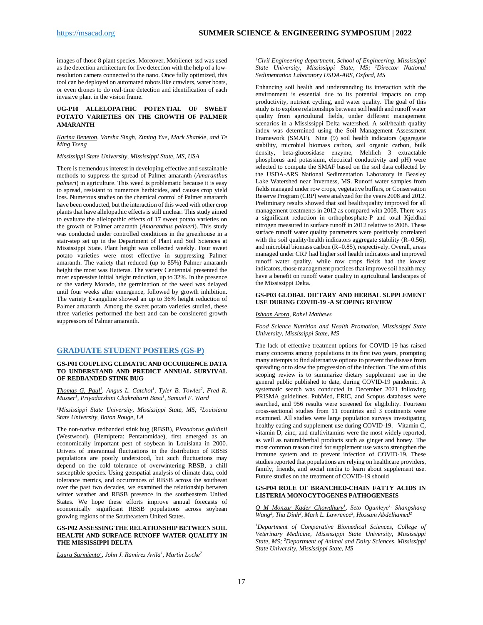images of those 8 plant species. Moreover, Mobilenet-ssd was used as the detection architecture for live detection with the help of a lowresolution camera connected to the nano. Once fully optimized, this tool can be deployed on automated robots like crawlers, water boats, or even drones to do real-time detection and identification of each invasive plant in the vision frame.

#### <span id="page-16-0"></span>**UG-P10 ALLELOPATHIC POTENTIAL OF SWEET POTATO VARIETIES ON THE GROWTH OF PALMER AMARANTH**

#### *Karina Beneton, Varsha Singh, Ziming Yue, Mark Shankle, and Te Ming Tseng*

#### *Mississippi State University, Mississippi State, MS, USA*

There is tremendous interest in developing effective and sustainable methods to suppress the spread of Palmer amaranth (*Amaranthus palmeri*) in agriculture. This weed is problematic because it is easy to spread, resistant to numerous herbicides, and causes crop yield loss. Numerous studies on the chemical control of Palmer amaranth have been conducted, but the interaction of this weed with other crop plants that have allelopathic effects is still unclear. This study aimed to evaluate the allelopathic effects of 17 sweet potato varieties on the growth of Palmer amaranth (*Amaranthus palmeri*). This study was conducted under controlled conditions in the greenhouse in a stair-step set up in the Department of Plant and Soil Sciences at Mississippi State. Plant height was collected weekly. Four sweet potato varieties were most effective in suppressing Palmer amaranth. The variety that reduced (up to 85%) Palmer amaranth height the most was Hatteras. The variety Centennial presented the most expressive initial height reduction, up to 32%. In the presence of the variety Morado, the germination of the weed was delayed until four weeks after emergence, followed by growth inhibition. The variety Evangeline showed an up to 36% height reduction of Palmer amaranth. Among the sweet potato varieties studied, these three varieties performed the best and can be considered growth suppressors of Palmer amaranth.

#### <span id="page-16-1"></span>**GRADUATE STUDENT POSTERS (GS-P)**

#### <span id="page-16-2"></span>**GS-P01 COUPLING CLIMATIC AND OCCURRENCE DATA TO UNDERSTAND AND PREDICT ANNUAL SURVIVAL OF REDBANDED STINK BUG**

*Thomas G. Paul<sup>1</sup>*, Angus L. Catchot<sup>1</sup>, Tyler B. Towles<sup>2</sup>, Fred R. *Musser1 , Priyadarshini Chakrabarti Basu1 , Samuel F. Ward*

*1 Mississippi State University, Mississippi State, MS; 2 Louisiana State University, Baton Rouge, LA*

The non-native redbanded stink bug (RBSB), *Piezodorus guildinii*  (Westwood), (Hemiptera: Pentatomidae), first emerged as an economically important pest of soybean in Louisiana in 2000. Drivers of interannual fluctuations in the distribution of RBSB populations are poorly understood, but such fluctuations may depend on the cold tolerance of overwintering RBSB, a chill susceptible species. Using geospatial analysis of climate data, cold tolerance metrics, and occurrences of RBSB across the southeast over the past two decades, we examined the relationship between winter weather and RBSB presence in the southeastern United States. We hope these efforts improve annual forecasts of economically significant RBSB populations across soybean growing regions of the Southeastern United States.

#### <span id="page-16-3"></span>**GS-P02 ASSESSING THE RELATIONSHIP BETWEEN SOIL HEALTH AND SURFACE RUNOFF WATER QUALITY IN THE MISSISSIPPI DELTA**

*Laura Sarmiento1 , John J. Ramirez Avila1 , Martin Locke2*

*1 Civil Engineering department, School of Engineering, Mississippi State University, Mississippi State, MS; <sup>2</sup> Director National Sedimentation Laboratory USDA-ARS, Oxford, MS*

Enhancing soil health and understanding its interaction with the environment is essential due to its potential impacts on crop productivity, nutrient cycling, and water quality. The goal of this study is to explore relationships between soil health and runoff water quality from agricultural fields, under different management scenarios in a Mississippi Delta watershed. A soil/health quality index was determined using the Soil Management Assessment Framework (SMAF). Nine (9) soil health indicators (aggregate stability, microbial biomass carbon, soil organic carbon, bulk density, beta-glucosidase enzyme, Mehlich 3 extractable phosphorus and potassium, electrical conductivity and pH) were selected to compute the SMAF based on the soil data collected by the USDA-ARS National Sedimentation Laboratory in Beasley Lake Watershed near Inverness, MS. Runoff water samples from fields managed under row crops, vegetative buffers, or Conservation Reserve Program (CRP) were analyzed for the years 2008 and 2012. Preliminary results showed that soil health/quality improved for all management treatments in 2012 as compared with 2008. There was a significant reduction in orthophosphate-P and total Kjeldhal nitrogen measured in surface runoff in 2012 relative to 2008. These surface runoff water quality parameters were positively correlated with the soil quality/health indicators aggregate stability  $(R=0.56)$ , and microbial biomass carbon (R=0.85), respectively. Overall, areas managed under CRP had higher soil health indicators and improved runoff water quality, while row crops fields had the lowest indicators, those management practices that improve soil health may have a benefit on runoff water quality in agricultural landscapes of the Mississippi Delta.

#### <span id="page-16-4"></span>**GS-P03 GLOBAL DIETARY AND HERBAL SUPPLEMENT USE DURING COVID-19 -A SCOPING REVIEW**

#### *Ishaan Arora, Rahel Mathews*

*Food Science Nutrition and Health Promotion, Mississippi State University, Mississippi State, MS*

The lack of effective treatment options for COVID-19 has raised many concerns among populations in its first two years, prompting many attempts to find alternative options to prevent the disease from spreading or to slow the progression of the infection. The aim of this scoping review is to summarize dietary supplement use in the general public published to date, during COVID-19 pandemic. A systematic search was conducted in December 2021 following PRISMA guidelines. PubMed, ERIC, and Scopus databases were searched, and 956 results were screened for eligibility. Fourteen cross-sectional studies from 11 countries and 3 continents were examined. All studies were large population surveys investigating healthy eating and supplement use during COVID-19. Vitamin C, vitamin D, zinc, and multivitamins were the most widely reported, as well as natural/herbal products such as ginger and honey. The most common reason cited for supplement use was to strengthen the immune system and to prevent infection of COVID-19. These studies reported that populations are relying on healthcare providers, family, friends, and social media to learn about supplement use. Future studies on the treatment of COVID-19 should

#### <span id="page-16-5"></span>**GS-P04 ROLE OF BRANCHED-CHAIN FATTY ACIDS IN LISTERIA MONOCYTOGENES PATHOGENESIS**

*Q M Monzur Kader Chowdhury1 , Seto Ogunleye1, Shangshang*  Wang<sup>2</sup>, Thu Dinh<sup>2</sup>, Mark L. Lawrence<sup>2</sup>, Hossam Abdelhamed<sup>2</sup>

<sup>1</sup>Department of Comparative Biomedical Sciences, College of *Veterinary Medicine, Mississippi State University, Mississippi State, MS; 2 Department of Animal and Dairy Sciences, Mississippi State University, Mississippi State, MS*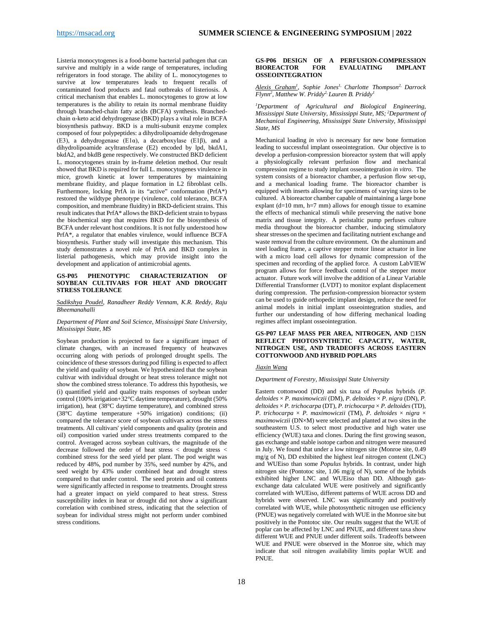Listeria monocytogenes is a food-borne bacterial pathogen that can survive and multiply in a wide range of temperatures, including refrigerators in food storage. The ability of L. monocytogenes to survive at low temperatures leads to frequent recalls of contaminated food products and fatal outbreaks of listeriosis. A critical mechanism that enables L. monocytogenes to grow at low temperatures is the ability to retain its normal membrane fluidity through branched-chain fatty acids (BCFA) synthesis. Branchedchain α-keto acid dehydrogenase (BKD) plays a vital role in BCFA biosynthesis pathway. BKD is a multi-subunit enzyme complex composed of four polypeptides: a dihydrolipoamide dehydrogenase (E3), a dehydrogenase (E1α), a decarboxylase (E1β), and a dihydrolipoamide acyltransferase (E2) encoded by lpd, bkdA1, bkdA2, and bkdB gene respectively. We constructed BKD deficient L. monocytogenes strain by in-frame deletion method. Our result showed that BKD is required for full L. monocytogenes virulence in mice, growth kinetic at lower temperatures by maintaining membrane fluidity, and plaque formation in L2 fibroblast cells. Furthermore, locking PrfA in its "active" conformation (PrfA\*) restored the wildtype phenotype (virulence, cold tolerance, BCFA composition, and membrane fluidity) in BKD-deficient strains. This result indicates that PrfA\* allows the BKD-deficient strain to bypass the biochemical step that requires BKD for the biosynthesis of BCFA under relevant host conditions. It is not fully understood how PrfA\*, a regulator that enables virulence, would influence BCFA biosynthesis. Further study will investigate this mechanism. This study demonstrates a novel role of PrfA and BKD complex in listerial pathogenesis, which may provide insight into the development and application of antimicrobial agents.

#### <span id="page-17-0"></span>**GS-P05 PHENOTYPIC CHARACTERIZATION OF SOYBEAN CULTIVARS FOR HEAT AND DROUGHT STRESS TOLERANCE**

#### *Sadikshya Poudel, Ranadheer Reddy Vennam, K.R. Reddy, Raju Bheemanahalli*

#### *Department of Plant and Soil Science, Mississippi State University, Mississippi State, MS*

Soybean production is projected to face a significant impact of climate changes, with an increased frequency of heatwaves occurring along with periods of prolonged drought spells. The coincidence of these stressors during pod filling is expected to affect the yield and quality of soybean. We hypothesized that the soybean cultivar with individual drought or heat stress tolerance might not show the combined stress tolerance. To address this hypothesis, we (i) quantified yield and quality traits responses of soybean under control (100% irrigation+32°C daytime temperature), drought (50% irrigation), heat (38°C daytime temperature), and combined stress (38°C daytime temperature +50% irrigation) conditions; (ii) compared the tolerance score of soybean cultivars across the stress treatments. All cultivars' yield components and quality (protein and oil) composition varied under stress treatments compared to the control. Averaged across soybean cultivars, the magnitude of the decrease followed the order of heat stress < drought stress < combined stress for the seed yield per plant. The pod weight was reduced by 48%, pod number by 35%, seed number by 42%, and seed weight by 43% under combined heat and drought stress compared to that under control. The seed protein and oil contents were significantly affected in response to treatments. Drought stress had a greater impact on yield compared to heat stress. Stress susceptibility index in heat or drought did not show a significant correlation with combined stress, indicating that the selection of soybean for individual stress might not perform under combined stress conditions.

#### <span id="page-17-1"></span>**GS-P06 DESIGN OF A PERFUSION-COMPRESSION EVALUATING OSSEOINTEGRATION**

*Alexis Graham1 , Sophie Jones1, Charlotte Thompson2, Darrock Flynn2 , Matthew W. Priddy2, Lauren B. Priddy1*

*1 Department of Agricultural and Biological Engineering, Mississippi State University, Mississippi State, MS; <sup>2</sup> Department of Mechanical Engineering, Mississippi State University, Mississippi State, MS*

Mechanical loading *in vivo* is necessary for new bone formation leading to successful implant osseointegration. Our objective is to develop a perfusion-compression bioreactor system that will apply a physiologically relevant perfusion flow and mechanical compression regime to study implant osseointegration *in vitro*. The system consists of a bioreactor chamber, a perfusion flow set-up, and a mechanical loading frame. The bioreactor chamber is equipped with inserts allowing for specimens of varying sizes to be cultured. A bioreactor chamber capable of maintaining a large bone explant  $(d=10 \text{ mm}, \text{ h=7 mm})$  allows for enough tissue to examine the effects of mechanical stimuli while preserving the native bone matrix and tissue integrity. A peristaltic pump perfuses culture media throughout the bioreactor chamber, inducing stimulatory shear stresses on the specimen and facilitating nutrient exchange and waste removal from the culture environment. On the aluminum and steel loading frame, a captive stepper motor linear actuator in line with a micro load cell allows for dynamic compression of the specimen and recording of the applied force. A custom LabVIEW program allows for force feedback control of the stepper motor actuator. Future work will involve the addition of a Linear Variable Differential Transformer (LVDT) to monitor explant displacement during compression. The perfusion-compression bioreactor system can be used to guide orthopedic implant design, reduce the need for animal models in initial implant osseointegration studies, and further our understanding of how differing mechanical loading regimes affect implant osseointegration.

#### <span id="page-17-2"></span>**GS-P07 LEAF MASS PER AREA, NITROGEN, AND 15N REFLECT PHOTOSYNTHETIC CAPACITY, WATER, NITROGEN USE, AND TRADEOFFS ACROSS EASTERN COTTONWOOD AND HYBRID POPLARS**

#### *Jiaxin Wang*

#### *Department of Forestry, Mississippi State University*

Eastern cottonwood (DD) and six taxa of *Populus* hybrids (*P.*   $deltoides \times P$ . maximowiczii (DM), *P. deltoides*  $\times$  *P. nigra* (DN), *P. deltoides* × *P. trichocarpa* (DT), *P. trichocarpa* × *P. deltoides* (TD), *P. trichocarpa* × *P. maximowiczii* (TM), *P. deltoides* × *nigra* × *maximowiczii* (DN×M) were selected and planted at two sites in the southeastern U.S. to select most productive and high water use efficiency (WUE) taxa and clones. During the first growing season, gas exchange and stable isotope carbon and nitrogen were measured in July. We found that under a low nitrogen site (Monroe site, 0.49 mg/g of N), DD exhibited the highest leaf nitrogen content (LNC) and WUEiso than some *Populus* hybrids. In contrast, under high nitrogen site (Pontotoc site, 1.06 mg/g of N), some of the hybrids exhibited higher LNC and WUEiso than DD. Although gasexchange data calculated WUE were positively and significantly correlated with WUEiso, different patterns of WUE across DD and hybrids were observed. LNC was significantly and positively correlated with WUE, while photosynthetic nitrogen use efficiency (PNUE) was negatively correlated with WUE in the Monroe site but positively in the Pontotoc site. Our results suggest that the WUE of poplar can be affected by LNC and PNUE, and different taxa show different WUE and PNUE under different soils. Tradeoffs between WUE and PNUE were observed in the Monroe site, which may indicate that soil nitrogen availability limits poplar WUE and PNUE.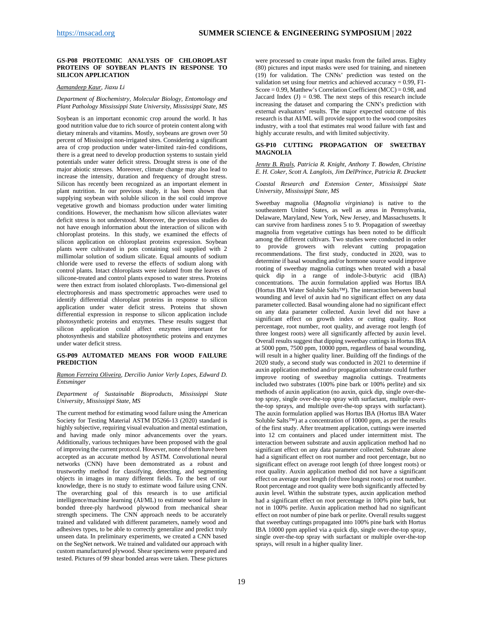#### <span id="page-18-0"></span>**GS-P08 PROTEOMIC ANALYSIS OF CHLOROPLAST PROTEINS OF SOYBEAN PLANTS IN RESPONSE TO SILICON APPLICATION**

*Aamandeep Kaur, Jiaxu Li* 

#### *Department of Biochemistry, Molecular Biology, Entomology and Plant Pathology Mississippi State University, Mississippi State, MS*

Soybean is an important economic crop around the world. It has good nutrition value due to rich source of protein content along with dietary minerals and vitamins. Mostly, soybeans are grown over 50 percent of Mississippi non-irrigated sites. Considering a significant area of crop production under water-limited rain-fed conditions, there is a great need to develop production systems to sustain yield potentials under water deficit stress. Drought stress is one of the major abiotic stresses. Moreover, climate change may also lead to increase the intensity, duration and frequency of drought stress. Silicon has recently been recognized as an important element in plant nutrition. In our previous study, it has been shown that supplying soybean with soluble silicon in the soil could improve vegetative growth and biomass production under water limiting conditions. However, the mechanism how silicon alleviates water deficit stress is not understood. Moreover, the previous studies do not have enough information about the interaction of silicon with chloroplast proteins. In this study, we examined the effects of silicon application on chloroplast proteins expression. Soybean plants were cultivated in pots containing soil supplied with 2 millimolar solution of sodium silicate. Equal amounts of sodium chloride were used to reverse the effects of sodium along with control plants. Intact chloroplasts were isolated from the leaves of silicone-treated and control plants exposed to water stress. Proteins were then extract from isolated chloroplasts. Two-dimensional gel electrophoresis and mass spectrometric approaches were used to identify differential chloroplast proteins in response to silicon application under water deficit stress. Proteins that shown differential expression in response to silicon application include photosynthetic proteins and enzymes. These results suggest that silicon application could affect enzymes important for photosynthesis and stabilize photosynthetic proteins and enzymes under water deficit stress.

#### <span id="page-18-1"></span>**GS-P09 AUTOMATED MEANS FOR WOOD FAILURE PREDICTION**

#### *Ramon Ferreira Oliveira, Dercilio Junior Verly Lopes, Edward D. Entsminger*

#### *Department of Sustainable Bioproducts, Mississippi State University, Mississippi State, MS*

The current method for estimating wood failure using the American Society for Testing Material ASTM D5266-13 (2020) standard is highly subjective, requiring visual evaluation and mental estimation, and having made only minor advancements over the years. Additionally, various techniques have been proposed with the goal of improving the current protocol. However, none of them have been accepted as an accurate method by ASTM. Convolutional neural networks (CNN) have been demonstrated as a robust and trustworthy method for classifying, detecting, and segmenting objects in images in many different fields. To the best of our knowledge, there is no study to estimate wood failure using CNN. The overarching goal of this research is to use artificial intelligence/machine learning (AI/ML) to estimate wood failure in bonded three-ply hardwood plywood from mechanical shear strength specimens. The CNN approach needs to be accurately trained and validated with different parameters, namely wood and adhesives types, to be able to correctly generalize and predict truly unseen data. In preliminary experiments, we created a CNN based on the SegNet network. We trained and validated our approach with custom manufactured plywood. Shear specimens were prepared and tested. Pictures of 99 shear bonded areas were taken. These pictures

were processed to create input masks from the failed areas. Eighty (80) pictures and input masks were used for training, and nineteen (19) for validation. The CNNs' prediction was tested on the validation set using four metrics and achieved accuracy =  $0.99$ , F1-Score = 0.99, Matthew's Correlation Coefficient (MCC) = 0.98, and Jaccard Index  $(J) = 0.98$ . The next steps of this research include increasing the dataset and comparing the CNN's prediction with external evaluators' results. The major expected outcome of this research is that AI/ML will provide support to the wood composites industry, with a tool that estimates real wood failure with fast and highly accurate results, and with limited subjectivity.

#### <span id="page-18-2"></span>**GS-P10 CUTTING PROPAGATION OF SWEETBAY MAGNOLIA**

*Jenny B. Ryals, Patricia R. Knight, Anthony T. Bowden, Christine E. H. Coker, Scott A. Langlois, Jim DelPrince, Patricia R. Drackett* 

*Coastal Research and Extension Center, Mississippi State University, Mississippi State, MS*

Sweetbay magnolia (*Magnolia virginiana*) is native to the southeastern United States, as well as areas in Pennsylvania, Delaware, Maryland, New York, New Jersey, and Massachusetts. It can survive from hardiness zones 5 to 9. Propagation of sweetbay magnolia from vegetative cuttings has been noted to be difficult among the different cultivars. Two studies were conducted in order to provide growers with relevant cutting propagation recommendations. The first study, conducted in 2020, was to determine if basal wounding and/or hormone source would improve rooting of sweetbay magnolia cuttings when treated with a basal quick dip in a range of indole-3-butyric acid (IBA) concentrations. The auxin formulation applied was Hortus IBA (Hortus IBA Water Soluble Salts™). The interaction between basal wounding and level of auxin had no significant effect on any data parameter collected. Basal wounding alone had no significant effect on any data parameter collected. Auxin level did not have a significant effect on growth index or cutting quality. Root percentage, root number, root quality, and average root length (of three longest roots) were all significantly affected by auxin level. Overall results suggest that dipping sweetbay cuttings in Hortus IBA at 5000 ppm, 7500 ppm, 10000 ppm, regardless of basal wounding, will result in a higher quality liner. Building off the findings of the 2020 study, a second study was conducted in 2021 to determine if auxin application method and/or propagation substrate could further improve rooting of sweetbay magnolia cuttings. Treatments included two substrates (100% pine bark or 100% perlite) and six methods of auxin application (no auxin, quick dip, single over-thetop spray, single over-the-top spray with surfactant, multiple overthe-top sprays, and multiple over-the-top sprays with surfactant). The auxin formulation applied was Hortus IBA (Hortus IBA Water Soluble Salts™) at a concentration of 10000 ppm, as per the results of the first study. After treatment application, cuttings were inserted into 12 cm containers and placed under intermittent mist. The interaction between substrate and auxin application method had no significant effect on any data parameter collected. Substrate alone had a significant effect on root number and root percentage, but no significant effect on average root length (of three longest roots) or root quality. Auxin application method did not have a significant effect on average root length (of three longest roots) or root number. Root percentage and root quality were both significantly affected by auxin level. Within the substrate types, auxin application method had a significant effect on root percentage in 100% pine bark, but not in 100% perlite. Auxin application method had no significant effect on root number of pine bark or perlite. Overall results suggest that sweetbay cuttings propagated into 100% pine bark with Hortus IBA 10000 ppm applied via a quick dip, single over-the-top spray, single over-the-top spray with surfactant or multiple over-the-top sprays, will result in a higher quality liner.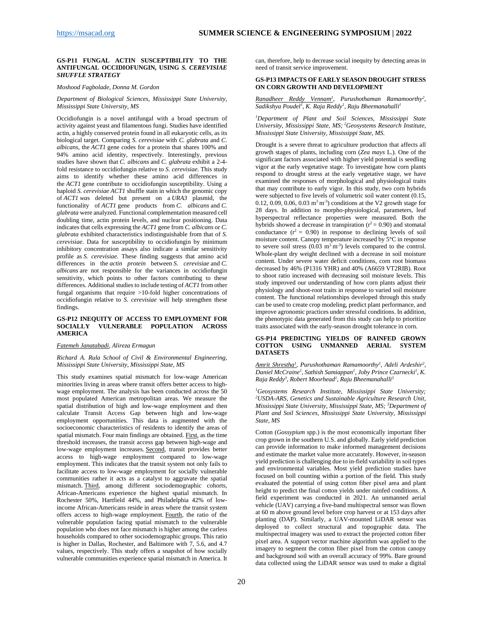#### <span id="page-19-0"></span>**GS-P11 FUNGAL ACTIN SUSCEPTIBILITY TO THE ANTIFUNGAL OCCIDIOFUNGIN, USING** *S. CEREVISIAE SHUFFLE STRATEGY*

#### *Moshood Fagbolade, Donna M. Gordon*

*Department of Biological Sciences, Mississippi State University, Mississippi State University, MS*

Occidiofungin is a novel antifungal with a broad spectrum of activity against yeast and filamentous fungi. Studies have identified actin, a highly conserved protein found in all eukaryotic cells, as its biological target. Comparing *S. cerevisiae* with *C. glabrata* and *C. albicans*, the *ACT1* gene codes for a protein that shares 100% and 94% amino acid identity, respectively. Interestingly, previous studies have shown that *C. albicans* and *C. glabrata* exhibit a 2-4 fold resistance to occidiofungin relative to *S. cerevisiae*. This study aims to identify whether these amino acid differences in the *ACT1* gene contribute to occidiofungin susceptibility. Using a haploid *S. cerevisiae ACT1* shuffle stain in which the genomic copy of *ACT1 wa*s deleted but present on a *URA3* plasmid, the functionality of *ACT1* gene products from *C. albicans* and *C. glabrata* were analyzed. Functional complementation measured cell doubling time, actin protein levels, and nuclear positioning. Data indicates that cells expressing the *ACT1* gene from *C. albicans* or *C. glabrata* exhibited characteristics indistinguishable from that of *S. cerevisiae*. Data for susceptibility to occidiofungin by minimum inhibitory concentration assays also indicate a similar sensitivity profile as *S. cerevisiae*. These finding suggests that amino acid differences in the *actin protein* between *S. cerevisiae* and *C. albicans* are not responsible for the variances in occidiofungin sensitivity, which points to other factors contributing to these differences. Additional studies to include testing of *ACT1* from other fungal organisms that require >10-fold higher concentrations of occidiofungin relative to *S. cerevisiae* will help strengthen these findings.

#### <span id="page-19-1"></span>**GS-P12 INEQUITY OF ACCESS TO EMPLOYMENT FOR VULNERABLE POPULATION ACROSS AMERICA**

#### *Fatemeh Janatabadi, Alireza Ermagun*

#### *Richard A. Rula School of Civil & Environmental Engineering, Mississippi State University, Mississippi State, MS*

This study examines spatial mismatch for low-wage American minorities living in areas where transit offers better access to highwage employment. The analysis has been conducted across the 50 most populated American metropolitan areas. We measure the spatial distribution of high and low-wage employment and then calculate Transit Access Gap between high and low-wage employment opportunities. This data is augmented with the socioeconomic characteristics of residents to identify the areas of spatial mismatch. Four main findings are obtained. First, as the time threshold increases, the transit access gap between high-wage and low-wage employment increases. Second, transit provides better access to high-wage employment compared to low-wage employment. This indicates that the transit system not only fails to facilitate access to low-wage employment for socially vulnerable communities rather it acts as a catalyst to aggravate the spatial mismatch. Third, among different sociodemographic cohorts, African-Americans experience the highest spatial mismatch. In Rochester 50%, Hartfield 44%, and Philadelphia 42% of lowincome African-Americans reside in areas where the transit system offers access to high-wage employment. Fourth, the ratio of the vulnerable population facing spatial mismatch to the vulnerable population who does not face mismatch is higher among the carless households compared to other sociodemographic groups. This ratio is higher in Dallas, Rochester, and Baltimore with 7, 5.6, and 4.7 values, respectively. This study offers a snapshot of how socially vulnerable communities experience spatial mismatch in America. It

can, therefore, help to decrease social inequity by detecting areas in need of transit service improvement.

#### <span id="page-19-2"></span>**GS-P13 IMPACTS OF EARLY SEASON DROUGHT STRESS ON CORN GROWTH AND DEVELOPMENT**

*Ranadheer Reddy Vennam1 , Purushothaman Ramamoorthy2 , Sadikshya Poudel1 , K. Raja Reddy1 , Raju Bheemanahalli1*

*1 Department of Plant and Soil Sciences, Mississippi State University, Mississippi State, MS; <sup>2</sup> Geosystems Research Institute, Mississippi State University, Mississippi State, MS.*

Drought is a severe threat to agriculture production that affects all growth stages of plants, including corn (*Zea mays* L.). One of the significant factors associated with higher yield potential is seedling vigor at the early vegetative stage. To investigate how corn plants respond to drought stress at the early vegetative stage, we have examined the responses of morphological and physiological traits that may contribute to early vigor. In this study, two corn hybrids were subjected to five levels of volumetric soil water content (0.15, 0.12, 0.09, 0.06, 0.03  $m<sup>3</sup>m<sup>-3</sup>$ ) conditions at the V2 growth stage for 28 days. In addition to morpho-physiological, parameters, leaf hyperspectral reflectance properties were measured. Both the hybrids showed a decrease in transpiration ( $r^2$  = 0.90) and stomatal conductance  $(r^2 = 0.90)$  in response to declining levels of soil moisture content. Canopy temperature increased by 5°C in response to severe soil stress  $(0.03 \text{ m}^3 \text{ m}^3)$  levels compared to the control. Whole-plant dry weight declined with a decrease in soil moisture content. Under severe water deficit conditions, corn root biomass decreased by 46% (P1316 YHR) and 40% (A6659 VT2RIB). Root to shoot ratio increased with decreasing soil moisture levels. This study improved our understanding of how corn plants adjust their physiology and shoot-root traits in response to varied soil moisture content. The functional relationships developed through this study can be used to create crop modeling, predict plant performance, and improve agronomic practices under stressful conditions. In addition, the phenotypic data generated from this study can help to prioritize traits associated with the early-season drought tolerance in corn.

#### <span id="page-19-3"></span>**GS-P14 PREDICTING YIELDS OF RAINFED GROWN COTTON USING UNMANNED AERIAL SYSTEM DATASETS**

*Amrit Shrestha1 , Purushothaman Ramamoorthy1 , Adeli Ardeshir2 , Daniel McCraine<sup>1</sup>, Sathish Samiappan<sup>1</sup>, Joby Prince Czarnecki<sup>1</sup>, K. Raja Reddy3 , Robert Moorhead1 , Raju Bheemanahalli3*

<sup>1</sup> Geosystems Research Institute, Mississippi State University;<br><sup>2</sup>USDA-ARS Genetics and Sustainable Agriculture Research Unit *USDA-ARS, Genetics and Sustainable Agriculture Research Unit, Mississippi State University, Mississippi State, MS; <sup>3</sup> Department of Plant and Soil Sciences, Mississippi State University, Mississippi State, MS*

Cotton (*Gossypium* spp.) is the most economically important fiber crop grown in the southern U.S. and globally. Early yield prediction can provide information to make informed management decisions and estimate the market value more accurately. However, in-season yield prediction is challenging due to in-field variability in soil types and environmental variables. Most yield prediction studies have focused on boll counting within a portion of the field. This study evaluated the potential of using cotton fiber pixel area and plant height to predict the final cotton yields under rainfed conditions. A field experiment was conducted in 2021. An unmanned aerial vehicle (UAV) carrying a five-band multispectral sensor was flown at 60 m above ground level before crop harvest or at 153 days after planting (DAP). Similarly, a UAV-mounted LiDAR sensor was deployed to collect structural and topographic data. The multispectral imagery was used to extract the projected cotton fiber pixel area. A support vector machine algorithm was applied to the imagery to segment the cotton fiber pixel from the cotton canopy and background soil with an overall accuracy of 99%. Bare ground data collected using the LiDAR sensor was used to make a digital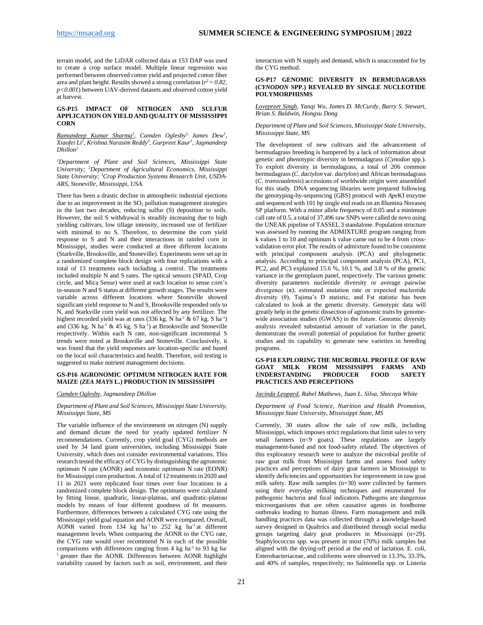terrain model, and the LiDAR collected data at 153 DAP was used to create a crop surface model. Multiple linear regression was performed between observed cotton yield and projected cotton fiber area and plant height. Results showed a strong correlation ( $r^2 = 0.82$ , *p<0.001*) between UAV-derived datasets and observed cotton yield at harvest.

#### <span id="page-20-0"></span>**GS-P15 IMPACT OF NITROGEN AND SULFUR APPLICATION ON YIELD AND QUALITY OF MISSISSIPPI CORN**

*Ramandeep Kumar Sharma1 , Camden Oglesby1, James Dew1 , Xiaofei Li2 , Krishna Narasim Reddy3 , Gurpreet Kaur1 , Jagmandeep Dhillon1*

*1 Department of Plant and Soil Sciences, Mississippi State University; <sup>2</sup> Department of Agricultural Economics, Mississippi State University; <sup>3</sup> Crop Production Systems Research Unit, USDA-ARS, Stoneville, Mississippi, USA.*

There has been a drastic decline in atmospheric industrial ejections due to an improvement in the  $SO<sub>2</sub>$  pollution management strategies in the last two decades, reducing sulfur (S) deposition to soils. However, the soil S withdrawal is steadily increasing due to high yielding cultivars, low tillage intensity, increased use of fertilizer with minimal to no S. Therefore, to determine the corn yield response to S and N and their interactions in rainfed corn in Mississippi, studies were conducted at three different locations (Starkville, Brooksville, and Stoneville). Experiments were set up in a randomized complete block design with four replications with a total of 13 treatments each including a control. The treatments included multiple N and S rates. The optical sensors (SPAD, Crop circle, and Mica Sense) were used at each location to sense corn's in-season N and S status at different growth stages. The results were variable across different locations where Stoneville showed significant yield response to N and S, Brooksville responded only to N, and Starkville corn yield was not affected by any fertilizer. The highest recorded yield was at rates  $(336 \text{ kg. N ha}^{-1} \& 67 \text{ kg. S ha}^{-1})$ and  $(336 \text{ kg. N ha}^{-1} \& 45 \text{ kg. S ha}^{-1})$  at Brooksville and Stoneville respectively. Within each N rate, non-significant incremental S trends were noted at Brooksville and Stoneville. Conclusively, it was found that the yield responses are location-specific and based on the local soil characteristics and health. Therefore, soil testing is suggested to make nutrient management decisions.

#### <span id="page-20-1"></span>**GS-P16 AGRONOMIC OPTIMUM NITROGEN RATE FOR MAIZE (***ZEA MAYS* **L.) PRODUCTION IN MISSISSIPPI**

#### *Camden Oglesby, Jagmandeep Dhillon*

#### *Department of Plant and Soil Sciences, Mississippi State University, Mississippi State, MS*

The variable influence of the environment on nitrogen (N) supply and demand dictate the need for yearly updated fertilizer N recommendations. Currently, crop yield goal (CYG) methods are used by 34 land grant universities, including Mississippi State University, which does not consider environmental variations. This research tested the efficacy of CYG by distinguishing the agronomic optimum N rate (AONR) and economic optimum N rate (EONR) for Mississippi corn production. A total of 12 treatments in 2020 and 11 in 2021 were replicated four times over four locations in a randomized complete block design. The optimums were calculated by fitting linear, quadratic, linear-plateau, and quadratic-plateau models by means of four different goodness of fit measures. Furthermore, differences between a calculated CYG rate using the Mississippi yield goal equation and AONR were compared. Overall, AONR varied from  $134$  kg ha<sup>-1</sup> to  $252$  kg ha<sup>-1</sup> at different management levels. When comparing the AONR to the CYG rate, the CYG rate would over recommend N in each of the possible comparisons with differences ranging from 4 kg ha<sup>-1</sup> to 93 kg ha-<sup>1</sup> greater than the AONR. Differences between AONR highlight variability caused by factors such as soil, environment, and their

interaction with N supply and demand, which is unaccounted for by the CYG method.

#### <span id="page-20-2"></span>**GS-P17 GENOMIC DIVERSITY IN BERMUDAGRASS (***CYNODON* **SPP.) REVEALED BY SINGLE NUCLEOTIDE POLYMORPHISMS**

*Lovepreet Singh, Yanqi Wu, James D. McCurdy, Barry S. Stewart, Brian S. Baldwin, Hongxu Dong* 

*Department of Plant and Soil Sciences, Mississippi State University, Mississippi State, MS*

The development of new cultivars and the advancement of bermudagrass breeding is hampered by a lack of information about genetic and phenotypic diversity in bermudagrass (*Cynodon* spp.). To exploit diversity in bermudagrass, a total of 206 common bermudagrass (*C. dactylon* var. *dactylon*) and African bermudagrass (*C. transvaalensis*) accessions of worldwide origin were assembled for this study. DNA sequencing libraries were prepared following the genotyping-by-sequencing (GBS) protocol with *Ape*KI enzyme and sequenced with 101 bp single end reads on an Illumina Novaseq SP platform. With a minor allele frequency of 0.05 and a minimum call rate of 0.5, a total of 37,496 raw SNPs were called de novo using the UNEAK pipeline of TASSEL 3 standalone. Population structure was assessed by running the ADMIXTURE program ranging from k values 1 to 10 and optimum k value came out to be 4 from crossvalidation error plot. The results of admixture found to be consistent with principal component analysis (PCA) and phylogenetic analysis. According to principal component analysis (PCA), PC1, PC2, and PC3 explained 15.6 %, 10.1 %, and 3.8 % of the genetic variance in the germplasm panel, respectively. The various genetic diversity parameters nucleotide diversity or average pairwise divergence  $(\pi)$ , estimated mutation rate or expected nucleotide diversity (θ), Tajima's D statistic, and Fst statistic has been calculated to look at the genetic diversity. Genotypic data will greatly help in the genetic dissection of agronomic traits by genomewide association studies (GWAS) in the future. Genomic diversity analysis revealed substantial amount of variation in the panel, demonstrate the overall potential of population for further genetic studies and its capability to generate new varieties in breeding programs.

#### <span id="page-20-3"></span>**GS-P18 EXPLORING THE MICROBIAL PROFILE OF RAW GOAT MILK FROM MISSISSIPPI FARMS AND UNDERSTANDING PRODUCER FOOD SAFETY PRACTICES AND PERCEPTIONS**

*Jacinda Leopard, Rahel Mathews, Juan L. Silva, Shecoya White*

*Department of Food Science, Nutrition and Health Promotion, Mississippi State University, Mississippi State, MS*

Currently, 30 states allow the sale of raw milk, including Mississippi, which imposes strict regulations that limit sales to very small farmers  $(n<9)$  goats). These regulations are largely management-based and not food-safety related. The objectives of this exploratory research were to analyze the microbial profile of raw goat milk from Mississippi farms and assess food safety practices and perceptions of dairy goat farmers in Mississippi to identify deficiencies and opportunities for improvement in raw goat milk safety. Raw milk samples (n=30) were collected by farmers using their everyday milking techniques and enumerated for pathogenic bacteria and fecal indicators. Pathogens are dangerous microorganisms that are often causative agents in foodborne outbreaks leading to human illness. Farm management and milk handling practices data was collected through a knowledge-based survey designed in Qualtrics and distributed through social media groups targeting dairy goat producers in Mississippi (n=29). Staphylococcus spp. was present in most (70%) milk samples but aligned with the drying-off period at the end of lactation. E. coli, Enterobacteriaceae, and coliforms were observed in 13.3%, 33.3%, and 40% of samples, respectively; no Salmonella spp. or Listeria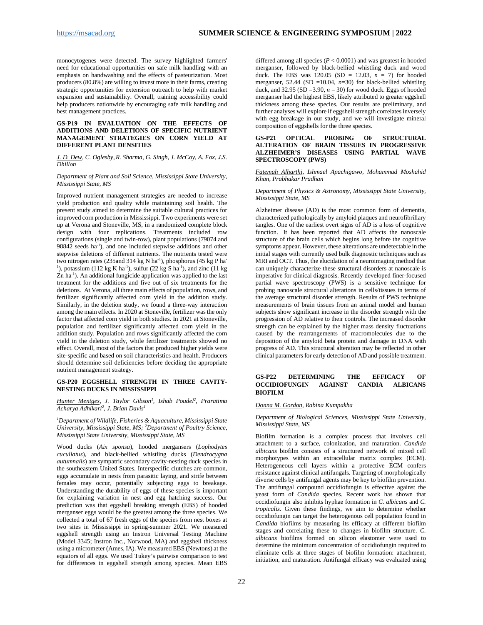monocytogenes were detected. The survey highlighted farmers' need for educational opportunities on safe milk handling with an emphasis on handwashing and the effects of pasteurization. Most producers (80.8%) are willing to invest more in their farms, creating strategic opportunities for extension outreach to help with market expansion and sustainability. Overall, training accessibility could help producers nationwide by encouraging safe milk handling and best management practices.

#### <span id="page-21-0"></span>**GS-P19 IN EVALUATION ON THE EFFECTS OF ADDITIONS AND DELETIONS OF SPECIFIC NUTRIENT MANAGEMENT STRATEGIES ON CORN YIELD AT DIFFERENT PLANT DENSITIES**

*J. D. Dew, C. Oglesby,R. Sharma, G. Singh, J. McCoy, A. Fox, J.S. Dhillon*

#### *Department of Plant and Soil Science, Mississippi State University, Mississippi State, MS*

Improved nutrient management strategies are needed to increase yield production and quality while maintaining soil health. The present study aimed to determine the suitable cultural practices for improved corn production in Mississippi. Two experiments were set up at Verona and Stoneville, MS, in a randomized complete block design with four replications. Treatments included row configurations (single and twin-row), plant populations (79074 and 98842 seeds ha<sup>-1</sup>), and one included stepwise additions and other stepwise deletions of different nutrients. The nutrients tested were two nitrogen rates (235 and 314 kg N ha<sup>-1</sup>), phosphorus (45 kg P ha<sup>-</sup> <sup>1</sup>), potassium (112 kg K ha<sup>-1</sup>), sulfur (22 kg S ha<sup>-1</sup>), and zinc (11 kg Zn ha<sup>-1</sup>). An additional fungicide application was applied to the last treatment for the additions and five out of six treatments for the deletions. At Verona, all three main effects of population, rows, and fertilizer significantly affected corn yield in the addition study. Similarly, in the deletion study, we found a three-way interaction among the main effects. In 2020 at Stoneville, fertilizer was the only factor that affected corn yield in both studies. In 2021 at Stoneville, population and fertilizer significantly affected corn yield in the addition study. Population and rows significantly affected the corn yield in the deletion study, while fertilizer treatments showed no effect. Overall, most of the factors that produced higher yields were site-specific and based on soil characteristics and health. Producers should determine soil deficiencies before deciding the appropriate nutrient management strategy.

#### <span id="page-21-1"></span>**GS-P20 EGGSHELL STRENGTH IN THREE CAVITY-NESTING DUCKS IN MISSISSIPPI**

#### *Hunter Mentges, J. Taylor Gibson1 , Ishab Poudel2 , Praratima Acharya Adhikari2 , J. Brian Davis1*

*1 Department of Wildlife, Fisheries & Aquaculture, Mississippi State University, Mississippi State, MS; 2 Department of Poultry Science, Mississippi State University, Mississippi State, MS*

Wood ducks (*Aix sponsa*), hooded mergansers (*Lophodytes cucullatus*), and black-bellied whistling ducks (*Dendrocygna autumnalis*) are sympatric secondary cavity-nesting duck species in the southeastern United States. Interspecific clutches are common, eggs accumulate in nests from parasitic laying, and strife between females may occur, potentially subjecting eggs to breakage. Understanding the durability of eggs of these species is important for explaining variation in nest and egg hatching success. Our prediction was that eggshell breaking strength (EBS) of hooded merganser eggs would be the greatest among the three species. We collected a total of 67 fresh eggs of the species from nest boxes at two sites in Mississippi in spring-summer 2021. We measured eggshell strength using an Instron Universal Testing Machine (Model 3345; Instron Inc., Norwood, MA) and eggshell thickness using a micrometer (Ames, IA). We measured EBS (Newtons) at the equators of all eggs. We used Tukey's pairwise comparison to test for differences in eggshell strength among species. Mean EBS

differed among all species  $(P < 0.0001)$  and was greatest in hooded merganser, followed by black-bellied whistling duck and wood duck. The EBS was  $120.05$  (SD = 12.03,  $n = 7$ ) for hooded merganser, 52.44 (SD =10.04,  $n=30$ ) for black-bellied whistling duck, and 32.95 (SD =3.90,  $n = 30$ ) for wood duck. Eggs of hooded merganser had the highest EBS, likely attributed to greater eggshell thickness among these species. Our results are preliminary, and further analyses will explore if eggshell strength correlates inversely with egg breakage in our study, and we will investigate mineral composition of eggshells for the three species.

#### <span id="page-21-2"></span>**GS-P21 OPTICAL PROBING OF STRUCTURAL ALTERATION OF BRAIN TISSUES IN PROGRESSIVE ALZHEIMER'S DISEASES USING PARTIAL WAVE SPECTROSCOPY (PWS)**

*Fatemah Alharthi, Ishmael Apachigawo, Mohammad Moshahid Khan, Prabhakar Pradhan* 

#### *Department of Physics & Astronomy, Mississippi State University, Mississippi State, MS*

Alzheimer disease (AD) is the most common form of dementia, characterized pathologically by amyloid plaques and neurofibrillary tangles. One of the earliest overt signs of AD is a loss of cognitive function. It has been reported that AD affects the nanoscale structure of the brain cells which begins long before the cognitive symptoms appear. However, these alterations are undetectable in the initial stages with currently used bulk diagnostic techniques such as MRI and OCT. Thus, the elucidation of a neuroimaging method that can uniquely characterize these structural disorders at nanoscale is imperative for clinical diagnosis. Recently developed finer-focused partial wave spectroscopy (PWS) is a sensitive technique for probing nanoscale structural alterations in cells/tissues in terms of the average structural disorder strength. Results of PWS technique measurements of brain tissues from an animal model and human subjects show significant increase in the disorder strength with the progression of AD relative to their controls. The increased disorder strength can be explained by the higher mass density fluctuations caused by the rearrangements of macromolecules due to the deposition of the amyloid beta protein and damage in DNA with progress of AD. This structural alteration may be reflected in other clinical parameters for early detection of AD and possible treatment.

#### <span id="page-21-3"></span>**GS-P22 DETERMINING THE EFFICACY OF OCCIDIOFUNGIN AGAINST CANDIA ALBICANS BIOFILM**

#### *Donna M. Gordon, Rabina Kumpakha*

*Department of Biological Sciences, Mississippi State University, Mississippi State, MS*

Biofilm formation is a complex process that involves cell attachment to a surface, colonization, and maturation. *Candida albicans* biofilm consists of a structured network of mixed cell morphotypes within an extracellular matrix complex (ECM). Heterogeneous cell layers within a protective ECM confers resistance against clinical antifungals. Targeting of morphologically diverse cells by antifungal agents may be key to biofilm prevention. The antifungal compound occidiofungin is effective against the yeast form of *Candida* species. Recent work has shown that occidiofungin also inhibits hyphae formation in *C. albicans* and *C. tropicalis*. Given these findings, we aim to determine whether occidiofungin can target the heterogenous cell population found in *Candida* biofilms by measuring its efficacy at different biofilm stages and correlating these to changes in biofilm structure. *C. albicans* biofilms formed on silicon elastomer were used to determine the minimum concentration of occidiofungin required to eliminate cells at three stages of biofilm formation: attachment, initiation, and maturation. Antifungal efficacy was evaluated using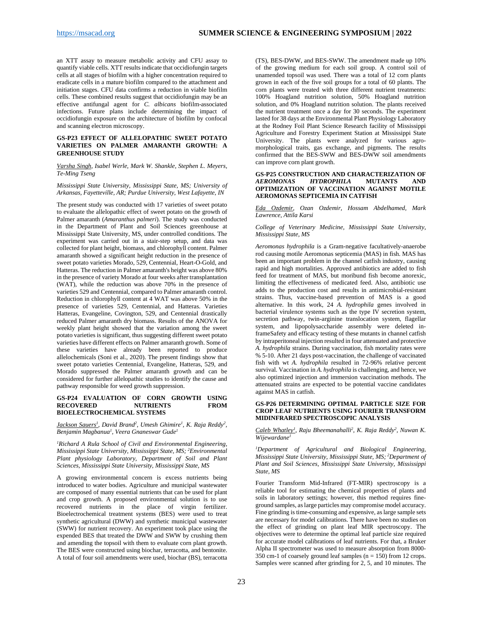an XTT assay to measure metabolic activity and CFU assay to quantify viable cells. XTT results indicate that occidiofungin targets cells at all stages of biofilm with a higher concentration required to eradicate cells in a mature biofilm compared to the attachment and initiation stages. CFU data confirms a reduction in viable biofilm cells. These combined results suggest that occidiofungin may be an effective antifungal agent for *C. albicans* biofilm-associated infections. Future plans include determining the impact of occidiofungin exposure on the architecture of biofilm by confocal and scanning electron microscopy.

#### <span id="page-22-0"></span>**GS-P23 EFFECT OF ALLELOPATHIC SWEET POTATO VARIETIES ON PALMER AMARANTH GROWTH: A GREENHOUSE STUDY**

*Varsha Singh, Isabel Werle, Mark W. Shankle, Stephen L. Meyers, Te-Ming Tseng* 

*Mississippi State University, Mississippi State, MS; University of Arkansas, Fayetteville, AR; Purdue University, West Lafayette, IN*

The present study was conducted with 17 varieties of sweet potato to evaluate the allelopathic effect of sweet potato on the growth of Palmer amaranth (*Amaranthus palmeri*). The study was conducted in the Department of Plant and Soil Sciences greenhouse at Mississippi State University, MS, under controlled conditions. The experiment was carried out in a stair-step setup, and data was collected for plant height, biomass, and chlorophyll content. Palmer amaranth showed a significant height reduction in the presence of sweet potato varieties Morado, 529, Centennial, Heart-O-Gold, and Hatteras. The reduction in Palmer amaranth's height was above 80% in the presence of variety Morado at four weeks after transplantation (WAT), while the reduction was above 70% in the presence of varieties 529 and Centennial, compared to Palmer amaranth control. Reduction in chlorophyll content at 4 WAT was above 50% in the presence of varieties 529, Centennial, and Hatteras. Varieties Hatteras, Evangeline, Covington, 529, and Centennial drastically reduced Palmer amaranth dry biomass. Results of the ANOVA for weekly plant height showed that the variation among the sweet potato varieties is significant, thus suggesting different sweet potato varieties have different effects on Palmer amaranth growth. Some of these varieties have already been reported to produce allelochemicals (Soni et al., 2020). The present findings show that sweet potato varieties Centennial, Evangeline, Hatteras, 529, and Morado suppressed the Palmer amaranth growth and can be considered for further allelopathic studies to identify the cause and pathway responsible for weed growth suppression.

#### <span id="page-22-1"></span>**GS-P24 EVALUATION OF CORN GROWTH USING RECOVERED BIOELECTROCHEMICAL SYSTEMS**

*Jackson Sauers1 , David Brand2 , Umesh Ghimire1 , K. Raja Reddy2 , Benjamin Magbanua1 , Veera Gnaneswar Gude1*

*1 Richard A Rula School of Civil and Environmental Engineering, Mississippi State University, Mississippi State, MS; <sup>2</sup> Environmental Plant physiology Laboratory, Department of Soil and Plant Sciences, Mississippi State University, Mississippi State, MS*

A growing environmental concern is excess nutrients being introduced to water bodies. Agriculture and municipal wastewater are composed of many essential nutrients that can be used for plant and crop growth. A proposed environmental solution is to use recovered nutrients in the place of virgin fertilizer. Bioelectrochemical treatment systems (BES) were used to treat synthetic agricultural (DWW) and synthetic municipal wastewater (SWW) for nutrient recovery. An experiment took place using the expended BES that treated the DWW and SWW by crushing them and amending the topsoil with them to evaluate corn plant growth. The BES were constructed using biochar, terracotta, and bentonite. A total of four soil amendments were used, biochar (BS), terracotta

(TS), BES-DWW, and BES-SWW. The amendment made up 10% of the growing medium for each soil group. A control soil of unamended topsoil was used. There was a total of 12 corn plants grown in each of the five soil groups for a total of 60 plants. The corn plants were treated with three different nutrient treatments: 100% Hoagland nutrition solution, 50% Hoagland nutrition solution, and 0% Hoagland nutrition solution. The plants received the nutrient treatment once a day for 30 seconds. The experiment lasted for 38 days at the Environmental Plant Physiology Laboratory at the Rodney Foil Plant Science Research facility of Mississippi Agriculture and Forestry Experiment Station at Mississippi State University. The plants were analyzed for various agromorphological traits, gas exchange, and pigments. The results confirmed that the BES-SWW and BES-DWW soil amendments can improve corn plant growth.

#### <span id="page-22-2"></span>**GS-P25 CONSTRUCTION AND CHARACTERIZATION OF AEROMONAS HYDROPHILA MUTANTS AND**  $HYPROPHILA$ **OPTIMIZATION OF VACCINATION AGAINST MOTILE AEROMONAS SEPTICEMIA IN CATFISH**

*Eda Ozdemir, Ozan Ozdemir, Hossam Abdelhamed, Mark Lawrence, Attila Karsi*

*College of Veterinary Medicine, Mississippi State University, Mississippi State, MS*

*Aeromonas hydrophila* is a Gram-negative facultatively-anaerobe rod causing motile Aeromonas septicemia (MAS) in fish. MAS has been an important problem in the channel catfish industry, causing rapid and high mortalities. Approved antibiotics are added to fish feed for treatment of MAS, but moribund fish become anorexic, limiting the effectiveness of medicated feed. Also, antibiotic use adds to the production cost and results in antimicrobial-resistant strains. Thus, vaccine-based prevention of MAS is a good alternative. In this work, 24 *A. hydrophila* genes involved in bacterial virulence systems such as the type IV secretion system, secretion pathway, twin-arginine translocation system, flagellar system, and lipopolysaccharide assembly were deleted inframeSafety and efficacy testing of these mutants in channel catfish by intraperitoneal injection resulted in four attenuated and protective *A. hydrophila* strains. During vaccination, fish mortality rates were % 5-10. After 21 days post-vaccination, the challenge of vaccinated fish with wt *A. hydrophila* resulted in 72-96% relative percent survival. Vaccination in *A. hydrophila* is challenging, and hence, we also optimized injection and immersion vaccination methods. The attenuated strains are expected to be potential vaccine candidates against MAS in catfish.

#### <span id="page-22-3"></span>**GS-P26 DETERMINING OPTIMAL PARTICLE SIZE FOR CROP LEAF NUTRIENTS USING FOURIER TRANSFORM MIDINFRARED SPECTROSCOPIC ANALYSIS**

*Caleb Whatley1 , Raju Bheemanahalli2 , K. Raja Reddy2 , Nuwan K. Wijewardane1*

*1 Department of Agricultural and Biological Engineering, Mississippi State University, Mississippi State, MS; <sup>2</sup> Department of Plant and Soil Sciences, Mississippi State University, Mississippi State, MS*

Fourier Transform Mid-Infrared (FT-MIR) spectroscopy is a reliable tool for estimating the chemical properties of plants and soils in laboratory settings; however, this method requires fineground samples, as large particles may compromise model accuracy. Fine grinding is time-consuming and expensive, as large sample sets are necessary for model calibrations. There have been no studies on the effect of grinding on plant leaf MIR spectroscopy. The objectives were to determine the optimal leaf particle size required for accurate model calibrations of leaf nutrients. For that, a Bruker Alpha II spectrometer was used to measure absorption from 8000- 350 cm-1 of coarsely ground leaf samples (n = 150) from 12 crops. Samples were scanned after grinding for 2, 5, and 10 minutes. The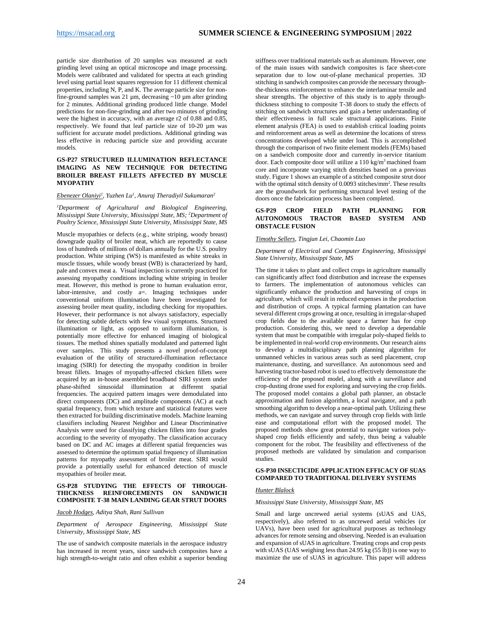particle size distribution of 20 samples was measured at each grinding level using an optical microscope and image processing. Models were calibrated and validated for spectra at each grinding level using partial least squares regression for 11 different chemical properties, including N, P, and K. The average particle size for nonfine-ground samples was 21  $\mu$ m, decreasing ~10  $\mu$ m after grinding for 2 minutes. Additional grinding produced little change. Model predictions for non-fine-grinding and after two minutes of grinding were the highest in accuracy, with an average r2 of 0.88 and 0.85, respectively. We found that leaf particle size of 10-20 µm was sufficient for accurate model predictions. Additional grinding was less effective in reducing particle size and providing accurate models.

#### <span id="page-23-0"></span>**GS-P27 STRUCTURED ILLUMINATION REFLECTANCE IMAGING AS NEW TECHNIQUE FOR DETECTING BROILER BREAST FILLETS AFFECTED BY MUSCLE MYOPATHY**

#### *Ebenezer Olaniyi1 , Yuzhen Lu1 , Anuraj Theradiyil Sukumaran2*

*1 Department of Agricultural and Biological Engineering, Mississippi State University, Mississippi State, MS; <sup>2</sup> Department of Poultry Science, Mississippi State University, Mississippi State, MS*

Muscle myopathies or defects (e.g., white striping, woody breast) downgrade quality of broiler meat, which are reportedly to cause loss of hundreds of millions of dollars annually for the U.S. poultry production. White striping (WS) is manifested as white streaks in muscle tissues, while woody breast (WB) is characterized by hard, pale and convex meat a. Visual inspection is currently practiced for assessing myopathy conditions including white striping in broiler meat. However, this method is prone to human evaluation error, labor-intensive, and costly a=. Imaging techniques under conventional uniform illumination have been investigated for assessing broiler meat quality, including checking for myopathies. However, their performance is not always satisfactory, especially for detecting subtle defects with few visual symptoms. Structured illumination or light, as opposed to uniform illumination, is potentially more effective for enhanced imaging of biological tissues. The method shines spatially modulated and patterned light over samples. This study presents a novel proof-of-concept evaluation of the utility of structured-illumination reflectance imaging (SIRI) for detecting the myopathy condition in broiler breast fillets. Images of myopathy-affected chicken fillets were acquired by an in-house assembled broadband SIRI system under phase-shifted sinusoidal illumination at different spatial frequencies. The acquired pattern images were demodulated into direct components (DC) and amplitude components (AC) at each spatial frequency, from which texture and statistical features were then extracted for building discriminative models. Machine learning classifiers including Nearest Neighbor and Linear Discriminative Analysis were used for classifying chicken fillets into four grades according to the severity of myopathy. The classification accuracy based on DC and AC images at different spatial frequencies was assessed to determine the optimum spatial frequency of illumination patterns for myopathy assessment of broiler meat. SIRI would provide a potentially useful for enhanced detection of muscle myopathies of broiler meat.

#### <span id="page-23-1"></span>**GS-P28 STUDYING THE EFFECTS OF THROUGH-THICKNESS REINFORCEMENTS ON SANDWICH COMPOSITE T-38 MAIN LANDING GEAR STRUT DOORS**

*Jacob Hodges, Aditya Shah, Rani Sullivan*

*Department of Aerospace Engineering, Mississippi State University, Mississippi State, MS*

The use of sandwich composite materials in the aerospace industry has increased in recent years, since sandwich composites have a high strength-to-weight ratio and often exhibit a superior bending

stiffness over traditional materials such as aluminum. However, one of the main issues with sandwich composites is face sheet-core separation due to low out-of-plane mechanical properties. 3D stitching in sandwich composites can provide the necessary throughthe-thickness reinforcement to enhance the interlaminar tensile and shear strengths. The objective of this study is to apply throughthickness stitching to composite T-38 doors to study the effects of stitching on sandwich structures and gain a better understanding of their effectiveness in full scale structural applications. Finite element analysis (FEA) is used to establish critical loading points and reinforcement areas as well as determine the locations of stress concentrations developed while under load. This is accomplished through the comparison of two finite element models (FEMs) based on a sandwich composite door and currently in-service titanium door. Each composite door will utilize a 110 kg/m3 machined foam core and incorporate varying stitch densities based on a previous study. Figure 1 shows an example of a stitched composite strut door with the optimal stitch density of 0.0093 stitches/mm<sup>2</sup>. These results are the groundwork for performing structural level testing of the doors once the fabrication process has been completed.

#### <span id="page-23-2"></span>**GS-P29 CROP FIELD PATH PLANNING FOR AUTONOMOUS TRACTOR BASED SYSTEM AND OBSTACLE FUSION**

#### *Timothy Sellers, Tingjun Lei, Chaomin Luo*

#### *Department of Electrical and Computer Engineering, Mississippi State University, Mississippi State, MS*

The time it takes to plant and collect crops in agriculture manually can significantly affect food distribution and increase the expenses to farmers. The implementation of autonomous vehicles can significantly enhance the production and harvesting of crops in agriculture, which will result in reduced expenses in the production and distribution of crops. A typical farming plantation can have several different crops growing at once, resulting in irregular-shaped crop fields due to the available space a farmer has for crop production. Considering this, we need to develop a dependable system that must be compatible with irregular poly-shaped fields to be implemented in real-world crop environments. Our research aims to develop a multidisciplinary path planning algorithm for unmanned vehicles in various areas such as seed placement, crop maintenance, dusting, and surveillance. An autonomous seed and harvesting tractor-based robot is used to effectively demonstrate the efficiency of the proposed model, along with a surveillance and crop-dusting drone used for exploring and surveying the crop fields. The proposed model contains a global path planner, an obstacle approximation and fusion algorithm, a local navigator, and a path smoothing algorithm to develop a near-optimal path. Utilizing these methods, we can navigate and survey through crop fields with little ease and computational effort with the proposed model. The proposed methods show great potential to navigate various polyshaped crop fields efficiently and safely, thus being a valuable component for the robot. The feasibility and effectiveness of the proposed methods are validated by simulation and comparison studies.

#### <span id="page-23-3"></span>**GS-P30 INSECTICIDE APPLICATION EFFICACY OF SUAS COMPARED TO TRADITIONAL DELIVERY SYSTEMS**

#### *Hunter Blalock*

#### *Mississippi State University, Mississippi State, MS*

Small and large uncrewed aerial systems (sUAS and UAS, respectively), also referred to as uncrewed aerial vehicles (or UAVs), have been used for agricultural purposes as technology advances for remote sensing and observing. Needed is an evaluation and expansion of sUAS in agriculture. Treating crops and crop pests with sUAS (UAS weighing less than 24.95 kg  $(55 \text{ lb})$ ) is one way to maximize the use of sUAS in agriculture. This paper will address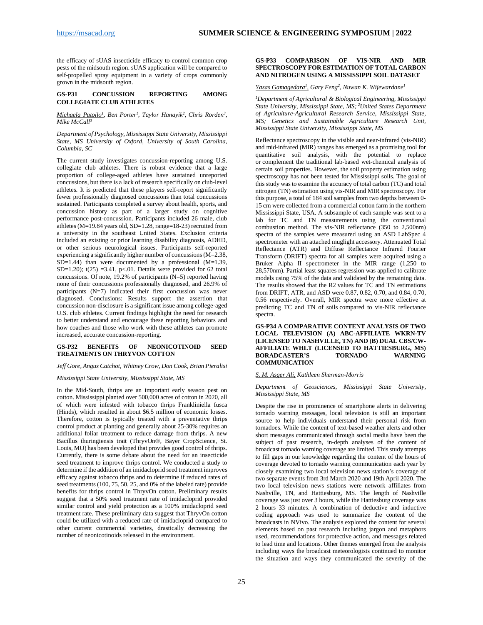the efficacy of sUAS insecticide efficacy to control common crop pests of the midsouth region. sUAS application will be compared to self-propelled spray equipment in a variety of crops commonly grown in the midsouth region.

#### <span id="page-24-0"></span>**GS-P31 CONCUSSION REPORTING AMONG COLLEGIATE CLUB ATHLETES**

#### *Michaela Patoilo<sup>1</sup>, Ben Porter<sup>1</sup>, Taylor Hanayik<sup>2</sup>, Chris Rorden<sup>3</sup>, Mike McCall3*

*Department of Psychology, Mississippi State University, Mississippi State, MS University of Oxford, University of South Carolina, Columbia, SC*

The current study investigates concussion-reporting among U.S. collegiate club athletes. There is robust evidence that a large proportion of college-aged athletes have sustained unreported concussions, but there is a lack of research specifically on club-level athletes. It is predicted that these players self-report significantly fewer professionally diagnosed concussions than total concussions sustained. Participants completed a survey about health, sports, and concussion history as part of a larger study on cognitive performance post-concussion. Participants included 26 male, club athletes ( $M=19.84$  years old, SD=1.28, range=18-23) recruited from a university in the southeast United States. Exclusion criteria included an existing or prior learning disability diagnosis, ADHD, or other serious neurological issues. Participants self-reported experiencing a significantly higher number of concussions (M=2.38,  $SD=1.44$ ) than were documented by a professional  $(M=1.39)$ , SD=1.20);  $t(25)$  =3.41, p<.01. Details were provided for 62 total concussions. Of note, 19.2% of participants (N=5) reported having none of their concussions professionally diagnosed, and 26.9% of participants (N=7) indicated their first concussion was never diagnosed. Conclusions: Results support the assertion that concussion non-disclosure is a significant issue among college-aged U.S. club athletes. Current findings highlight the need for research to better understand and encourage these reporting behaviors and how coaches and those who work with these athletes can promote increased, accurate concussion-reporting.

#### **GS-P32 BENEFITS OF NEONICOTINOID SEED TREATMENTS ON THRYVON COTTON**

#### *Jeff Gore, Angus Catchot, Whitney Crow, Don Cook, Brian Pieralisi*

*Mississippi State University, Mississippi State, MS*

In the Mid-South, thrips are an important early season pest on cotton. Mississippi planted over 500,000 acres of cotton in 2020, all of which were infested with tobacco thrips Frankliniella fusca (Hinds), which resulted in about \$6.5 million of economic losses. Therefore, cotton is typically treated with a preventative thrips control product at planting and generally about 25-30% requires an additional foliar treatment to reduce damage from thrips. A new Bacillus thuringiensis trait (ThryvOn®, Bayer CropScience, St. Louis, MO) has been developed that provides good control of thrips. Currently, there is some debate about the need for an insecticide seed treatment to improve thrips control. We conducted a study to determine if the addition of an imidacloprid seed treatment improves efficacy against tobacco thrips and to determine if reduced rates of seed treatments (100, 75, 50, 25, and 0% of the labeled rate) provide benefits for thrips control in ThryvOn cotton. Preliminary results suggest that a 50% seed treatment rate of imidacloprid provided similar control and yield protection as a 100% imidacloprid seed treatment rate. These preliminary data suggest that ThryvOn cotton could be utilized with a reduced rate of imidacloprid compared to other current commercial varieties, drastically decreasing the number of neonicotinoids released in the environment.

#### <span id="page-24-1"></span>**GS-P33 COMPARISON OF VIS-NIR AND MIR SPECTROSCOPY FOR ESTIMATION OF TOTAL CARBON AND NITROGEN USING A MISSISSIPPI SOIL DATASET**

*Yasas Gamagedara1 , Gary Feng2 , Nuwan K. Wijewardane1*

*1 Department of Agricultural & Biological Engineering, Mississippi State University, Mississippi State, MS; <sup>2</sup> United States Department of Agriculture-Agricultural Research Service, Mississippi State, MS; Genetics and Sustainable Agriculture Research Unit, Mississippi State University, Mississippi State, MS*

Reflectance spectroscopy in the visible and near-infrared (vis-NIR) and mid-infrared (MIR) ranges has emerged as a promising tool for quantitative soil analysis, with the potential to replace or complement the traditional lab-based wet-chemical analysis of certain soil properties. However, the soil property estimation using spectroscopy has not been tested for Mississippi soils. The goal of this study was to examine the accuracy of total carbon (TC) and total nitrogen (TN) estimation using vis-NIR and MIR spectroscopy. For this purpose, a total of 184 soil samples from two depths between 0- 15 cm were collected from a commercial cotton farm in the northern Mississippi State, USA. A subsample of each sample was sent to a lab for TC and TN measurements using the conventional combustion method. The vis-NIR reflectance (350 to 2,500nm) spectra of the samples were measured using an ASD LabSpec 4 spectrometer with an attached muglight accessory. Attenuated Total Reflectance (ATR) and Diffuse Reflectance Infrared Fourier Transform (DRIFT) spectra for all samples were acquired using a Bruker Alpha II spectrometer in the MIR range (1,250 to 28,570nm). Partial least squares regression was applied to calibrate models using 75% of the data and validated by the remaining data. The results showed that the R2 values for TC and TN estimations from DRIFT, ATR, and ASD were 0.87, 0.82, 0.70, and 0.84, 0.70, 0.56 respectively. Overall, MIR spectra were more effective at predicting TC and TN of soils compared to vis-NIR reflectance spectra.

<span id="page-24-2"></span>**GS-P34 A COMPARATIVE CONTENT ANALYSIS OF TWO LOCAL TELEVISION (A) ABC-AFFILIATE WKRN-TV (LICENSED TO NASHVILLE, TN) AND (B) DUAL CBS/CW-AFFILIATE WHLT (LICENSED TO HATTIESBURG, MS) BORADCASTER'S COMMUNICATION**

#### *S. M. Asger Ali, Kathleen Sherman-Morris*

*Department of Geosciences, Mississippi State University, Mississippi State, MS*

Despite the rise in prominence of smartphone alerts in delivering tornado warning messages, local television is still an important source to help individuals understand their personal risk from tornadoes. While the content of text-based weather alerts and other short messages communicated through social media have been the subject of past research, in-depth analyses of the content of broadcast tornado warning coverage are limited. This study attempts to fill gaps in our knowledge regarding the content of the hours of coverage devoted to tornado warning communication each year by closely examining two local television news station's coverage of two separate events from 3rd March 2020 and 19th April 2020. The two local television news stations were network affiliates from Nashville, TN, and Hattiesburg, MS. The length of Nashville coverage was just over 3 hours, while the Hattiesburg coverage was 2 hours 33 minutes. A combination of deductive and inductive coding approach was used to summarize the content of the broadcasts in NVivo. The analysis explored the content for several elements based on past research including jargon and metaphors used, recommendations for protective action, and messages related to lead time and locations. Other themes emerged from the analysis including ways the broadcast meteorologists continued to monitor the situation and ways they communicated the severity of the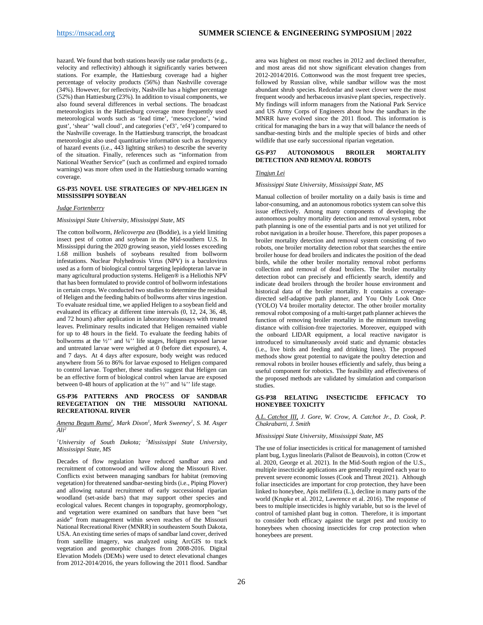hazard. We found that both stations heavily use radar products (e.g., velocity and reflectivity) although it significantly varies between stations. For example, the Hattiesburg coverage had a higher percentage of velocity products (56%) than Nashville coverage (34%). However, for reflectivity, Nashville has a higher percentage (52%) than Hattiesburg (23%). In addition to visual components, we also found several differences in verbal sections. The broadcast meteorologists in the Hattiesburg coverage more frequently used meteorological words such as 'lead time', 'mesocyclone', 'wind gust', 'shear' 'wall cloud', and categories ('ef3', 'ef4') compared to the Nashville coverage. In the Hattiesburg transcript, the broadcast meteorologist also used quantitative information such as frequency of hazard events (i.e., 443 lighting strikes) to describe the severity of the situation. Finally, references such as "information from National Weather Service" (such as confirmed and expired tornado warnings) was more often used in the Hattiesburg tornado warning coverage.

#### <span id="page-25-0"></span>**GS-P35 NOVEL USE STRATEGIES OF NPV-HELIGEN IN MISSISSIPPI SOYBEAN**

#### *Judge Fortenberry*

#### *Mississippi State University, Mississippi State, MS*

The cotton bollworm, *Helicoverpa zea* (Boddie), is a yield limiting insect pest of cotton and soybean in the Mid-southern U.S. In Mississippi during the 2020 growing season, yield losses exceeding 1.68 million bushels of soybeans resulted from bollworm infestations. Nuclear Polyhedrosis Virus (NPV) is a baculovirus used as a form of biological control targeting lepidopteran larvae in many agricultural production systems. Heligen® is a Heliothis NPV that has been formulated to provide control of bollworm infestations in certain crops. We conducted two studies to determine the residual of Heligen and the feeding habits of bollworms after virus ingestion. To evaluate residual time, we applied Heligen to a soybean field and evaluated its efficacy at different time intervals (0, 12, 24, 36, 48, and 72 hours) after application in laboratory bioassays with treated leaves. Preliminary results indicated that Heligen remained viable for up to 48 hours in the field. To evaluate the feeding habits of bollworms at the  $\frac{1}{2}$  and  $\frac{1}{4}$  life stages, Heligen exposed larvae and untreated larvae were weighed at 0 (before diet exposure), 4, and 7 days. At 4 days after exposure, body weight was reduced anywhere from 56 to 86% for larvae exposed to Heligen compared to control larvae. Together, these studies suggest that Heligen can be an effective form of biological control when larvae are exposed between 0-48 hours of application at the ½'' and ¼'' life stage.

#### <span id="page-25-1"></span>**GS-P36 PATTERNS AND PROCESS OF SANDBAR REVEGETATION ON THE MISSOURI NATIONAL RECREATIONAL RIVER**

#### *Amena Begum Ruma1 , Mark Dixon1 , Mark Sweeney1 , S. M. Asger Ali2*

#### *1 University of South Dakota; 2 Mississippi State University, Mississippi State, MS*

Decades of flow regulation have reduced sandbar area and recruitment of cottonwood and willow along the Missouri River. Conflicts exist between managing sandbars for habitat (removing vegetation) for threatened sandbar-nesting birds (i.e., Piping Plover) and allowing natural recruitment of early successional riparian woodland (set-aside bars) that may support other species and ecological values. Recent changes in topography, geomorphology, and vegetation were examined on sandbars that have been "set aside" from management within seven reaches of the Missouri National Recreational River (MNRR) in southeastern South Dakota, USA. An existing time series of maps of sandbar land cover, derived from satellite imagery, was analyzed using ArcGIS to track vegetation and geomorphic changes from 2008-2016. Digital Elevation Models (DEMs) were used to detect elevational changes from 2012-2014/2016, the years following the 2011 flood. Sandbar

area was highest on most reaches in 2012 and declined thereafter, and most areas did not show significant elevation changes from 2012-2014/2016. Cottonwood was the most frequent tree species, followed by Russian olive, while sandbar willow was the most abundant shrub species. Redcedar and sweet clover were the most frequent woody and herbaceous invasive plant species, respectively. My findings will inform managers from the National Park Service and US Army Corps of Engineers about how the sandbars in the MNRR have evolved since the 2011 flood. This information is critical for managing the bars in a way that will balance the needs of sandbar-nesting birds and the multiple species of birds and other wildlife that use early successional riparian vegetation.

#### <span id="page-25-2"></span>**GS-P37 AUTONOMOUS BROILER MORTALITY DETECTION AND REMOVAL ROBOTS**

#### *Tingjun Lei*

#### *Mississippi State University, Mississippi State, MS*

Manual collection of broiler mortality on a daily basis is time and labor-consuming, and an autonomous robotics system can solve this issue effectively. Among many components of developing the autonomous poultry mortality detection and removal system, robot path planning is one of the essential parts and is not yet utilized for robot navigation in a broiler house. Therefore, this paper proposes a broiler mortality detection and removal system consisting of two robots, one broiler mortality detection robot that searches the entire broiler house for dead broilers and indicates the position of the dead birds, while the other broiler mortality removal robot performs collection and removal of dead broilers. The broiler mortality detection robot can precisely and efficiently search, identify and indicate dead broilers through the broiler house environment and historical data of the broiler mortality. It contains a coveragedirected self-adaptive path planner, and You Only Look Once (YOLO) V4 broiler mortality detector. The other broiler mortality removal robot composing of a multi-target path planner achieves the function of removing broiler mortality in the minimum traveling distance with collision-free trajectories. Moreover, equipped with the onboard LIDAR equipment, a local reactive navigator is introduced to simultaneously avoid static and dynamic obstacles (i.e., live birds and feeding and drinking lines). The proposed methods show great potential to navigate the poultry detection and removal robots in broiler houses efficiently and safely, thus being a useful component for robotics. The feasibility and effectiveness of the proposed methods are validated by simulation and comparison studies.

#### <span id="page-25-3"></span>**GS-P38 RELATING INSECTICIDE EFFICACY TO HONEYBEE TOXICITY**

*A.L. Catchot III, J. Gore, W. Crow, A. Catchot Jr., D. Cook, P. Chakrabarti, J. Smith*

#### *Mississippi State University, Mississippi State, MS*

The use of foliar insecticides is critical for management of tarnished plant bug, Lygus lineolaris (Palisot de Beauvois), in cotton (Crow et al. 2020, George et al. 2021). In the Mid-South region of the U.S., multiple insecticide applications are generally required each year to prevent severe economic losses (Cook and Threat 2021). Although foliar insecticides are important for crop protection, they have been linked to honeybee, Apis mellifera (L.), decline in many parts of the world (Krupke et al. 2012, Lawrence et al. 2016). The response of bees to multiple insecticides is highly variable, but so is the level of control of tarnished plant bug in cotton. Therefore, it is important to consider both efficacy against the target pest and toxicity to honeybees when choosing insecticides for crop protection when honeybees are present.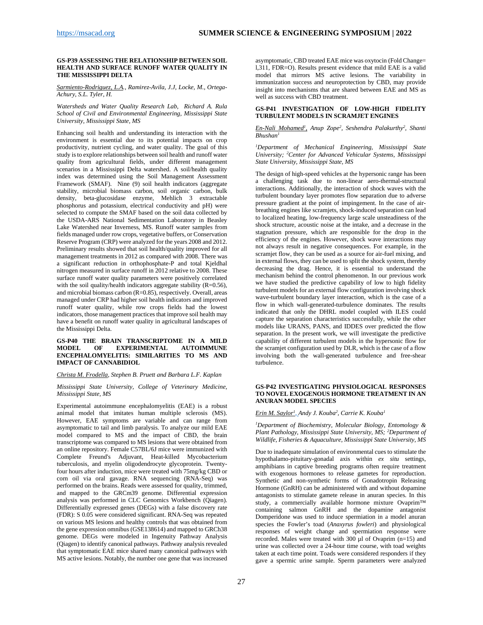#### <span id="page-26-0"></span>**GS-P39 ASSESSING THE RELATIONSHIP BETWEEN SOIL HEALTH AND SURFACE RUNOFF WATER QUALITY IN THE MISSISSIPPI DELTA**

*Sarmiento-Rodriguez, L.A., Ramirez-Avila, J.J, Locke, M., Ortega-Achury, S.L. Tyler, H.*

*Watersheds and Water Quality Research Lab, Richard A. Rula School of Civil and Environmental Engineering, Mississippi State University, Mississippi State, MS*

Enhancing soil health and understanding its interaction with the environment is essential due to its potential impacts on crop productivity, nutrient cycling, and water quality. The goal of this study is to explore relationships between soil health and runoff water quality from agricultural fields, under different management scenarios in a Mississippi Delta watershed. A soil/health quality index was determined using the Soil Management Assessment Framework (SMAF). Nine (9) soil health indicators (aggregate stability, microbial biomass carbon, soil organic carbon, bulk density, beta-glucosidase enzyme, Mehlich 3 extractable phosphorus and potassium, electrical conductivity and pH) were selected to compute the SMAF based on the soil data collected by the USDA-ARS National Sedimentation Laboratory in Beasley Lake Watershed near Inverness, MS. Runoff water samples from fields managed under row crops, vegetative buffers, or Conservation Reserve Program (CRP) were analyzed for the years 2008 and 2012. Preliminary results showed that soil health/quality improved for all management treatments in 2012 as compared with 2008. There was a significant reduction in orthophosphate-P and total Kjeldhal nitrogen measured in surface runoff in 2012 relative to 2008. These surface runoff water quality parameters were positively correlated with the soil quality/health indicators aggregate stability (R=0.56), and microbial biomass carbon  $(R=0.85)$ , respectively. Overall, areas managed under CRP had higher soil health indicators and improved runoff water quality, while row crops fields had the lowest indicators, those management practices that improve soil health may have a benefit on runoff water quality in agricultural landscapes of the Mississippi Delta.

#### <span id="page-26-1"></span>**GS-P40 THE BRAIN TRANSCRIPTOME IN A MILD EXPERIMENTAL ENCEPHALOMYELITIS: SIMILARITIES TO MS AND IMPACT OF CANNABIDIOL**

#### *Christa M. Frodella, Stephen B. Pruett and Barbara L.F. Kaplan*

#### *Mississippi State University, College of Veterinary Medicine, Mississippi State, MS*

Experimental autoimmune encephalomyelitis (EAE) is a robust animal model that imitates human multiple sclerosis (MS). However, EAE symptoms are variable and can range from asymptomatic to tail and limb paralysis. To analyze our mild EAE model compared to MS and the impact of CBD, the brain transcriptome was compared to MS lesions that were obtained from an online repository. Female C57BL/6J mice were immunized with Complete Freund's Adjuvant, Heat-killed Mycobacterium tuberculosis, and myelin oligodendrocyte glycoprotein. Twentyfour hours after induction, mice were treated with 75mg/kg CBD or corn oil via oral gavage. RNA sequencing (RNA-Seq) was performed on the brains. Reads were assessed for quality, trimmed, and mapped to the GRCm39 genome. Differential expression analysis was performed in CLC Genomics Workbench (Qiagen). Differentially expressed genes (DEGs) with a false discovery rate (FDR): S 0.05 were considered significant. RNA-Seq was repeated on various MS lesions and healthy controls that was obtained from the gene expression omnibus (GSE138614) and mapped to GRCh38 genome. DEGs were modeled in Ingenuity Pathway Analysis (Qiagen) to identify canonical pathways. Pathway analysis revealed that symptomatic EAE mice shared many canonical pathways with MS active lesions. Notably, the number one gene that was increased

asymptomatic, CBD treated EAE mice was oxytocin (Fold Change= l,311, FDR=O). Results present evidence that mild EAE is a valid model that mirrors MS active lesions. The variability in immunization success and neuroprotection by CBD, may provide insight into mechanisms that are shared between EAE and MS as well as success with CBD treatment.

#### <span id="page-26-2"></span>**GS-P41 INVESTIGATION OF LOW-HIGH FIDELITY TURBULENT MODELS IN SCRAMJET ENGINES**

#### *En-Nali Mohamed1 , Anup Zope2 , Seshendra Palakurthy2 , Shanti Bhushan1*

*1 Department of Mechanical Engineering, Mississippi State University; 2 Center for Advanced Vehicular Systems, Mississippi State University, Mississippi State, MS*

The design of high-speed vehicles at the hypersonic range has been a challenging task due to non-linear aero-thermal-structural interactions. Additionally, the interaction of shock waves with the turbulent boundary layer promotes flow separation due to adverse pressure gradient at the point of impingement. In the case of airbreathing engines like scramjets, shock-induced separation can lead to localized heating, low-frequency large scale unsteadiness of the shock structure, acoustic noise at the intake, and a decrease in the stagnation pressure, which are responsible for the drop in the efficiency of the engines. However, shock wave interactions may not always result in negative consequences. For example, in the scramjet flow, they can be used as a source for air-fuel mixing, and in external flows, they can be used to split the shock system, thereby decreasing the drag. Hence, it is essential to understand the mechanism behind the control phenomenon. In our previous work we have studied the predictive capability of low to high fidelity turbulent models for an external flow configuration involving shock wave-turbulent boundary layer interaction, which is the case of a flow in which wall-generated-turbulence dominates. The results indicated that only the DHRL model coupled with ILES could capture the separation characteristics successfully, while the other models like URANS, PANS, and IDDES over predicted the flow separation. In the present work, we will investigate the predictive capability of different turbulent models in the hypersonic flow for the scramjet configuration used by DLR, which is the case of a flow involving both the wall-generated turbulence and free-shear turbulence.

#### <span id="page-26-3"></span>**GS-P42 INVESTIGATING PHYSIOLOGICAL RESPONSES TO NOVEL EXOGENOUS HORMONE TREATMENT IN AN ANURAN MODEL SPECIES**

#### *Erin M. Saylor1 , Andy J. Kouba2 , Carrie K. Kouba1*

*1 Department of Biochemistry, Molecular Biology, Entomology & Plant Pathology, Mississippi State University, MS; 2 Department of Wildlife, Fisheries & Aquaculture, Mississippi State University, MS*

Due to inadequate simulation of environmental cues to stimulate the hypothalamo-pituitary-gonadal axis within *ex situ* settings, amphibians in captive breeding programs often require treatment with exogenous hormones to release gametes for reproduction. Synthetic and non-synthetic forms of Gonadotropin Releasing Hormone (GnRH) can be administered with and without dopamine antagonists to stimulate gamete release in anuran species. In this study, a commercially available hormone mixture Ovaprim™ containing salmon GnRH and the dopamine antagonist Domperidone was used to induce spermiation in a model anuran species the Fowler's toad (*Anaxyrus fowleri*) and physiological responses of weight change and spermiation response were recorded. Males were treated with 300 µl of Ovaprim (n=15) and urine was collected over a 24-hour time course, with toad weights taken at each time point. Toads were considered responders if they gave a spermic urine sample. Sperm parameters were analyzed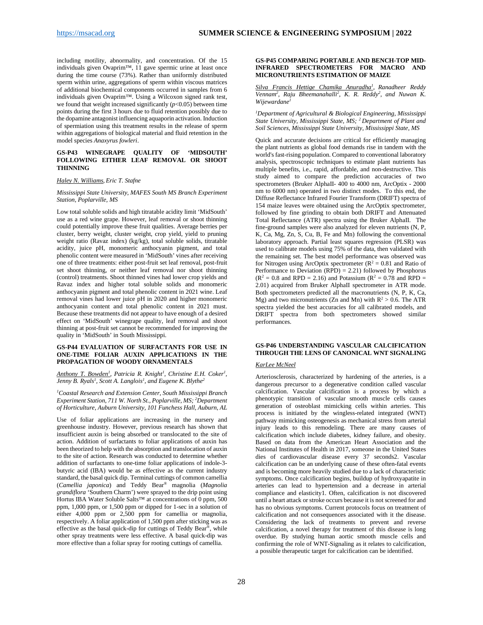including motility, abnormality, and concentration. Of the 15 individuals given Ovaprim™, 11 gave spermic urine at least once during the time course (73%). Rather than uniformly distributed sperm within urine, aggregations of sperm within viscous matrices of additional biochemical components occurred in samples from 6 individuals given Ovaprim™. Using a Wilcoxon signed rank test, we found that weight increased significantly  $(p<0.05)$  between time points during the first 3 hours due to fluid retention possibly due to the dopamine antagonist influencing aquaporin activation. Induction of spermiation using this treatment results in the release of sperm within aggregations of biological material and fluid retention in the model species *Anaxyrus fowleri*.

#### <span id="page-27-0"></span>**GS-P43 WINEGRAPE QUALITY OF 'MIDSOUTH' FOLLOWING EITHER LEAF REMOVAL OR SHOOT THINNING**

#### *Haley N. Williams, Eric T. Stafne*

#### *Mississippi State University, MAFES South MS Branch Experiment Station, Poplarville, MS*

Low total soluble solids and high titratable acidity limit 'MidSouth' use as a red wine grape. However, leaf removal or shoot thinning could potentially improve these fruit qualities. Average berries per cluster, berry weight, cluster weight, crop yield, yield to pruning weight ratio (Ravaz index) (kg/kg), total soluble solids, titratable acidity, juice pH, monomeric anthocyanin pigment, and total phenolic content were measured in 'MidSouth' vines after receiving one of three treatments: either post-fruit set leaf removal, post-fruit set shoot thinning, or neither leaf removal nor shoot thinning (control) treatments. Shoot thinned vines had lower crop yields and Ravaz index and higher total soluble solids and monomeric anthocyanin pigment and total phenolic content in 2021 wine. Leaf removal vines had lower juice pH in 2020 and higher monomeric anthocyanin content and total phenolic content in 2021 must. Because these treatments did not appear to have enough of a desired effect on 'MidSouth' winegrape quality, leaf removal and shoot thinning at post-fruit set cannot be recommended for improving the quality in 'MidSouth' in South Mississippi.

#### <span id="page-27-1"></span>**GS-P44 EVALUATION OF SURFACTANTS FOR USE IN ONE-TIME FOLIAR AUXIN APPLICATIONS IN THE PROPAGATION OF WOODY ORNAMENTALS**

*Anthony T. Bowden<sup>1</sup>, Patricia R. Knight<sup>1</sup>, Christine E.H. Coker<sup>1</sup>, Jenny B. Ryals<sup>1</sup>, Scott A. Langlois<sup>1</sup>, and Eugene K. Blythe<sup>2</sup>* 

*1 Coastal Research and Extension Center, South Mississippi Branch Experiment Station, 711 W. North St., Poplarville, MS; 2 Department of Horticulture, Auburn University, 101 Funchess Hall, Auburn, AL*

Use of foliar applications are increasing in the nursery and greenhouse industry. However, previous research has shown that insufficient auxin is being absorbed or translocated to the site of action. Addition of surfactants to foliar applications of auxin has been theorized to help with the absorption and translocation of auxin to the site of action. Research was conducted to determine whether addition of surfactants to one-time foliar applications of indole-3 butyric acid (IBA) would be as effective as the current industry standard, the basal quick dip. Terminal cuttings of common camellia (*Camellia japonica*) and Teddy Bear® magnolia (*Magnolia grandiflora* 'Southern Charm') were sprayed to the drip point using Hortus IBA Water Soluble Salts™ at concentrations of 0 ppm, 500 ppm, 1,000 ppm, or 1,500 ppm or dipped for 1-sec in a solution of either 4,000 ppm or 2,500 ppm for camellia or magnolia, respectively. A foliar application of 1,500 ppm after sticking was as effective as the basal quick-dip for cuttings of Teddy Bear®, while other spray treatments were less effective. A basal quick-dip was more effective than a foliar spray for rooting cuttings of camellia.

#### <span id="page-27-2"></span>**GS-P45 COMPARING PORTABLE AND BENCH-TOP MID-INFRARED SPECTROMETERS FOR MACRO AND MICRONUTRIENTS ESTIMATION OF MAIZE**

*Silva Francis Hettige Chamika Anuradha1 , Ranadheer Reddy*  Vennam<sup>2</sup>, Raju Bheemanahalli<sup>2</sup>, K. R. Reddy<sup>2</sup>, and Nuwan K. *Wijewardane1*

*1 Department of Agricultural & Biological Engineering, Mississippi State University, Mississippi State, MS; <sup>2</sup> Department of Plant and Soil Sciences, Mississippi State University, Mississippi State, MS*

Quick and accurate decisions are critical for efficiently managing the plant nutrients as global food demands rise in tandem with the world's fast-rising population. Compared to conventional laboratory analysis, spectroscopic techniques to estimate plant nutrients has multiple benefits, i.e., rapid, affordable, and non-destructive. This study aimed to compare the prediction accuracies of two spectrometers (Bruker AlphaII- 400 to 4000 nm, ArcOptix - 2000 nm to 6000 nm) operated in two distinct modes. To this end, the Diffuse Reflectance Infrared Fourier Transform (DRIFT) spectra of 154 maize leaves were obtained using the ArcOptix spectrometer, followed by fine grinding to obtain both DRIFT and Attenuated Total Reflectance (ATR) spectra using the Bruker AlphaII. The fine-ground samples were also analyzed for eleven nutrients (N, P, K, Ca, Mg, Zn, S, Cu, B, Fe and Mn) following the conventional laboratory approach. Partial least squares regression (PLSR) was used to calibrate models using 75% of the data, then validated with the remaining set. The best model performance was observed was for Nitrogen using ArcOptix spectrometer ( $R^2 = 0.81$  and Ratio of Performance to Deviation  $(RPD) = 2.21$ ) followed by Phosphorus  $(R^2 = 0.8$  and RPD = 2.16) and Potassium  $(R^2 = 0.78$  and RPD = 2.01) acquired from Bruker AlphaII spectrometer in ATR mode. Both spectrometers predicted all the macronutrients (N, P, K, Ca, Mg) and two micronutrients (Zn and Mn) with  $R^2 > 0.6$ . The ATR spectra yielded the best accuracies for all calibrated models, and DRIFT spectra from both spectrometers showed similar performances.

#### <span id="page-27-3"></span>**GS-P46 UNDERSTANDING VASCULAR CALCIFICATION THROUGH THE LENS OF CANONICAL WNT SIGNALING**

#### *KarLee McNeel*

Arteriosclerosis, characterized by hardening of the arteries, is a dangerous precursor to a degenerative condition called vascular calcification. Vascular calcification is a process by which a phenotypic transition of vascular smooth muscle cells causes generation of osteoblast mimicking cells within arteries. This process is initiated by the wingless-related integrated (WNT) pathway mimicking osteogenesis as mechanical stress from arterial injury leads to this remodeling. There are many causes of calcification which include diabetes, kidney failure, and obesity. Based on data from the American Heart Association and the National Institutes of Health in 2017, someone in the United States dies of cardiovascular disease every 37 seconds2. Vascular calcification can be an underlying cause of these often-fatal events and is becoming more heavily studied due to a lack of characteristic symptoms. Once calcification begins, buildup of hydroxyapatite in arteries can lead to hypertension and a decrease in arterial compliance and elasticity1. Often, calcification is not discovered until a heart attack or stroke occurs because it is not screened for and has no obvious symptoms. Current protocols focus on treatment of calcification and not consequences associated with it the disease. Considering the lack of treatments to prevent and reverse calcification, a novel therapy for treatment of this disease is long overdue. By studying human aortic smooth muscle cells and confirming the role of WNT-Signaling as it relates to calcification, a possible therapeutic target for calcification can be identified.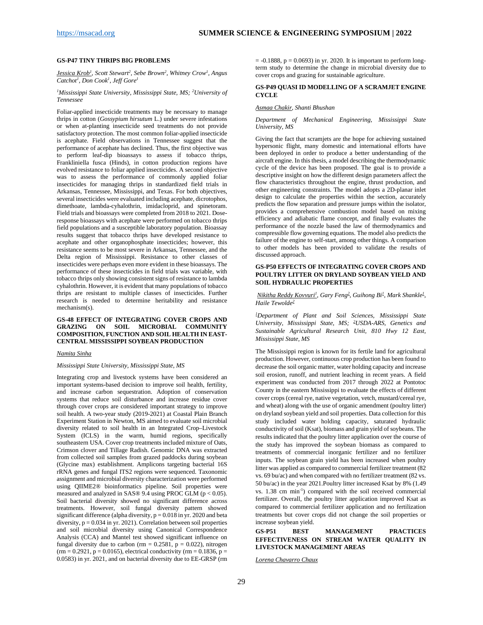#### <span id="page-28-0"></span>**GS-P47 TINY THRIPS BIG PROBLEMS**

*Jessica Krob1 , Scott Stewart2 , Sebe Brown2 , Whitney Crow1 , Angus Catchot1 , Don Cook1 , Jeff Gore1*

#### *1 Mississippi State University, Mississippi State, MS; 2 University of Tennessee*

Foliar-applied insecticide treatments may be necessary to manage thrips in cotton (*Gossypium hirsutum* L.) under severe infestations or when at-planting insecticide seed treatments do not provide satisfactory protection. The most common foliar-applied insecticide is acephate. Field observations in Tennessee suggest that the performance of acephate has declined. Thus, the first objective was to perform leaf-dip bioassays to assess if tobacco thrips, Frankliniella fusca (Hinds), in cotton production regions have evolved resistance to foliar applied insecticides. A second objective was to assess the performance of commonly applied foliar insecticides for managing thrips in standardized field trials in Arkansas, Tennessee, Mississippi, and Texas. For both objectives, several insecticides were evaluated including acephate, dicrotophos, dimethoate, lambda-cyhalothrin, imidacloprid, and spinetoram. Field trials and bioassays were completed from 2018 to 2021. Doseresponse bioassays with acephate were performed on tobacco thrips field populations and a susceptible laboratory population. Bioassay results suggest that tobacco thrips have developed resistance to acephate and other organophosphate insecticides; however, this resistance seems to be most severe in Arkansas, Tennessee, and the Delta region of Mississippi. Resistance to other classes of insecticides were perhaps even more evident in these bioassays. The performance of these insecticides in field trials was variable, with tobacco thrips only showing consistent signs of resistance to lambda cyhalothrin. However, it is evident that many populations of tobacco thrips are resistant to multiple classes of insecticides. Further research is needed to determine heritability and resistance mechanism(s).

#### <span id="page-28-1"></span>**GS-48 EFFECT OF INTEGRATING COVER CROPS AND GRAZING ON SOIL MICROBIAL COMMUNITY COMPOSITION, FUNCTION AND SOIL HEALTH IN EAST-CENTRAL MISSISSIPPI SOYBEAN PRODUCTION**

#### *Namita Sinha*

#### *Mississippi State University, Mississippi State, MS*

Integrating crop and livestock systems have been considered an important systems-based decision to improve soil health, fertility, and increase carbon sequestration. Adoption of conservation systems that reduce soil disturbance and increase residue cover through cover crops are considered important strategy to improve soil health. A two-year study (2019-2021) at Coastal Plain Branch Experiment Station in Newton, MS aimed to evaluate soil microbial diversity related to soil health in an Integrated Crop–Livestock System (ICLS) in the warm, humid regions, specifically southeastern USA. Cover crop treatments included mixture of Oats, Crimson clover and Tillage Radish. Genomic DNA was extracted from collected soil samples from grazed paddocks during soybean (Glycine max) establishment. Amplicons targeting bacterial 16S rRNA genes and fungal ITS2 regions were sequenced. Taxonomic assignment and microbial diversity characterization were performed using QIIME2® bioinformatics pipeline. Soil properties were measured and analyzed in SAS® 9.4 using PROC GLM ( $p < 0.05$ ). Soil bacterial diversity showed no significant difference across treatments. However, soil fungal diversity pattern showed significant difference (alpha diversity,  $p = 0.018$  in yr. 2020 and beta diversity,  $p = 0.034$  in yr. 2021). Correlation between soil properties and soil microbial diversity using Canonical Correspondence Analysis (CCA) and Mantel test showed significant influence on fungal diversity due to carbon (rm =  $0.2581$ , p =  $0.022$ ), nitrogen  $(rm = 0.2921, p = 0.0165)$ , electrical conductivity  $(rm = 0.1836, p = 0.0165)$ 0.0583) in yr. 2021, and on bacterial diversity due to EE-GRSP (rm

 $= -0.1888$ ,  $p = 0.0693$ ) in yr. 2020. It is important to perform longterm study to determine the change in microbial diversity due to cover crops and grazing for sustainable agriculture.

#### <span id="page-28-2"></span>**GS-P49 QUASI ID MODELLING OF A SCRAMJET ENGINE CYCLE**

#### *Asmaa Chakir, Shanti Bhushan*

#### *Department of Mechanical Engineering, Mississippi State University, MS*

Giving the fact that scramjets are the hope for achieving sustained hypersonic flight, many domestic and international efforts have been deployed in order to produce a better understanding of the aircraft engine. In this thesis, a model describing the thermodynamic cycle of the device has been proposed. The goal is to provide a descriptive insight on how the different design parameters affect the flow characteristics throughout the engine, thrust production, and other engineering constraints. The model adopts a 2D-planar inlet design to calculate the properties within the section, accurately predicts the flow separation and pressure jumps within the isolator, provides a comprehensive combustion model based on mixing efficiency and adiabatic flame concept, and finally evaluates the performance of the nozzle based the law of thermodynamics and compressible flow governing equations. The model also predicts the failure of the engine to self-start, among other things. A comparison to other models has been provided to validate the results of discussed approach.

#### <span id="page-28-3"></span>**GS-P50 EFFECTS OF INTEGRATING COVER CROPS AND POULTRY LITTER ON DRYLAND SOYBEAN YIELD AND SOIL HYDRAULIC PROPERTIES**

*Nikitha Reddy Kovvuri<sup>1</sup>, Gary Feng<sup>2</sup>, Guihong Bi<sup>1</sup>, Mark Shankle<sup>1</sup>, Haile Tewolde2*

*1 Department of Plant and Soil Sciences, Mississippi State University, Mississippi State, MS; 2 USDA-ARS, Genetics and Sustainable Agricultural Research Unit, 810 Hwy 12 East, Mississippi State, MS* 

The Mississippi region is known for its fertile land for agricultural production. However, continuous crop production has been found to decrease the soil organic matter, water holding capacity and increase soil erosion, runoff, and nutrient leaching in recent years. A field experiment was conducted from 2017 through 2022 at Pontotoc County in the eastern Mississippi to evaluate the effects of different cover crops (cereal rye, native vegetation, vetch, mustard/cereal rye, and wheat) along with the use of organic amendment (poultry litter) on dryland soybean yield and soil properties. Data collection for this study included water holding capacity, saturated hydraulic conductivity of soil (Ksat), biomass and grain yield of soybeans. The results indicated that the poultry litter application over the course of the study has improved the soybean biomass as compared to treatments of commercial inorganic fertilizer and no fertilizer inputs. The soybean grain yield has been increased when poultry litter was applied as compared to commercial fertilizer treatment (82 vs. 69 bu/ac) and when compared with no fertilizer treatment (82 vs. 50 bu/ac) in the year 2021.Poultry litter increased Ksat by 8% (1.49 vs. 1.38 cm min-1 ) compared with the soil received commercial fertilizer. Overall, the poultry litter application improved Ksat as compared to commercial fertilizer application and no fertilization treatments but cover crops did not change the soil properties or increase soybean yield.

#### <span id="page-28-4"></span>**GS-P51 BEST MANAGEMENT PRACTICES EFFECTIVENESS ON STREAM WATER QUALITY IN LIVESTOCK MANAGEMENT AREAS**

*Lorena Chavarro Chaux*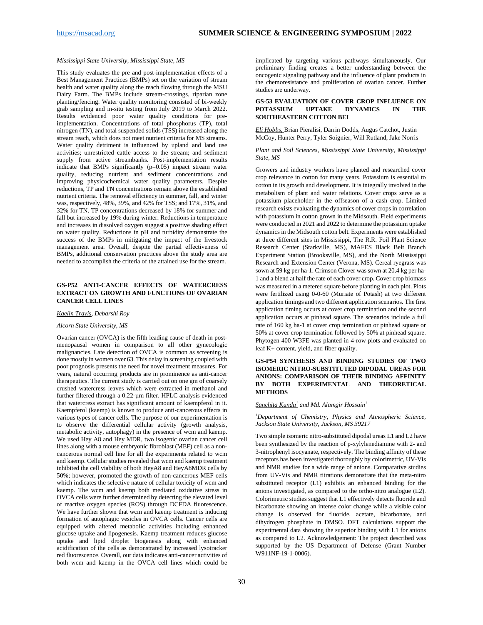#### *Mississippi State University, Mississippi State, MS*

This study evaluates the pre and post-implementation effects of a Best Management Practices (BMPs) set on the variation of stream health and water quality along the reach flowing through the MSU Dairy Farm. The BMPs include stream-crossings, riparian zone planting/fencing. Water quality monitoring consisted of bi-weekly grab sampling and in-situ testing from July 2019 to March 2022. Results evidenced poor water quality conditions for preimplementation. Concentrations of total phosphorus (TP), total nitrogen (TN), and total suspended solids (TSS) increased along the stream reach, which does not meet nutrient criteria for MS streams. Water quality detriment is influenced by upland and land use activities; unrestricted cattle access to the stream; and sediment supply from active streambanks. Post-implementation results indicate that BMPs significantly (p=0.05) impact stream water quality, reducing nutrient and sediment concentrations and improving physicochemical water quality parameters. Despite reductions, TP and TN concentrations remain above the established nutrient criteria. The removal efficiency in summer, fall, and winter was, respectively, 48%, 39%, and 42% for TSS; and 17%, 31%, and 32% for TN. TP concentrations decreased by 18% for summer and fall but increased by 19% during winter. Reductions in temperature and increases in dissolved oxygen suggest a positive shading effect on water quality. Reductions in pH and turbidity demonstrate the success of the BMPs in mitigating the impact of the livestock management area. Overall, despite the partial effectiveness of BMPs, additional conservation practices above the study area are needed to accomplish the criteria of the attained use for the stream.

#### <span id="page-29-0"></span>**GS-P52 ANTI-CANCER EFFECTS OF WATERCRESS EXTRACT ON GROWTH AND FUNCTIONS OF OVARIAN CANCER CELL LINES**

#### *Kaelin Travis, Debarshi Roy*

#### *Alcorn State University, MS*

Ovarian cancer (OVCA) is the fifth leading cause of death in postmenopausal women in comparison to all other gynecologic malignancies. Late detection of OVCA is common as screening is done mostly in women over 63. This delay in screening coupled with poor prognosis presents the need for novel treatment measures. For years, natural occurring products are in prominence as anti-cancer therapeutics. The current study is carried out on one gm of coarsely crushed watercress leaves which were extracted in methanol and further filtered through a 0.22-µm filter. HPLC analysis evidenced that watercress extract has significant amount of kaempferol in it. Kaempferol (kaemp) is known to produce anti-cancerous effects in various types of cancer cells. The purpose of our experimentation is to observe the differential cellular activity (growth analysis, metabolic activity, autophagy) in the presence of wcm and kaemp. We used Hey A8 and Hey MDR, two isogenic ovarian cancer cell lines along with a mouse embryonic fibroblast (MEF) cell as a noncancerous normal cell line for all the experiments related to wcm and kaemp. Cellular studies revealed that wcm and kaemp treatment inhibited the cell viability of both HeyA8 and HeyA8MDR cells by 50%; however, promoted the growth of non-cancerous MEF cells which indicates the selective nature of cellular toxicity of wcm and kaemp. The wcm and kaemp both mediated oxidative stress in OVCA cells were further determined by detecting the elevated level of reactive oxygen species (ROS) through DCFDA fluorescence. We have further shown that wcm and kaemp treatment is inducing formation of autophagic vesicles in OVCA cells. Cancer cells are equipped with altered metabolic activities including enhanced glucose uptake and lipogenesis. Kaemp treatment reduces glucose uptake and lipid droplet biogenesis along with enhanced acidification of the cells as demonstrated by increased lysotracker red fluorescence. Overall, our data indicates anti-cancer activities of both wcm and kaemp in the OVCA cell lines which could be

implicated by targeting various pathways simultaneously. Our preliminary finding creates a better understanding between the oncogenic signaling pathway and the influence of plant products in the chemoresistance and proliferation of ovarian cancer. Further studies are underway.

#### <span id="page-29-1"></span>**GS-53 EVALUATION OF COVER CROP INFLUENCE ON POTASSIUM UPTAKE DYNAMICS IN THE SOUTHEASTERN COTTON BEL**

*Eli Hobbs,* Brian Pieralisi, Darrin Dodds, Augus Catchot, Justin McCoy, Hunter Perry, Tyler Soignier, Will Rutland, Jake Norris

*Plant and Soil Sciences, Mississippi State University, Mississippi State, MS*

Growers and industry workers have planted and researched cover crop relevance in cotton for many years. Potassium is essential to cotton in its growth and development. It is integrally involved in the metabolism of plant and water relations. Cover crops serve as a potassium placeholder in the offseason of a cash crop. Limited research exists evaluating the dynamics of cover crops in correlation with potassium in cotton grown in the Midsouth. Field experiments were conducted in 2021 and 2022 to determine the potassium uptake dynamics in the Midsouth cotton belt. Experiments were established at three different sites in Mississippi, The R.R. Foil Plant Science Research Center (Starkville, MS), MAFES Black Belt Branch Experiment Station (Brooksville, MS), and the North Mississippi Research and Extension Center (Verona, MS). Cereal ryegrass was sown at 59 kg per ha-1. Crimson Clover was sown at 20.4 kg per ha-1 and a blend at half the rate of each cover crop. Cover crop biomass was measured in a metered square before planting in each plot. Plots were fertilized using 0-0-60 (Muriate of Potash) at two different application timings and two different application scenarios. The first application timing occurs at cover crop termination and the second application occurs at pinhead square. The scenarios include a full rate of 160 kg ha-1 at cover crop termination or pinhead square or 50% at cover crop termination followed by 50% at pinhead square. Phytogen 400 W3FE was planted in 4-row plots and evaluated on leaf K+ content, yield, and fiber quality.

#### <span id="page-29-2"></span>**GS-P54 SYNTHESIS AND BINDING STUDIES OF TWO ISOMERIC NITRO-SUBSTITUTED DIPODAL UREAS FOR ANIONS: COMPARISON OF THEIR BINDING AFFINITY BY BOTH EXPERIMENTAL AND THEORETICAL METHODS**

#### *Sanchita Kundu1 and Md. Alamgir Hossain1*

*1 Department of Chemistry, Physics and Atmospheric Science, Jackson State University, Jackson, MS 39217*

Two simple isomeric nitro-substituted dipodal ureas L1 and L2 have been synthesized by the reaction of p-xylylenediamine with 2- and 3-nitrophenyl isocyanate, respectively. The binding affinity of these receptors has been investigated thoroughly by colorimetric, UV-Vis and NMR studies for a wide range of anions. Comparative studies from UV-Vis and NMR titrations demonstrate that the meta-nitro substituted receptor (L1) exhibits an enhanced binding for the anions investigated, as compared to the ortho-nitro analogue (L2). Colorimetric studies suggest that L1 effectively detects fluoride and bicarbonate showing an intense color change while a visible color change is observed for fluoride, acetate, bicarbonate, and dihydrogen phosphate in DMSO. DFT calculations support the experimental data showing the superior binding with L1 for anions as compared to L2. Acknowledgement: The project described was supported by the US Department of Defense (Grant Number W911NF-19-1-0006).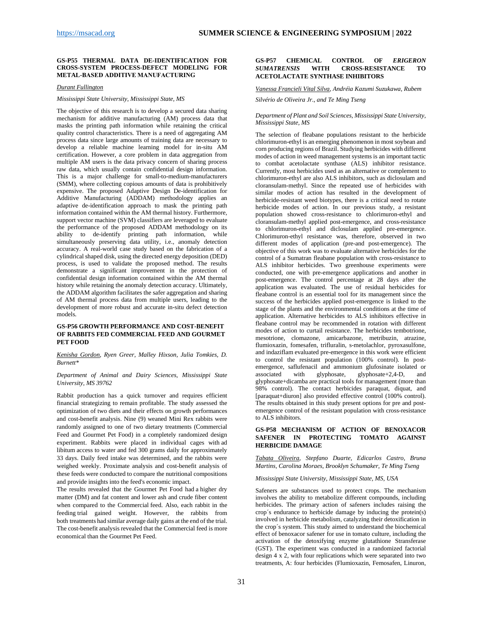#### <span id="page-30-0"></span>**GS-P55 THERMAL DATA DE-IDENTIFICATION FOR CROSS-SYSTEM PROCESS-DEFECT MODELING FOR METAL-BASED ADDITIVE MANUFACTURING**

#### *Durant Fullington*

#### *Mississippi State University, Mississippi State, MS*

The objective of this research is to develop a secured data sharing mechanism for additive manufacturing (AM) process data that masks the printing path information while retaining the critical quality control characteristics. There is a need of aggregating AM process data since large amounts of training data are necessary to develop a reliable machine learning model for in-situ AM certification. However, a core problem in data aggregation from multiple AM users is the data privacy concern of sharing process raw data, which usually contain confidential design information. This is a major challenge for small-to-medium-manufacturers (SMM), where collecting copious amounts of data is prohibitively expensive. The proposed Adaptive Design De-identification for Additive Manufacturing (ADDAM) methodology applies an adaptive de-identification approach to mask the printing path information contained within the AM thermal history. Furthermore, support vector machine (SVM) classifiers are leveraged to evaluate the performance of the proposed ADDAM methodology on its ability to de-identify printing path information, while simultaneously preserving data utility, i.e., anomaly detection accuracy. A real-world case study based on the fabrication of a cylindrical shaped disk, using the directed energy deposition (DED) process, is used to validate the proposed method. The results demonstrate a significant improvement in the protection of confidential design information contained within the AM thermal history while retaining the anomaly detection accuracy. Ultimately, the ADDAM algorithm facilitates the safer aggregation and sharing of AM thermal process data from multiple users, leading to the development of more robust and accurate in-situ defect detection models.

#### <span id="page-30-1"></span>**GS-P56 GROWTH PERFORMANCE AND COST-BENEFIT OF RABBITS FED COMMERCIAL FEED AND GOURMET PET FOOD**

#### *Kenisha Gordon, Ryen Greer, Malley Hixson, Julia Tomkies, D. Burnett\**

#### *Department of Animal and Dairy Sciences, Mississippi State University, MS 39762*

Rabbit production has a quick turnover and requires efficient financial strategizing to remain profitable. The study assessed the optimization of two diets and their effects on growth performances and cost-benefit analysis. Nine (9) weaned Mini Rex rabbits were randomly assigned to one of two dietary treatments (Commercial Feed and Gourmet Pet Food) in a completely randomized design experiment. Rabbits were placed in individual cages with ad libitum access to water and fed 300 grams daily for approximately 33 days. Daily feed intake was determined, and the rabbits were weighed weekly. Proximate analysis and cost-benefit analysis of these feeds were conducted to compare the nutritional compositions and provide insights into the feed's economic impact.

The results revealed that the Gourmet Pet Food had a higher dry matter (DM) and fat content and lower ash and crude fiber content when compared to the Commercial feed. Also, each rabbit in the feeding trial gained weight. However, the rabbits from both treatments had similar average daily gains at the end of the trial. The cost-benefit analysis revealed that the Commercial feed is more economical than the Gourmet Pet Feed.

#### <span id="page-30-2"></span>**GS-P57 CHEMICAL CONTROL OF** *ERIGERON SUMATRENSIS* **WITH CROSS-RESISTANCE TO ACETOLACTATE SYNTHASE INHIBITORS**

#### *Vanessa Francieli Vital Silva, Andréia Kazumi Suzukawa, Rubem Silvério de Oliveira Jr., and Te Ming Tseng*

#### *Department of Plant and Soil Sciences, Mississippi State University, Mississippi State, MS*

The selection of fleabane populations resistant to the herbicide chlorimuron-ethyl is an emerging phenomenon in most soybean and corn producing regions of Brazil. Studying herbicides with different modes of action in weed management systems is an important tactic to combat acetolactate synthase (ALS) inhibitor resistance. Currently, most herbicides used as an alternative or complement to chlorimuron-ethyl are also ALS inhibitors, such as diclosulam and cloransulam-methyl. Since the repeated use of herbicides with similar modes of action has resulted in the development of herbicide-resistant weed biotypes, there is a critical need to rotate herbicide modes of action. In our previous study, a resistant population showed cross-resistance to chlorimuron-ethyl and cloransulam-methyl applied post-emergence, and cross-resistance to chlorimuron-ethyl and diclosulam applied pre-emergence. Chlorimuron-ethyl resistance was, therefore, observed in two different modes of application (pre-and post-emergence). The objective of this work was to evaluate alternative herbicides for the control of a Sumatran fleabane population with cross-resistance to ALS inhibitor herbicides. Two greenhouse experiments were conducted, one with pre-emergence applications and another in post-emergence. The control percentage at 28 days after the application was evaluated. The use of residual herbicides for fleabane control is an essential tool for its management since the success of the herbicides applied post-emergence is linked to the stage of the plants and the environmental conditions at the time of application. Alternative herbicides to ALS inhibitors effective in fleabane control may be recommended in rotation with different modes of action to curtail resistance. The herbicides tembotrione, mesotrione, clomazone, amicarbazone, metribuzin, atrazine, flumioxazin, fomesafen, trifluralin, s-metolachlor, pyroxasulfone, and indaziflam evaluated pre-emergence in this work were efficient to control the resistant population (100% control). In postemergence, saflufenacil and ammonium glufosinate isolated or associated with glyphosate, glyphosate+2,4-D, and glyphosate+dicamba are practical tools for management (more than 98% control). The contact herbicides paraquat, diquat, and [paraquat+diuron] also provided effective control (100% control). The results obtained in this study present options for pre and postemergence control of the resistant population with cross-resistance to ALS inhibitors.

#### <span id="page-30-3"></span>**GS-P58 MECHANISM OF ACTION OF BENOXACOR SAFENER IN PROTECTING TOMATO AGAINST HERBICIDE DAMAGE**

#### <span id="page-30-4"></span>*Tabata Oliveira, Stepfano Duarte, Edicarlos Castro, Bruna Martins, Carolina Moraes, Brooklyn Schumaker, Te Ming Tseng*

#### *Mississippi State University, Mississippi State, MS, USA*

Safeners are substances used to protect crops. The mechanism involves the ability to metabolize different compounds, including herbicides. The primary action of safeners includes raising the crop´s endurance to herbicide damage by inducing the protein(s) involved in herbicide metabolism, catalyzing their detoxification in the crop´s system. This study aimed to understand the biochemical effect of benoxacor safener for use in tomato culture, including the activation of the detoxifying enzyme glutathione Stransferase (GST). The experiment was conducted in a randomized factorial design 4 x 2, with four replications which were separated into two treatments, A: four herbicides (Flumioxazin, Femosafen, Linuron,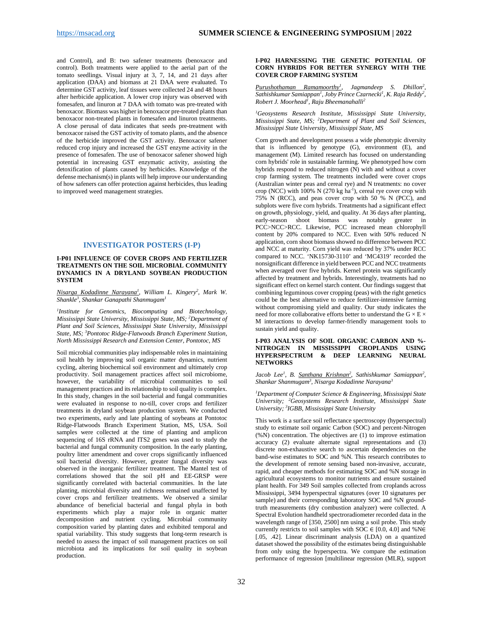and Control), and B: two safener treatments (benoxacor and control). Both treatments were applied to the aerial part of the tomato seedlings. Visual injury at 3, 7, 14, and 21 days after application (DAA) and biomass at 21 DAA were evaluated. To determine GST activity, leaf tissues were collected 24 and 48 hours after herbicide application. A lower crop injury was observed with fomesafen, and linuron at 7 DAA with tomato was pre-treated with benoxacor. Biomass was higher in benoxacor pre-treated plants than benoxacor non-treated plants in fomesafen and linuron treatments. A close perusal of data indicates that seeds pre-treatment with benoxacor raised the GST activity of tomato plants, and the absence of the herbicide improved the GST activity. Benoxacor safener reduced crop injury and increased the GST enzyme activity in the presence of fomesafen. The use of benoxacor safener showed high potential in increasing GST enzymatic activity, assisting the detoxification of plants caused by herbicides. Knowledge of the defense mechanism(s) in plants will help improve our understanding of how safeners can offer protection against herbicides, thus leading to improved weed management strategies.

#### **INVESTIGATOR POSTERS (I-P)**

#### <span id="page-31-1"></span><span id="page-31-0"></span>**I-P01 INFLUENCE OF COVER CROPS AND FERTILIZER TREATMENTS ON THE SOIL MICROBIAL COMMUNITY DYNAMICS IN A DRYLAND SOYBEAN PRODUCTION SYSTEM**

*Nisarga Kodadinne Narayana1 , William L. Kingery2 , Mark W. Shankle3 , Shankar Ganapathi Shanmugam1*

*1 Institute for Genomics, Biocomputing and Biotechnology, Mississippi State University, Mississippi State, MS; 2 Department of Plant and Soil Sciences, Mississippi State University, Mississippi State, MS; 3 Pontotoc Ridge-Flatwoods Branch Experiment Station, North Mississippi Research and Extension Center, Pontotoc, MS*

Soil microbial communities play indispensable roles in maintaining soil health by improving soil organic matter dynamics, nutrient cycling, altering biochemical soil environment and ultimately crop productivity. Soil management practices affect soil microbiome, however, the variability of microbial communities to soil management practices and its relationship to soil quality is complex. In this study, changes in the soil bacterial and fungal communities were evaluated in response to no-till, cover crops and fertilizer treatments in dryland soybean production system. We conducted two experiments, early and late planting of soybeans at Pontotoc Ridge-Flatwoods Branch Experiment Station, MS, USA. Soil samples were collected at the time of planting and amplicon sequencing of 16S rRNA and ITS2 genes was used to study the bacterial and fungal community composition. In the early planting, poultry litter amendment and cover crops significantly influenced soil bacterial diversity. However, greater fungal diversity was observed in the inorganic fertilizer treatment. The Mantel test of correlations showed that the soil pH and EE-GRSP were significantly correlated with bacterial communities. In the late planting, microbial diversity and richness remained unaffected by cover crops and fertilizer treatments. We observed a similar abundance of beneficial bacterial and fungal phyla in both experiments which play a major role in organic matter decomposition and nutrient cycling. Microbial community composition varied by planting dates and exhibited temporal and spatial variability. This study suggests that long-term research is needed to assess the impact of soil management practices on soil microbiota and its implications for soil quality in soybean production.

#### <span id="page-31-2"></span>**I-P02 HARNESSING THE GENETIC POTENTIAL OF CORN HYBRIDS FOR BETTER SYNERGY WITH THE COVER CROP FARMING SYSTEM**

*Purushothaman Ramamoorthy1 , Jagmandeep S. Dhillon2 , Sathishkumar Samiappan1 , Joby Prince Czarnecki1 , K. Raja Reddy2 , Robert J. Moorhead1 , Raju Bheemanahalli2*

*1 Geosystems Research Institute, Mississippi State University, Mississippi State, MS; 2 Department of Plant and Soil Sciences, Mississippi State University, Mississippi State, MS*

Corn growth and development possess a wide phenotypic diversity that is influenced by genotype (G), environment (E), and management (M). Limited research has focused on understanding corn hybrids' role in sustainable farming. We phenotyped how corn hybrids respond to reduced nitrogen  $(N)$  with and without a cover crop farming system. The treatments included were cover crops (Australian winter peas and cereal rye) and N treatments: no cover crop (NCC) with  $100\%$  N (270 kg ha<sup>-1</sup>), cereal rye cover crop with 75% N (RCC), and peas cover crop with 50 % N (PCC), and subplots were five corn hybrids. Treatments had a significant effect on growth, physiology, yield, and quality. At 36 days after planting, early-season shoot biomass was notably greater in PCC>NCC>RCC. Likewise, PCC increased mean chlorophyll content by 20% compared to NCC. Even with 50% reduced N application, corn shoot biomass showed no difference between PCC and NCC at maturity. Corn yield was reduced by 37% under RCC compared to NCC. 'NK15730-3110' and 'MC4319' recorded the nonsignificant difference in yield between PCC and NCC treatments when averaged over five hybrids. Kernel protein was significantly affected by treatment and hybrids. Interestingly, treatments had no significant effect on kernel starch content. Our findings suggest that combining leguminous cover cropping (peas) with the right genetics could be the best alternative to reduce fertilizer-intensive farming without compromising yield and quality. Our study indicates the need for more collaborative efforts better to understand the G  $\times$  E  $\times$ M interactions to develop farmer-friendly management tools to sustain yield and quality.

#### <span id="page-31-3"></span>**I-P03 ANALYSIS OF SOIL ORGANIC CARBON AND %- NITROGEN IN MISSISSIPPI CROPLANDS USING HYPERSPECTRUM & DEEP LEARNING NEURAL NETWORKS**

Jacob Lee<sup>1</sup>, B. <u>Santhana Krishnan<sup>2</sup>, Sathishkumar Samiappan<sup>2</sup>,</u> *Shankar Shanmugam3 , Nisarga Kodadinne Narayana3*

*1 Department of Computer Science & Engineering, Mississippi State University; 2 Geosystems Research Institute, Mississippi State University; 3 IGBB, Mississippi State University*

This work is a surface soil reflectance spectroscopy (hyperspectral) study to estimate soil organic Carbon (SOC) and percent-Nitrogen (%N) concentration. The objectives are (1) to improve estimation accuracy (2) evaluate alternate signal representations and (3) discrete non-exhaustive search to ascertain dependencies on the band-wise estimates to SOC and %N. This research contributes to the development of remote sensing based non-invasive, accurate, rapid, and cheaper methods for estimating SOC and %N storage in agricultural ecosystems to monitor nutrients and ensure sustained plant health. For 349 Soil samples collected from croplands across Mississippi, 3494 hyperspectral signatures (over 10 signatures per sample) and their corresponding laboratory SOC and %N groundtruth measurements (dry combustion analyzer) were collected. A Spectral Evolution handheld spectroradiometer recorded data in the wavelength range of [350, 2500] nm using a soil probe. This study currently restricts to soil samples with SOC  $\in$  [0.0, 4.0] and %N $\in$ [.05, .42]. Linear discriminant analysis (LDA) on a quantized dataset showed the possibility of the estimates being distinguishable from only using the hyperspectra. We compare the estimation performance of regression [multilinear regression (MLR), support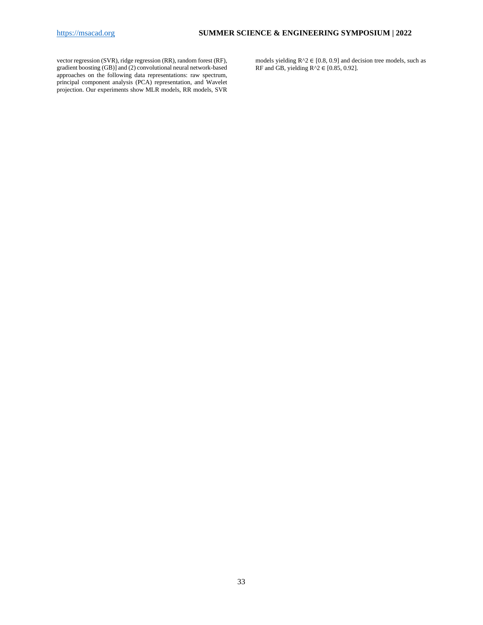vector regression (SVR), ridge regression (RR), random forest (RF), gradient boosting (GB)] and (2) convolutional neural network-based approaches on the following data representations: raw spectrum, principal component analysis (PCA) representation, and Wavelet projection. Our experiments show MLR models, RR models, SVR models yielding  $R^2 \in [0.8, 0.9]$  and decision tree models, such as RF and GB, yielding  $R^2 \in [0.85, 0.92]$ .